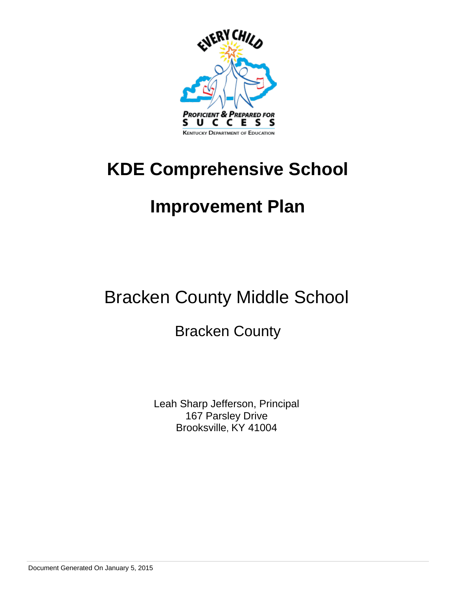

# **KDE Comprehensive School**

# **Improvement Plan**

# Bracken County Middle School

# Bracken County

Leah Sharp Jefferson, Principal 167 Parsley Drive Brooksville, KY 41004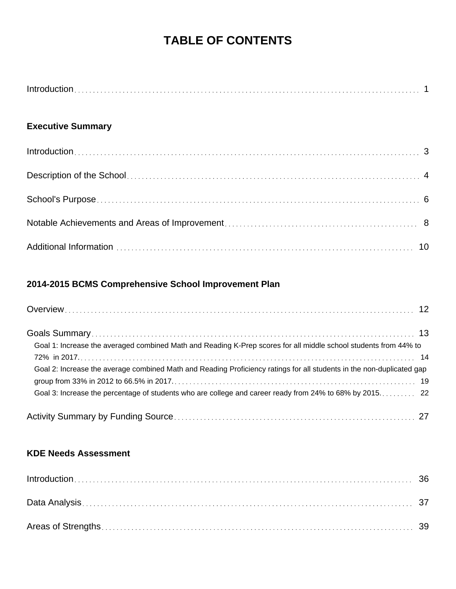# **TABLE OF CONTENTS**

| Introd |  |
|--------|--|
|--------|--|

# **Executive Summary**

# **2014-2015 BCMS Comprehensive School Improvement Plan**

| Goal 1: Increase the averaged combined Math and Reading K-Prep scores for all middle school students from 44% to      |
|-----------------------------------------------------------------------------------------------------------------------|
| Goal 2: Increase the average combined Math and Reading Proficiency ratings for all students in the non-duplicated gap |
|                                                                                                                       |
|                                                                                                                       |

# **KDE Needs Assessment**

| $Introduction \dots 36$ |  |
|-------------------------|--|
|                         |  |
|                         |  |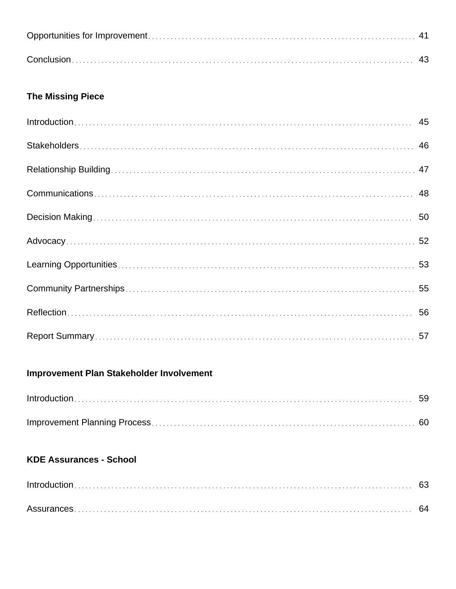# **The Missing Piece**

# **Improvement Plan Stakeholder Involvement**

# **KDE Assurances - School**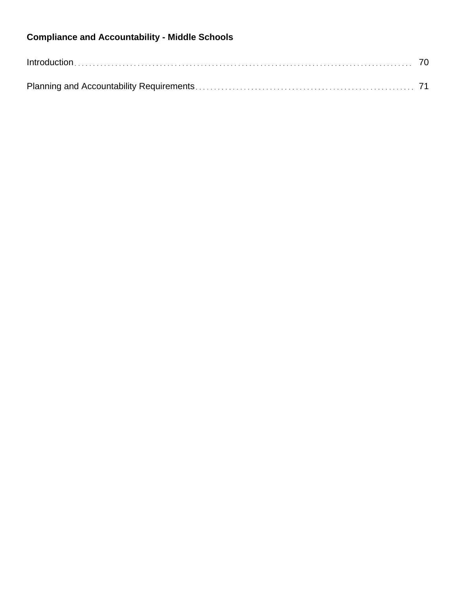# **Compliance and Accountability - Middle Schools**

| $Introduction \dots 70$ |  |
|-------------------------|--|
|                         |  |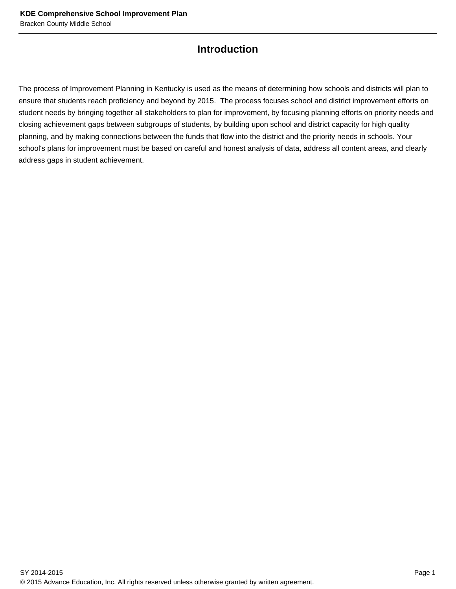# **Introduction**

The process of Improvement Planning in Kentucky is used as the means of determining how schools and districts will plan to ensure that students reach proficiency and beyond by 2015. The process focuses school and district improvement efforts on student needs by bringing together all stakeholders to plan for improvement, by focusing planning efforts on priority needs and closing achievement gaps between subgroups of students, by building upon school and district capacity for high quality planning, and by making connections between the funds that flow into the district and the priority needs in schools. Your school's plans for improvement must be based on careful and honest analysis of data, address all content areas, and clearly address gaps in student achievement.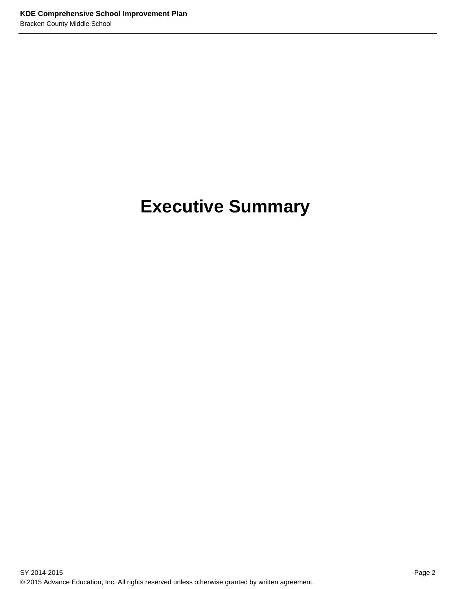# **Executive Summary**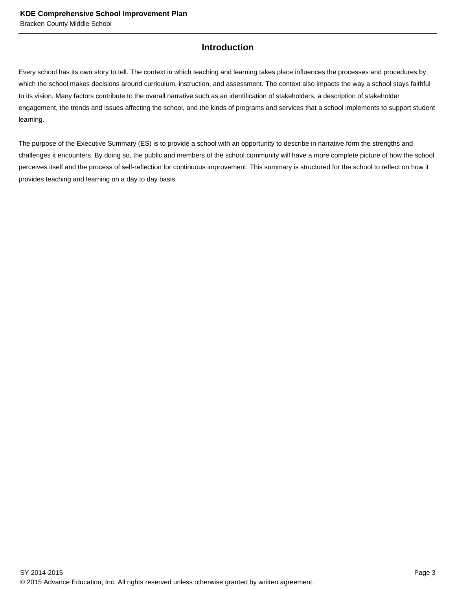# **Introduction**

Every school has its own story to tell. The context in which teaching and learning takes place influences the processes and procedures by which the school makes decisions around curriculum, instruction, and assessment. The context also impacts the way a school stays faithful to its vision. Many factors contribute to the overall narrative such as an identification of stakeholders, a description of stakeholder engagement, the trends and issues affecting the school, and the kinds of programs and services that a school implements to support student learning.

The purpose of the Executive Summary (ES) is to provide a school with an opportunity to describe in narrative form the strengths and challenges it encounters. By doing so, the public and members of the school community will have a more complete picture of how the school perceives itself and the process of self-reflection for continuous improvement. This summary is structured for the school to reflect on how it provides teaching and learning on a day to day basis.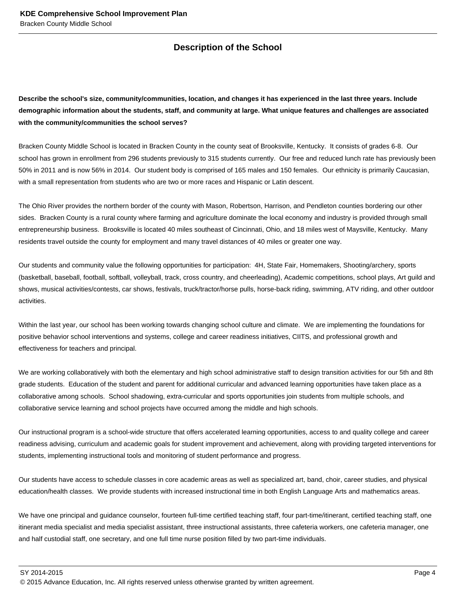# **Description of the School**

**Describe the school's size, community/communities, location, and changes it has experienced in the last three years. Include demographic information about the students, staff, and community at large. What unique features and challenges are associated with the community/communities the school serves?**

Bracken County Middle School is located in Bracken County in the county seat of Brooksville, Kentucky. It consists of grades 6-8. Our school has grown in enrollment from 296 students previously to 315 students currently. Our free and reduced lunch rate has previously been 50% in 2011 and is now 56% in 2014. Our student body is comprised of 165 males and 150 females. Our ethnicity is primarily Caucasian, with a small representation from students who are two or more races and Hispanic or Latin descent.

The Ohio River provides the northern border of the county with Mason, Robertson, Harrison, and Pendleton counties bordering our other sides. Bracken County is a rural county where farming and agriculture dominate the local economy and industry is provided through small entrepreneurship business. Brooksville is located 40 miles southeast of Cincinnati, Ohio, and 18 miles west of Maysville, Kentucky. Many residents travel outside the county for employment and many travel distances of 40 miles or greater one way.

Our students and community value the following opportunities for participation: 4H, State Fair, Homemakers, Shooting/archery, sports (basketball, baseball, football, softball, volleyball, track, cross country, and cheerleading), Academic competitions, school plays, Art guild and shows, musical activities/contests, car shows, festivals, truck/tractor/horse pulls, horse-back riding, swimming, ATV riding, and other outdoor activities.

Within the last year, our school has been working towards changing school culture and climate. We are implementing the foundations for positive behavior school interventions and systems, college and career readiness initiatives, CIITS, and professional growth and effectiveness for teachers and principal.

We are working collaboratively with both the elementary and high school administrative staff to design transition activities for our 5th and 8th grade students. Education of the student and parent for additional curricular and advanced learning opportunities have taken place as a collaborative among schools. School shadowing, extra-curricular and sports opportunities join students from multiple schools, and collaborative service learning and school projects have occurred among the middle and high schools.

Our instructional program is a school-wide structure that offers accelerated learning opportunities, access to and quality college and career readiness advising, curriculum and academic goals for student improvement and achievement, along with providing targeted interventions for students, implementing instructional tools and monitoring of student performance and progress.

Our students have access to schedule classes in core academic areas as well as specialized art, band, choir, career studies, and physical education/health classes. We provide students with increased instructional time in both English Language Arts and mathematics areas.

We have one principal and guidance counselor, fourteen full-time certified teaching staff, four part-time/itinerant, certified teaching staff, one itinerant media specialist and media specialist assistant, three instructional assistants, three cafeteria workers, one cafeteria manager, one and half custodial staff, one secretary, and one full time nurse position filled by two part-time individuals.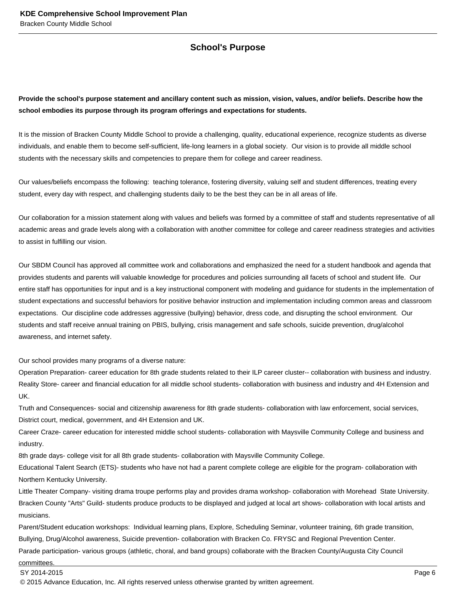# **School's Purpose**

**Provide the school's purpose statement and ancillary content such as mission, vision, values, and/or beliefs. Describe how the school embodies its purpose through its program offerings and expectations for students.**

It is the mission of Bracken County Middle School to provide a challenging, quality, educational experience, recognize students as diverse individuals, and enable them to become self-sufficient, life-long learners in a global society. Our vision is to provide all middle school students with the necessary skills and competencies to prepare them for college and career readiness.

Our values/beliefs encompass the following: teaching tolerance, fostering diversity, valuing self and student differences, treating every student, every day with respect, and challenging students daily to be the best they can be in all areas of life.

Our collaboration for a mission statement along with values and beliefs was formed by a committee of staff and students representative of all academic areas and grade levels along with a collaboration with another committee for college and career readiness strategies and activities to assist in fulfilling our vision.

Our SBDM Council has approved all committee work and collaborations and emphasized the need for a student handbook and agenda that provides students and parents will valuable knowledge for procedures and policies surrounding all facets of school and student life. Our entire staff has opportunities for input and is a key instructional component with modeling and guidance for students in the implementation of student expectations and successful behaviors for positive behavior instruction and implementation including common areas and classroom expectations. Our discipline code addresses aggressive (bullying) behavior, dress code, and disrupting the school environment. Our students and staff receive annual training on PBIS, bullying, crisis management and safe schools, suicide prevention, drug/alcohol awareness, and internet safety.

Our school provides many programs of a diverse nature:

Operation Preparation- career education for 8th grade students related to their ILP career cluster-- collaboration with business and industry. Reality Store- career and financial education for all middle school students- collaboration with business and industry and 4H Extension and UK.

Truth and Consequences- social and citizenship awareness for 8th grade students- collaboration with law enforcement, social services, District court, medical, government, and 4H Extension and UK.

Career Craze- career education for interested middle school students- collaboration with Maysville Community College and business and industry.

8th grade days- college visit for all 8th grade students- collaboration with Maysville Community College.

Educational Talent Search (ETS)- students who have not had a parent complete college are eligible for the program- collaboration with Northern Kentucky University.

Little Theater Company- visiting drama troupe performs play and provides drama workshop- collaboration with Morehead State University. Bracken County "Arts" Guild- students produce products to be displayed and judged at local art shows- collaboration with local artists and musicians.

Parent/Student education workshops: Individual learning plans, Explore, Scheduling Seminar, volunteer training, 6th grade transition, Bullying, Drug/Alcohol awareness, Suicide prevention- collaboration with Bracken Co. FRYSC and Regional Prevention Center. Parade participation- various groups (athletic, choral, and band groups) collaborate with the Bracken County/Augusta City Council

committees.

SY 2014-2015 Page 6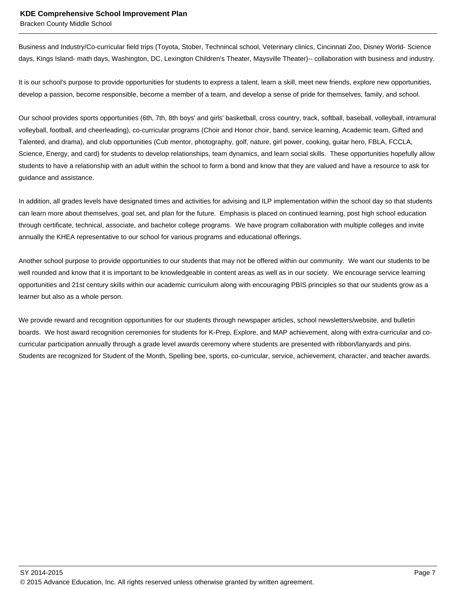Bracken County Middle School

Business and Industry/Co-curricular field trips (Toyota, Stober, Technincal school, Veterinary clinics, Cincinnati Zoo, Disney World- Science days, Kings Island- math days, Washington, DC, Lexington Children's Theater, Maysville Theater)-- collaboration with business and industry.

It is our school's purpose to provide opportunities for students to express a talent, learn a skill, meet new friends, explore new opportunities, develop a passion, become responsible, become a member of a team, and develop a sense of pride for themselves, family, and school.

Our school provides sports opportunities (6th, 7th, 8th boys' and girls' basketball, cross country, track, softball, baseball, volleyball, intramural volleyball, football, and cheerleading), co-curricular programs (Choir and Honor choir, band, service learning, Academic team, Gifted and Talented, and drama), and club opportunities (Cub mentor, photography, golf, nature, girl power, cooking, guitar hero, FBLA, FCCLA, Science, Energy, and card) for students to develop relationships, team dynamics, and learn social skills. These opportunities hopefully allow students to have a relationship with an adult within the school to form a bond and know that they are valued and have a resource to ask for guidance and assistance.

In addition, all grades levels have designated times and activities for advising and ILP implementation within the school day so that students can learn more about themselves, goal set, and plan for the future. Emphasis is placed on continued learning, post high school education through certificate, technical, associate, and bachelor college programs. We have program collaboration with multiple colleges and invite annually the KHEA representative to our school for various programs and educational offerings.

Another school purpose to provide opportunities to our students that may not be offered within our community. We want our students to be well rounded and know that it is important to be knowledgeable in content areas as well as in our society. We encourage service learning opportunities and 21st century skills within our academic curriculum along with encouraging PBIS principles so that our students grow as a learner but also as a whole person.

We provide reward and recognition opportunities for our students through newspaper articles, school newsletters/website, and bulletin boards. We host award recognition ceremonies for students for K-Prep, Explore, and MAP achievement, along with extra-curricular and cocurricular participation annually through a grade level awards ceremony where students are presented with ribbon/lanyards and pins. Students are recognized for Student of the Month, Spelling bee, sports, co-curricular, service, achievement, character, and teacher awards.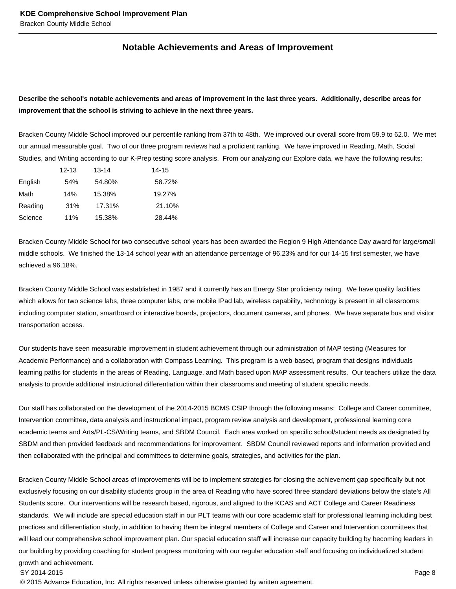# **Notable Achievements and Areas of Improvement**

# **Describe the school's notable achievements and areas of improvement in the last three years. Additionally, describe areas for improvement that the school is striving to achieve in the next three years.**

Bracken County Middle School improved our percentile ranking from 37th to 48th. We improved our overall score from 59.9 to 62.0. We met our annual measurable goal. Two of our three program reviews had a proficient ranking. We have improved in Reading, Math, Social Studies, and Writing according to our K-Prep testing score analysis. From our analyzing our Explore data, we have the following results:

|         | $12 - 13$ | $13 - 14$ | 14-15  |
|---------|-----------|-----------|--------|
| English | 54%       | 54.80%    | 58.72% |
| Math    | 14%       | 15.38%    | 19.27% |
| Reading | 31%       | 17.31%    | 21.10% |
| Science | 11%       | 15.38%    | 28.44% |

Bracken County Middle School for two consecutive school years has been awarded the Region 9 High Attendance Day award for large/small middle schools. We finished the 13-14 school year with an attendance percentage of 96.23% and for our 14-15 first semester, we have achieved a 96.18%.

Bracken County Middle School was established in 1987 and it currently has an Energy Star proficiency rating. We have quality facilities which allows for two science labs, three computer labs, one mobile IPad lab, wireless capability, technology is present in all classrooms including computer station, smartboard or interactive boards, projectors, document cameras, and phones. We have separate bus and visitor transportation access.

Our students have seen measurable improvement in student achievement through our administration of MAP testing (Measures for Academic Performance) and a collaboration with Compass Learning. This program is a web-based, program that designs individuals learning paths for students in the areas of Reading, Language, and Math based upon MAP assessment results. Our teachers utilize the data analysis to provide additional instructional differentiation within their classrooms and meeting of student specific needs.

Our staff has collaborated on the development of the 2014-2015 BCMS CSIP through the following means: College and Career committee, Intervention committee, data analysis and instructional impact, program review analysis and development, professional learning core academic teams and Arts/PL-CS/Writing teams, and SBDM Council. Each area worked on specific school/student needs as designated by SBDM and then provided feedback and recommendations for improvement. SBDM Council reviewed reports and information provided and then collaborated with the principal and committees to determine goals, strategies, and activities for the plan.

Bracken County Middle School areas of improvements will be to implement strategies for closing the achievement gap specifically but not exclusively focusing on our disability students group in the area of Reading who have scored three standard deviations below the state's All Students score. Our interventions will be research based, rigorous, and aligned to the KCAS and ACT College and Career Readiness standards. We will include are special education staff in our PLT teams with our core academic staff for professional learning including best practices and differentiation study, in addition to having them be integral members of College and Career and Intervention committees that will lead our comprehensive school improvement plan. Our special education staff will increase our capacity building by becoming leaders in our building by providing coaching for student progress monitoring with our regular education staff and focusing on individualized student growth and achievement.

#### SY 2014-2015 Page 8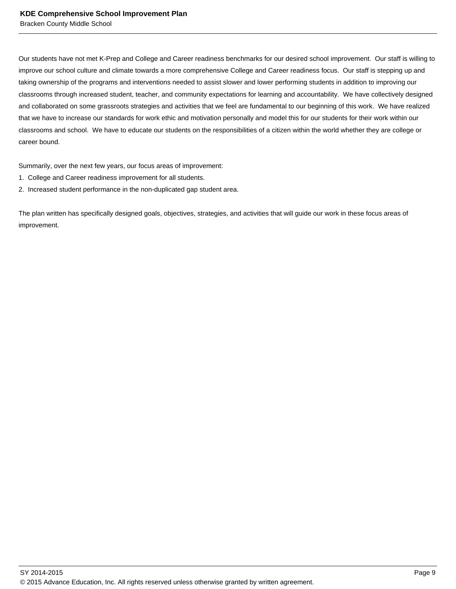Our students have not met K-Prep and College and Career readiness benchmarks for our desired school improvement. Our staff is willing to improve our school culture and climate towards a more comprehensive College and Career readiness focus. Our staff is stepping up and taking ownership of the programs and interventions needed to assist slower and lower performing students in addition to improving our classrooms through increased student, teacher, and community expectations for learning and accountability. We have collectively designed and collaborated on some grassroots strategies and activities that we feel are fundamental to our beginning of this work. We have realized that we have to increase our standards for work ethic and motivation personally and model this for our students for their work within our classrooms and school. We have to educate our students on the responsibilities of a citizen within the world whether they are college or career bound.

Summarily, over the next few years, our focus areas of improvement:

- 1. College and Career readiness improvement for all students.
- 2. Increased student performance in the non-duplicated gap student area.

The plan written has specifically designed goals, objectives, strategies, and activities that will guide our work in these focus areas of improvement.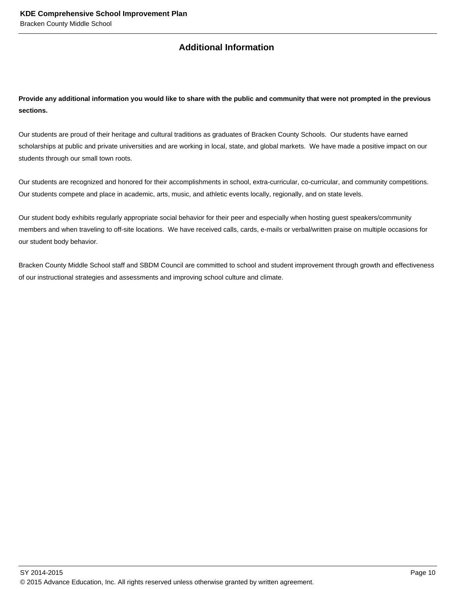# **Additional Information**

**Provide any additional information you would like to share with the public and community that were not prompted in the previous sections.**

Our students are proud of their heritage and cultural traditions as graduates of Bracken County Schools. Our students have earned scholarships at public and private universities and are working in local, state, and global markets. We have made a positive impact on our students through our small town roots.

Our students are recognized and honored for their accomplishments in school, extra-curricular, co-curricular, and community competitions. Our students compete and place in academic, arts, music, and athletic events locally, regionally, and on state levels.

Our student body exhibits regularly appropriate social behavior for their peer and especially when hosting guest speakers/community members and when traveling to off-site locations. We have received calls, cards, e-mails or verbal/written praise on multiple occasions for our student body behavior.

Bracken County Middle School staff and SBDM Council are committed to school and student improvement through growth and effectiveness of our instructional strategies and assessments and improving school culture and climate.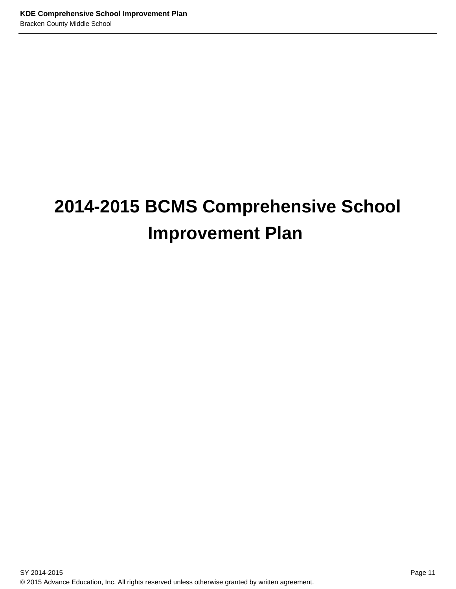# **2014-2015 BCMS Comprehensive School Improvement Plan**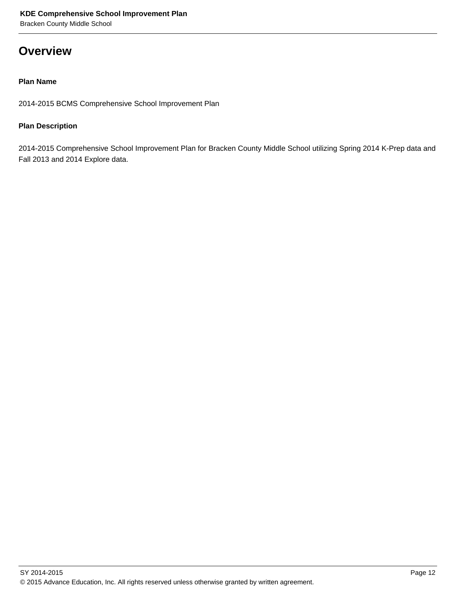# **Overview**

# **Plan Name**

2014-2015 BCMS Comprehensive School Improvement Plan

# **Plan Description**

2014-2015 Comprehensive School Improvement Plan for Bracken County Middle School utilizing Spring 2014 K-Prep data and Fall 2013 and 2014 Explore data.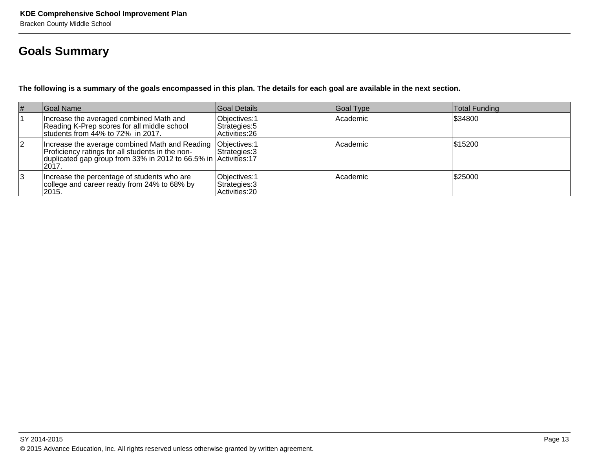# **Goals Summary**

**The following is a summary of the goals encompassed in this plan. The details for each goal are available in the next section.**

| $\vert \#$ | Goal Name                                                                                                                                                                       | Goal Details                                     | Goal Type | Total Funding |
|------------|---------------------------------------------------------------------------------------------------------------------------------------------------------------------------------|--------------------------------------------------|-----------|---------------|
|            | Increase the averaged combined Math and<br>Reading K-Prep scores for all middle school<br>students from 44% to 72% in 2017.                                                     | Objectives: 1<br>Strategies: 5<br>Activities: 26 | Academic  | \$34800       |
| 2          | Increase the average combined Math and Reading<br>Proficiency ratings for all students in the non-<br>duplicated gap group from 33% in 2012 to 66.5% in Activities: 17<br>2017. | Objectives: 1<br>Strategies: 3                   | Academic  | 1\$15200      |
| 13         | Increase the percentage of students who are<br>college and career ready from 24% to 68% by<br>2015.                                                                             | Objectives: 1<br>Strategies: 3<br>Activities: 20 | Academic  | \$25000       |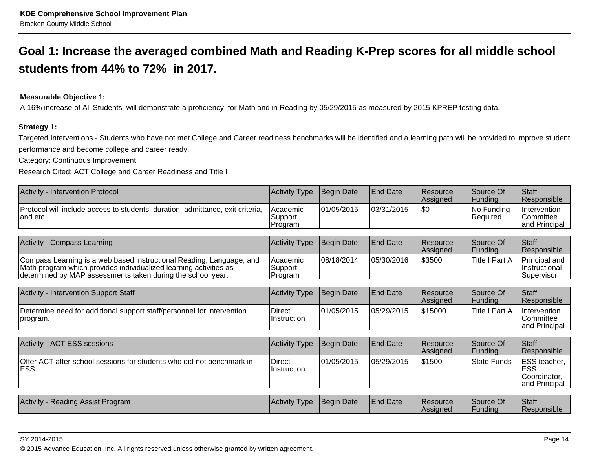# **Goal 1: Increase the averaged combined Math and Reading K-Prep scores for all middle schoolstudents from 44% to 72% in 2017.**

# **Measurable Objective 1:**

A 16% increase of All Students will demonstrate a proficiency for Math and in Reading by 05/29/2015 as measured by 2015 KPREP testing data.

### **Strategy 1:**

Targeted Interventions - Students who have not met College and Career readiness benchmarks will be identified and a learning path will be provided to improve studentperformance and become college and career ready.

Category: Continuous Improvement

Research Cited: ACT College and Career Readiness and Title I

| Activity - Intervention Protocol                                                                                                                                                                         | <b>Activity Type</b>           | Begin Date | <b>End Date</b> | Resource<br>Assigned | Source Of<br>Funding   | Staff<br>Responsible                                        |
|----------------------------------------------------------------------------------------------------------------------------------------------------------------------------------------------------------|--------------------------------|------------|-----------------|----------------------|------------------------|-------------------------------------------------------------|
| Protocol will include access to students, duration, admittance, exit criteria,<br>and etc.                                                                                                               | Academic<br>Support<br>Program | 01/05/2015 | 03/31/2015      | \$0                  | No Funding<br>Required | Intervention<br>Committee<br>and Principal                  |
|                                                                                                                                                                                                          |                                |            |                 |                      |                        |                                                             |
| Activity - Compass Learning                                                                                                                                                                              | <b>Activity Type</b>           | Begin Date | <b>End Date</b> | Resource<br>Assigned | Source Of<br>Funding   | Staff<br>Responsible                                        |
| Compass Learning is a web based instructional Reading, Language, and<br>Math program which provides individualized learning activities as<br>determined by MAP assessments taken during the school year. | Academic<br>Support<br>Program | 08/18/2014 | 05/30/2016      | \$3500               | Title I Part A         | Principal and<br>Instructional<br>Supervisor                |
|                                                                                                                                                                                                          |                                |            |                 |                      |                        |                                                             |
| Activity - Intervention Support Staff                                                                                                                                                                    | <b>Activity Type</b>           | Begin Date | <b>End Date</b> | Resource<br>Assigned | Source Of<br>Funding   | Staff<br>Responsible                                        |
| Determine need for additional support staff/personnel for intervention<br>program.                                                                                                                       | Direct<br>Instruction          | 01/05/2015 | 05/29/2015      | 1\$15000             | Title I Part A         | Intervention<br>Committee<br>and Principal                  |
|                                                                                                                                                                                                          |                                |            |                 |                      |                        |                                                             |
| Activity - ACT ESS sessions                                                                                                                                                                              | <b>Activity Type</b>           | Begin Date | <b>End Date</b> | Resource<br>Assigned | Source Of<br> Funding  | Staff<br>Responsible                                        |
| Offer ACT after school sessions for students who did not benchmark in<br><b>ESS</b>                                                                                                                      | Direct<br>Instruction          | 01/05/2015 | 05/29/2015      | \$1500               | <b>State Funds</b>     | ESS teacher,<br><b>ESS</b><br>Coordinator,<br>and Principal |
|                                                                                                                                                                                                          |                                |            |                 |                      |                        |                                                             |
| Activity - Reading Assist Program                                                                                                                                                                        | <b>Activity Type</b>           | Begin Date | <b>End Date</b> | Resource<br>Assigned | Source Of<br>Funding   | Staff<br>Responsible                                        |

en and the set of the set of the set of the set of the set of the set of the set of the set of the set of the set of the set of the set of the set of the set of the set of the set of the set of the set of the set of the se © 2015 Advance Education, Inc. All rights reserved unless otherwise granted by written agreement.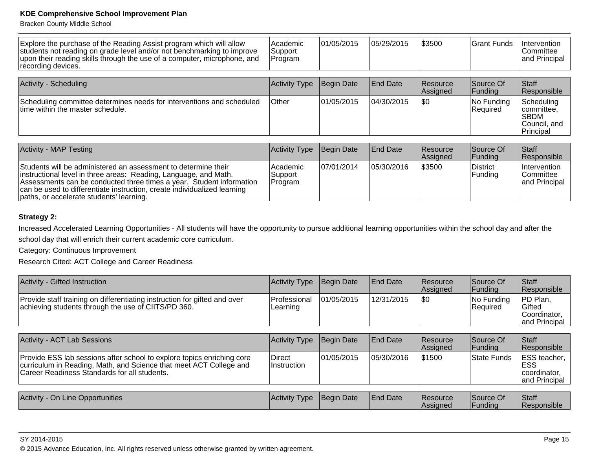Bracken County Middle School

| Explore the purchase of the Reading Assist program which will allow<br>students not reading on grade level and/or not benchmarking to improve<br>upon their reading skills through the use of a computer, microphone, and<br>recording devices. | Academic<br>Support<br>Program | 01/05/2015 | 05/29/2015      | \$3500               | Grant Funds                 | Intervention<br>lCommittee<br>and Principal                            |
|-------------------------------------------------------------------------------------------------------------------------------------------------------------------------------------------------------------------------------------------------|--------------------------------|------------|-----------------|----------------------|-----------------------------|------------------------------------------------------------------------|
|                                                                                                                                                                                                                                                 |                                |            |                 |                      |                             |                                                                        |
| <b>Activity - Scheduling</b>                                                                                                                                                                                                                    | <b>Activity Type</b>           | Begin Date | <b>End Date</b> | Resource<br>Assigned | Source Of<br> Funding       | Staff<br> Responsible                                                  |
| Scheduling committee determines needs for interventions and scheduled<br>time within the master schedule.                                                                                                                                       | Other                          | 01/05/2015 | 04/30/2015      | \$0                  | No Funding<br>Required      | Scheduling<br> committee,<br><b>SBDM</b><br> Council, and<br>Principal |
|                                                                                                                                                                                                                                                 |                                |            |                 |                      |                             |                                                                        |
| <b>Activity - MAP Testing</b>                                                                                                                                                                                                                   | <b>Activity Type</b>           | Begin Date | <b>End Date</b> | Resource<br>Assigned | Source Of<br> Funding       | <b>S</b> taff<br>Responsible                                           |
| Students will be administered an assessment to determine their<br>instructional level in three areas: Reading, Language, and Math.                                                                                                              | Academic<br> Support           | 07/01/2014 | 105/30/2016     | \$3500               | <b>District</b><br> Funding | Intervention<br>Committee                                              |

|                                                                                                                                                                                                                                                                                        |                                  |             |            | $\cdots$ | .                     | .                                                         |
|----------------------------------------------------------------------------------------------------------------------------------------------------------------------------------------------------------------------------------------------------------------------------------------|----------------------------------|-------------|------------|----------|-----------------------|-----------------------------------------------------------|
| Students will be administered an assessment to determine their<br>instructional level in three areas: Reading, Language, and Math.<br>Assessments can be conducted three times a vear. Student information<br>can be used to differentiate instruction, create individualized learning | Academic<br>Support<br>I Program | 107/01/2014 | 05/30/2016 | \$3500   | 'District<br> Funding | <b>Intervention</b><br><b>Committee</b><br>land Principal |
| paths, or accelerate students' learning.                                                                                                                                                                                                                                               |                                  |             |            |          |                       |                                                           |

# **Strategy 2:**

Increased Accelerated Learning Opportunities - All students will have the opportunity to pursue additional learning opportunities within the school day and after the

school day that will enrich their current academic core curriculum.

Category: Continuous Improvement

Research Cited: ACT College and Career Readiness

| Activity - Gifted Instruction                                                                                                                                                                | Activity Type                | <b>Begin Date</b> | <b>End Date</b> | <b>Resource</b><br>Assigned        | Source Of<br>Funding        | Staff<br>Responsible                                        |
|----------------------------------------------------------------------------------------------------------------------------------------------------------------------------------------------|------------------------------|-------------------|-----------------|------------------------------------|-----------------------------|-------------------------------------------------------------|
| Provide staff training on differentiating instruction for gifted and over<br>achieving students through the use of CIITS/PD 360.                                                             | Professional<br>Learning     | 101/05/2015       | 12/31/2015      | <b>SO</b>                          | No Funding<br>Required      | PD Plan.<br>Gifted<br>Coordinator,<br>and Principal         |
| <b>Activity - ACT Lab Sessions</b>                                                                                                                                                           | Activity Type                | Begin Date        | <b>End Date</b> | Resource<br>Assigned               | Source Of<br><b>Funding</b> | Staff<br>Responsible                                        |
| Provide ESS lab sessions after school to explore topics enriching core<br>curriculum in Reading, Math, and Science that meet ACT College and<br>Career Readiness Standards for all students. | <b>Direct</b><br>Instruction | 01/05/2015        | 05/30/2016      | \$1500                             | State Funds                 | ESS teacher,<br><b>ESS</b><br>coordinator.<br>and Principal |
|                                                                                                                                                                                              |                              |                   |                 |                                    |                             |                                                             |
| Activity - On Line Opportunities                                                                                                                                                             | Activity Type                | Begin Date        | <b>End Date</b> | <b>Resource</b><br><b>Assigned</b> | Source Of<br>Funding        | Staff<br>Responsible                                        |

en 15 and 20 and 20 and 20 and 20 and 20 and 20 and 20 and 20 and 20 and 20 and 20 and 20 and 20 and 20 and 20 © 2015 Advance Education, Inc. All rights reserved unless otherwise granted by written agreement.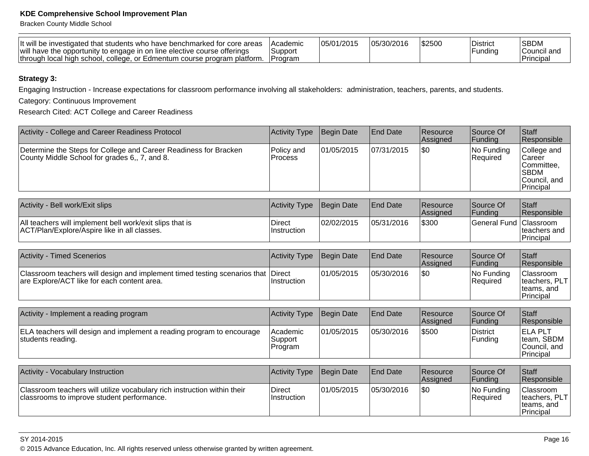Bracken County Middle School

| will have the opportunity to engage in on line elective course offerings<br>Suppor<br>e, or Edmentum course program platform. '<br>ו local high school. college.<br>Program<br>∣through | <b>Academic</b> |  | \$2500 | <sup>I</sup> District<br>Funding | <b>SBDM</b><br>Council and<br>'Principai |
|-----------------------------------------------------------------------------------------------------------------------------------------------------------------------------------------|-----------------|--|--------|----------------------------------|------------------------------------------|
|-----------------------------------------------------------------------------------------------------------------------------------------------------------------------------------------|-----------------|--|--------|----------------------------------|------------------------------------------|

# **Strategy 3:**

Engaging Instruction - Increase expectations for classroom performance involving all stakeholders: administration, teachers, parents, and students.

Category: Continuous Improvement

Research Cited: ACT College and Career Readiness

| Activity - College and Career Readiness Protocol                                                                  | Activity Type                | Begin Date | <b>End Date</b> | <b>IResource</b><br><b>Assigned</b> | Source Of<br> Funding          | <b>Staff</b><br>Responsible                                                              |
|-------------------------------------------------------------------------------------------------------------------|------------------------------|------------|-----------------|-------------------------------------|--------------------------------|------------------------------------------------------------------------------------------|
| Determine the Steps for College and Career Readiness for Bracken<br>County Middle School for grades 6,, 7, and 8. | Policy and<br><b>Process</b> | 01/05/2015 | 07/31/2015      | <b>SO</b>                           | INo Fundina<br><b>Required</b> | College and<br><b>Career</b><br>∣Committee.<br>ISBDM<br>Council. and<br><b>Principal</b> |

| Activity - Bell work/Exit slips                                                                          | Activity Type Begin Date            |            | <b>IEnd Date</b> | <b>Resource</b><br><b>Assigned</b> | Source Of<br>lFundina  | Staff<br>Responsible       |
|----------------------------------------------------------------------------------------------------------|-------------------------------------|------------|------------------|------------------------------------|------------------------|----------------------------|
| All teachers will implement bell work/exit slips that is<br>ACT/Plan/Explore/Aspire like in all classes. | <b>Direct</b><br><b>Instruction</b> | 02/02/2015 | 05/31/2016       | \$300                              | General Fund Classroom | Iteachers and<br>Principal |

| <b>Activity - Timed Scenerios</b>                                                                                               | Activity Type Begin Date |            | <b>End Date</b> | Resource<br><b>Assigned</b> | <b>Source Of</b><br><b>Funding</b> | Staff<br>Responsible                                     |
|---------------------------------------------------------------------------------------------------------------------------------|--------------------------|------------|-----------------|-----------------------------|------------------------------------|----------------------------------------------------------|
| Classroom teachers will design and implement timed testing scenarios that Direct<br>are Explore/ACT like for each content area. | ⊺Instruction             | 01/05/2015 | 05/30/2016      | 1\$0                        | No Funding<br>Required             | Classroom<br> teaches, PLT <br>Iteams, and<br> Principal |

| Activity - Implement a reading program                                                     | <b>Activity Type</b>           | Begin Date | <b>End Date</b> | <b>Resource</b><br><b>Assigned</b> | Source Of<br> Funding | <b>Staff</b><br>Responsible                         |
|--------------------------------------------------------------------------------------------|--------------------------------|------------|-----------------|------------------------------------|-----------------------|-----------------------------------------------------|
| ELA teachers will design and implement a reading program to encourage<br>students reading. | Academic<br>Support<br>Program | 01/05/2015 | 05/30/2016      | \$500                              | District<br>Funding   | IELA PLT<br>team, SBDM<br>Council. and<br>Principal |

| Activity - Vocabulary Instruction                                                                                      | Activity Type         | Begin Date | <b>End Date</b> | <b>Resource</b><br><b>Assigned</b> | <b>Source Of</b><br><b>Funding</b> | <b>Staff</b><br>Responsible                                    |
|------------------------------------------------------------------------------------------------------------------------|-----------------------|------------|-----------------|------------------------------------|------------------------------------|----------------------------------------------------------------|
| Classroom teachers will utilize vocabulary rich instruction within their<br>classrooms to improve student performance. | Direct<br>Instruction | 01/05/2015 | 05/30/2016      | 1\$0                               | No Funding<br>Required             | <b>Classroom</b><br>teachers, PLT<br>Iteams, and<br> Principal |

en and the set of the set of the set of the set of the set of the set of the set of the set of the Page 16  $\,$ © 2015 Advance Education, Inc. All rights reserved unless otherwise granted by written agreement.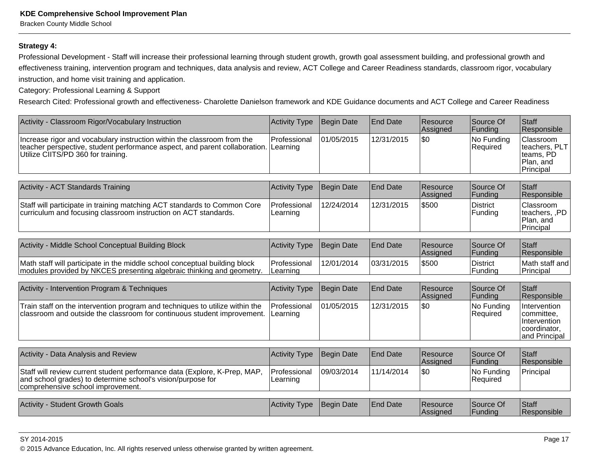Bracken County Middle School

#### **Strategy 4:**

Professional Development - Staff will increase their professional learning through student growth, growth goal assessment building, and professional growth and effectiveness training, intervention program and techniques, data analysis and review, ACT College and Career Readiness standards, classroom rigor, vocabularyinstruction, and home visit training and application.

Category: Professional Learning & Support

Activity - Classroom Rigor/Vocabulary Instruction

Research Cited: Professional growth and effectiveness- Charolette Danielson framework and KDE Guidance documents and ACT College and Career Readiness

Activity Type Begin Date End Date Resource

 $\cos \theta$ 

 $\epsilon$ 

| <u>100 YILY - ORASSI OOTITTUGOT/ V OCADURIY THSU UCUOTI</u>                                                                                                                                 | TULIVILY I YPU             | Duyin Dalu        | ∟⊔u Daw         | 110000100<br>Assigned | ovurvo vi<br>Funding       | Ululi<br>Responsible                                                        |
|---------------------------------------------------------------------------------------------------------------------------------------------------------------------------------------------|----------------------------|-------------------|-----------------|-----------------------|----------------------------|-----------------------------------------------------------------------------|
| Increase rigor and vocabulary instruction within the classroom from the<br>teacher perspective, student performance aspect, and parent collaboration.<br>Utilize CIITS/PD 360 for training. | l Professional<br>Learning | 01/05/2015        | 12/31/2015      | l\$0                  | No Funding<br>Required     | Classroom<br>teachers, PLT<br>teams, PD<br>Plan, and<br>Principal           |
| Activity - ACT Standards Training                                                                                                                                                           | <b>Activity Type</b>       | <b>Begin Date</b> | <b>End Date</b> | Resource<br>Assigned  | Source Of<br>Funding       | Staff<br>Responsible                                                        |
| Staff will participate in training matching ACT standards to Common Core<br>curriculum and focusing classroom instruction on ACT standards.                                                 | Professional<br>Learning   | 12/24/2014        | 12/31/2015      | \$500                 | District<br>Funding        | Classroom<br>teachers, ,PD<br>Plan, and<br>Principal                        |
|                                                                                                                                                                                             |                            |                   |                 |                       |                            |                                                                             |
| Activity - Middle School Conceptual Building Block                                                                                                                                          | <b>Activity Type</b>       | Begin Date        | <b>End Date</b> | Resource<br>Assigned  | Source Of<br>Funding       | Staff<br>Responsible                                                        |
| Math staff will participate in the middle school conceptual building block<br>modules provided by NKCES presenting algebraic thinking and geometry                                          | Professional<br>Learning   | 12/01/2014        | 03/31/2015      | \$500                 | <b>District</b><br>Funding | Math staff and<br>Principal                                                 |
| Activity - Intervention Program & Techniques                                                                                                                                                | <b>Activity Type</b>       | Begin Date        | <b>End Date</b> | Resource<br>Assigned  | Source Of<br>Funding       | Staff<br>Responsible                                                        |
| Train staff on the intervention program and techniques to utilize within the<br>classroom and outside the classroom for continuous student improvement.                                     | Professional<br>Learning   | 01/05/2015        | 12/31/2015      | l\$0                  | No Funding<br>Required     | Intervention<br>committee,<br>Intervention<br>coordinator,<br>and Principal |
|                                                                                                                                                                                             |                            |                   |                 |                       |                            |                                                                             |
| <b>Activity - Data Analysis and Review</b>                                                                                                                                                  | <b>Activity Type</b>       | Begin Date        | <b>End Date</b> | Resource<br>Assigned  | Source Of<br>Funding       | Staff<br>Responsible                                                        |
| Staff will review current student performance data (Explore, K-Prep, MAP,<br>and school grades) to determine school's vision/purpose for<br>comprehensive school improvement.               | Professional<br>Learning   | 09/03/2014        | 11/14/2014      | \$0                   | No Funding<br>Required     | Principal                                                                   |
| Activity - Student Growth Goals                                                                                                                                                             | <b>Activity Type</b>       | Begin Date        | <b>End Date</b> | Resource<br>Assigned  | Source Of<br>Funding       | Staff<br>Responsible                                                        |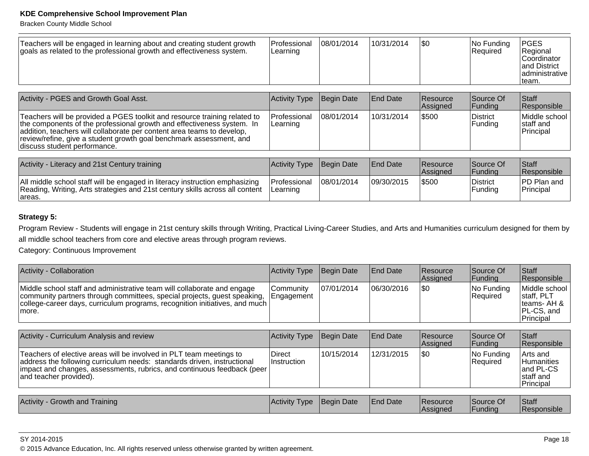Bracken County Middle School

| Teachers will be engaged in learning about and creating student growth<br>goals as related to the professional growth and effectiveness system.     | Professional<br>Learning         | 08/01/2014  | 10/31/2014      | 1\$0                        | No Funding<br>Required | PGES<br>Regional<br>lCoordinator<br>land District<br>ladministrative<br>∣team. |
|-----------------------------------------------------------------------------------------------------------------------------------------------------|----------------------------------|-------------|-----------------|-----------------------------|------------------------|--------------------------------------------------------------------------------|
| Activity - PGES and Growth Goal Asst.                                                                                                               | Activity Type                    | Begin Date  | <b>End Date</b> | <b>Resource</b><br>Assigned | Source Of<br> Funding  | Staff<br>Responsible                                                           |
| Teachers will be provided a PGES toolkit and resource training related to<br>the components of the professional growth and effectiveness system. In | <b>IProfessional</b><br>Learning | 108/01/2014 | 10/31/2014      | \$500                       | District<br>Fundina    | Middle school<br>Istaff and                                                    |

|                                                                                                                                                                                |   |  | $\sim$  | $\sim$    |
|--------------------------------------------------------------------------------------------------------------------------------------------------------------------------------|---|--|---------|-----------|
|                                                                                                                                                                                |   |  |         |           |
| addition, teachers will collaborate per content area teams to develop,<br>review/refine, give a student growth goal benchmark assessment, and<br>Idiscuss student performance. |   |  |         | Principa. |
|                                                                                                                                                                                | . |  | ------- | .         |

| Activity - Literacy and 21st Century training                                                                                                                          | Activity Type Begin Date          |            | <b>IEnd Date</b> | <b>IResource</b><br><b>Assigned</b> | Source Of<br><b>IFundina</b> | Staff<br><b>Responsible</b>     |
|------------------------------------------------------------------------------------------------------------------------------------------------------------------------|-----------------------------------|------------|------------------|-------------------------------------|------------------------------|---------------------------------|
| All middle school staff will be engaged in literacy instruction emphasizing<br>Reading, Writing, Arts strategies and 21st century skills across all content<br>lareas. | lProfessional<br><b>ILearning</b> | 08/01/2014 | 09/30/2015       | \$500                               | <b>District</b><br>Funding   | <b>PD Plan and</b><br>Principal |

# **Strategy 5:**

Program Review - Students will engage in 21st century skills through Writing, Practical Living-Career Studies, and Arts and Humanities curriculum designed for them byall middle school teachers from core and elective areas through program reviews.

Category: Continuous Improvement

| Activity - Collaboration                                                                                                                                                                                                                        | Activity Type Begin Date         |             | <b>End Date</b> | <b>Resource</b><br><b>Assigned</b> | Source Of<br>IFundina    | <b>Staff</b><br><b>Responsible</b>                                             |
|-------------------------------------------------------------------------------------------------------------------------------------------------------------------------------------------------------------------------------------------------|----------------------------------|-------------|-----------------|------------------------------------|--------------------------|--------------------------------------------------------------------------------|
| Middle school staff and administrative team will collaborate and engage<br>community partners through committees, special projects, quest speaking,<br> college-career days, curriculum programs, recognition initiatives, and much  <br>Imore. | ICommunity<br><b>IEngagement</b> | 107/01/2014 | 106/30/2016     | 1\$0                               | No Funding<br>l Reauired | Middle school<br>Istaff, PLT<br>$ $ teams-AH & $ $<br>IPL-CS, and<br>Principal |

| Activity - Curriculum Analysis and review                                                                                                                                                                                                             | Activity Type                       | Begin Date | <b>End Date</b> | Resource<br><b>Assigned</b> | Source Of<br> Funding  | <b>Staff</b><br><b>Responsible</b>                                    |
|-------------------------------------------------------------------------------------------------------------------------------------------------------------------------------------------------------------------------------------------------------|-------------------------------------|------------|-----------------|-----------------------------|------------------------|-----------------------------------------------------------------------|
| Teachers of elective areas will be involved in PLT team meetings to<br>address the following curriculum needs: standards driven, instructional<br> impact and changes, assessments, rubrics, and continuous feedback (peer)<br>and teacher provided). | <b>Direct</b><br><b>Instruction</b> | 10/15/2014 | 12/31/2015      | 1\$0                        | No Funding<br>Required | Arts and<br><b>Humanities</b><br>and PL-CS<br>Istaff and<br>Principal |

| Activity - Growth and Training | <b>Activity Type</b> | Begin Date | <b>End Date</b> | <b>Resource</b><br><b>Assigned</b> | Source Of<br>Funding | Staff<br><b>Responsible</b> |
|--------------------------------|----------------------|------------|-----------------|------------------------------------|----------------------|-----------------------------|
|--------------------------------|----------------------|------------|-----------------|------------------------------------|----------------------|-----------------------------|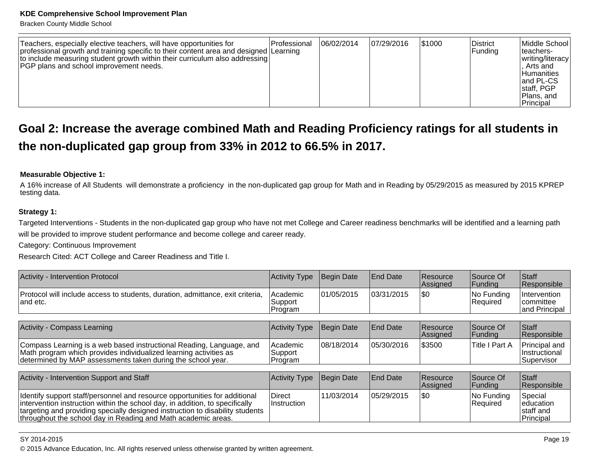Bracken County Middle School

| Teachers, especially elective teachers, will have opportunities for<br>professional growth and training specific to their content area and designed Learning<br>to include measuring student growth within their curriculum also addressing<br><b>PGP</b> plans and school improvement needs. | l Professional | 06/02/2014 | 07/29/2016 | \$1000 | <b>District</b><br> Funding | Middle School<br>Iteachers-<br> writing/literacy <br>. Arts and<br><b>Humanities</b><br>land PL-CS<br>staff, PGP<br> Plans. and<br> Principal |
|-----------------------------------------------------------------------------------------------------------------------------------------------------------------------------------------------------------------------------------------------------------------------------------------------|----------------|------------|------------|--------|-----------------------------|-----------------------------------------------------------------------------------------------------------------------------------------------|
|-----------------------------------------------------------------------------------------------------------------------------------------------------------------------------------------------------------------------------------------------------------------------------------------------|----------------|------------|------------|--------|-----------------------------|-----------------------------------------------------------------------------------------------------------------------------------------------|

# **Goal 2: Increase the average combined Math and Reading Proficiency ratings for all students inthe non-duplicated gap group from 33% in 2012 to 66.5% in 2017.**

### **Measurable Objective 1:**

A 16% increase of All Students will demonstrate a proficiency in the non-duplicated gap group for Math and in Reading by 05/29/2015 as measured by 2015 KPREPtesting data.

### **Strategy 1:**

Targeted Interventions - Students in the non-duplicated gap group who have not met College and Career readiness benchmarks will be identified and a learning pathwill be provided to improve student performance and become college and career ready.

Category: Continuous Improvement

Research Cited: ACT College and Career Readiness and Title I.

| <b>Activity - Intervention Protocol</b>                                                                                                                                                                                                                                                                      | <b>Activity Type</b>            | <b>Begin Date</b> | <b>End Date</b> | Resource<br>Assigned | Source Of<br> Funding   | <b>Staff</b><br>Responsible                     |
|--------------------------------------------------------------------------------------------------------------------------------------------------------------------------------------------------------------------------------------------------------------------------------------------------------------|---------------------------------|-------------------|-----------------|----------------------|-------------------------|-------------------------------------------------|
| Protocol will include access to students, duration, admittance, exit criteria,<br>and etc.                                                                                                                                                                                                                   | Academic<br>Support<br> Program | 101/05/2015       | 03/31/2015      | I\$0                 | No Funding <br>Required | Intervention<br>committee<br>and Principal      |
|                                                                                                                                                                                                                                                                                                              |                                 |                   |                 |                      |                         |                                                 |
| <b>Activity - Compass Learning</b>                                                                                                                                                                                                                                                                           | <b>Activity Type</b>            | Begin Date        | <b>End Date</b> | Resource<br>Assigned | Source Of<br> Funding   | Staff<br>Responsible                            |
| Compass Learning is a web based instructional Reading, Language, and<br>Math program which provides individualized learning activities as<br>determined by MAP assessments taken during the school year.                                                                                                     | Academic<br>Support<br>Program  | 08/18/2014        | 05/30/2016      | \$3500               | Title I Part A          | Principal and<br>Instructional<br>Supervisor    |
|                                                                                                                                                                                                                                                                                                              |                                 |                   |                 |                      |                         |                                                 |
| Activity - Intervention Support and Staff                                                                                                                                                                                                                                                                    | <b>Activity Type</b>            | Begin Date        | <b>End Date</b> | Resource<br>Assigned | Source Of<br> Funding   | Staff<br>Responsible                            |
| Identify support staff/personnel and resource opportunities for additional<br>intervention instruction within the school day, in addition, to specifically<br>targeting and providing specially designed instruction to disability students<br>throughout the school day in Reading and Math academic areas. | <b>Direct</b><br>Instruction    | 11/03/2014        | 05/29/2015      | <b>SO</b>            | No Funding<br>Required  | Special<br>leducation<br>staff and<br>Principal |

#### SY 2014-2015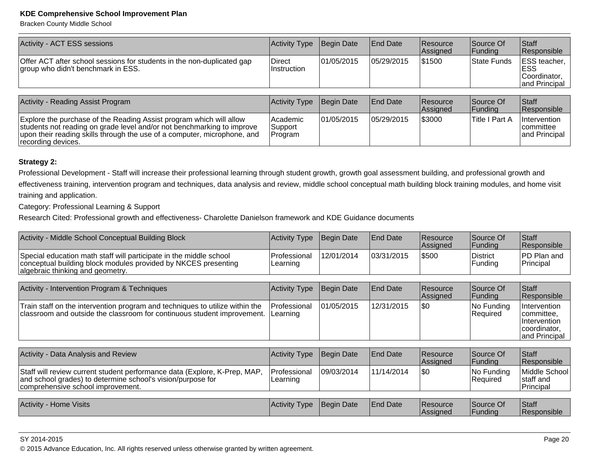Bracken County Middle School

| Activity - ACT ESS sessions                                                                                                                                                                                                                     | Activity Type                  | Begin Date  | <b>End Date</b> | Resource<br>Assigned | Source Of<br> Funding | Staff<br>Responsible                                        |
|-------------------------------------------------------------------------------------------------------------------------------------------------------------------------------------------------------------------------------------------------|--------------------------------|-------------|-----------------|----------------------|-----------------------|-------------------------------------------------------------|
| Offer ACT after school sessions for students in the non-duplicated gap<br>group who didn't benchmark in ESS.                                                                                                                                    | <b>Direct</b><br>Instruction   | 101/05/2015 | 05/29/2015      | \$1500               | State Funds           | ESS teacher,<br><b>ESS</b><br>Coordinator.<br>and Principal |
| <b>Activity - Reading Assist Program</b>                                                                                                                                                                                                        | <b>Activity Type</b>           | Begin Date  | <b>End Date</b> | Resource<br>Assigned | Source Of<br> Funding | Staff<br>Responsible                                        |
| Explore the purchase of the Reading Assist program which will allow<br>students not reading on grade level and/or not benchmarking to improve<br>upon their reading skills through the use of a computer, microphone, and<br>recording devices. | Academic<br>Support<br>Program | 01/05/2015  | 05/29/2015      | \$3000               | <b>Title I Part A</b> | Intervention<br> committee <br>and Principal                |

## **Strategy 2:**

Professional Development - Staff will increase their professional learning through student growth, growth goal assessment building, and professional growth and effectiveness training, intervention program and techniques, data analysis and review, middle school conceptual math building block training modules, and home visittraining and application.

Category: Professional Learning & Support

Research Cited: Professional growth and effectiveness- Charolette Danielson framework and KDE Guidance documents

| Activity - Middle School Conceptual Building Block                                                                                                                            | <b>Activity Type</b>     | Begin Date        | <b>End Date</b> | Resource<br> Assigned | Source Of<br>Funding       | Staff<br> Responsible_                                                      |
|-------------------------------------------------------------------------------------------------------------------------------------------------------------------------------|--------------------------|-------------------|-----------------|-----------------------|----------------------------|-----------------------------------------------------------------------------|
| Special education math staff will participate in the middle school<br>conceptual building block modules provided by NKCES presenting<br>algebraic thinking and geometry.      | Professional<br>Learning | 12/01/2014        | 03/31/2015      | \$500                 | <b>District</b><br>Funding | PD Plan and<br>Principal                                                    |
|                                                                                                                                                                               |                          |                   |                 |                       |                            |                                                                             |
| Activity - Intervention Program & Techniques                                                                                                                                  | <b>Activity Type</b>     | Begin Date        | End Date        | Resource<br>Assigned  | Source Of<br> Funding      | Staff<br> Responsible_                                                      |
| Train staff on the intervention program and techniques to utilize within the<br>classroom and outside the classroom for continuous student improvement.                       | Professional<br>Learning | 01/05/2015        | 12/31/2015      | \$0                   | No Funding<br>Required     | Intervention<br>committee,<br>Intervention<br>coordinator,<br>and Principal |
|                                                                                                                                                                               |                          |                   |                 |                       |                            |                                                                             |
| Activity - Data Analysis and Review                                                                                                                                           | <b>Activity Type</b>     | Begin Date        | <b>End Date</b> | Resource<br>Assigned  | Source Of<br>Funding       | Staff<br>Responsible                                                        |
| Staff will review current student performance data (Explore, K-Prep, MAP,<br>and school grades) to determine school's vision/purpose for<br>comprehensive school improvement. | Professional<br>Learning | 09/03/2014        | 11/14/2014      | <b>SO</b>             | No Funding<br>Required     | Middle School<br> staff and<br>Principal                                    |
|                                                                                                                                                                               |                          |                   |                 |                       |                            |                                                                             |
| <b>Activity - Home Visits</b>                                                                                                                                                 | <b>Activity Type</b>     | <b>Begin Date</b> | <b>End Date</b> | Resource<br> Assigned | Source Of<br> Fundina      | Staff<br> Responsible_                                                      |

en and the state of the state of the state of the state of the state of the state  $P$  age 20  $\,$ © 2015 Advance Education, Inc. All rights reserved unless otherwise granted by written agreement.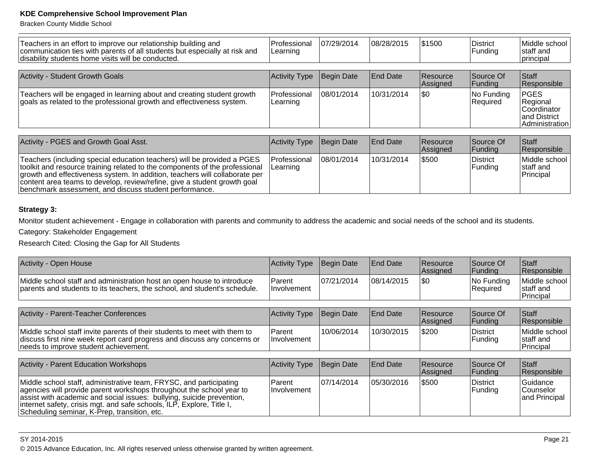Bracken County Middle School

| Teachers in an effort to improve our relationship building and<br>communication ties with parents of all students but especially at risk and<br>disability students home visits will be conducted. | l Professional<br>Learning | 07/29/2014  | 108/28/2015     | \$1500               | District<br>Funding                  | Middle school<br>staff and<br> principal                                 |
|----------------------------------------------------------------------------------------------------------------------------------------------------------------------------------------------------|----------------------------|-------------|-----------------|----------------------|--------------------------------------|--------------------------------------------------------------------------|
|                                                                                                                                                                                                    |                            |             |                 |                      |                                      |                                                                          |
| Activity - Student Growth Goals                                                                                                                                                                    | Activity Type              | Begin Date  | End Date        | Resource<br>Assigned | Source Of<br>Funding                 | <b>Staff</b><br>Responsible                                              |
| Teachers will be engaged in learning about and creating student growth<br>goals as related to the professional growth and effectiveness system.                                                    | Professional<br>Learning   | 108/01/2014 | 10/31/2014      | <b>\$0</b>           | No Funding<br>Required               | <b>PGES</b><br>Regional<br>Coordinator<br>and District<br>Administration |
|                                                                                                                                                                                                    |                            |             |                 |                      |                                      |                                                                          |
| Activity - PGES and Growth Goal Asst.                                                                                                                                                              | Activity Type              | Begin Date  | <b>End Date</b> | Resource<br>Assigned | Source Of<br> Funding                | <b>Staff</b><br>Responsible                                              |
| Teachers (including special education teachers) will be provided a PGES<br>والمجاولين والمستطر والمتحادث والمستحدث والمتعا والمتعاون والمالطين والمستحدث والمستحاد المحاربة                        | Professional               | 108/01/2014 | 10/31/2014      | \$500                | <b>District</b><br>والمنافذ ويستباها | Middle school<br>$-1 - H - $                                             |

| toolkit and resource training related to the components of the professional<br>arowth and effectiveness system. In addition, teachers will collaborate per<br>content area teams to develop, review/refine, give a student growth goal<br>benchmark assessment, and discuss student performance. | I Learning |  |  | Funding | Istaff and<br>Principal |
|--------------------------------------------------------------------------------------------------------------------------------------------------------------------------------------------------------------------------------------------------------------------------------------------------|------------|--|--|---------|-------------------------|
|--------------------------------------------------------------------------------------------------------------------------------------------------------------------------------------------------------------------------------------------------------------------------------------------------|------------|--|--|---------|-------------------------|

# **Strategy 3:**

Monitor student achievement - Engage in collaboration with parents and community to address the academic and social needs of the school and its students.

Category: Stakeholder Engagement

Research Cited: Closing the Gap for All Students

| Activity - Open House                                                                                                                                                                                                                                                                                                                        | Activity Type         | Begin Date | <b>End Date</b> | Resource<br>Assigned | Source Of<br> Funding      | Staff<br>Responsible                           |
|----------------------------------------------------------------------------------------------------------------------------------------------------------------------------------------------------------------------------------------------------------------------------------------------------------------------------------------------|-----------------------|------------|-----------------|----------------------|----------------------------|------------------------------------------------|
| Middle school staff and administration host an open house to introduce<br>parents and students to its teachers, the school, and student's schedule.                                                                                                                                                                                          | Parent<br>Involvement | 07/21/2014 | 108/14/2015     | \$0                  | No Funding<br>Required     | Middle school<br>Istaff and<br>Principal       |
| Activity - Parent-Teacher Conferences                                                                                                                                                                                                                                                                                                        | Activity Type         | Begin Date | <b>End Date</b> | Resource             | Source Of                  | <b>S</b> taff                                  |
|                                                                                                                                                                                                                                                                                                                                              |                       |            |                 | Assigned             | Funding                    | Responsible                                    |
| Middle school staff invite parents of their students to meet with them to<br>discuss first nine week report card progress and discuss any concerns or<br>needs to improve student achievement.                                                                                                                                               | Parent<br>Involvement | 10/06/2014 | 10/30/2015      | \$200                | District<br>Funding        | Middle school<br> staff and<br>Principal       |
|                                                                                                                                                                                                                                                                                                                                              |                       |            |                 |                      |                            |                                                |
| <b>Activity - Parent Education Workshops</b>                                                                                                                                                                                                                                                                                                 | Activity Type         | Begin Date | <b>End Date</b> | Resource<br>Assigned | Source Of<br>Funding       | <b>S</b> taff<br>Responsible                   |
| Middle school staff, administrative team, FRYSC, and participating<br>agencies will provide parent workshops throughout the school year to<br>assist with academic and social issues: bullying, suicide prevention,<br>internet safety, crisis mgt. and safe schools, ILP, Explore, Title I,<br>Scheduling seminar, K-Prep, transition, etc. | Parent<br>Involvement | 07/14/2014 | 05/30/2016      | \$500                | <b>District</b><br>Funding | <b>Guidance</b><br>lCounselor<br>and Principal |

### SY 2014-2015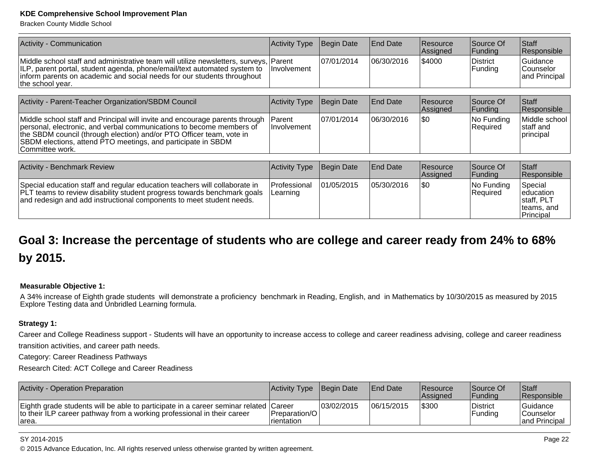Bracken County Middle School

| Activity - Communication                                                                                                                                                                                                                                         | Activity Type      | Begin Date  | <b>End Date</b>  | Resource<br>Assigned | Source Of<br>Funding  | <b>Staff</b><br>Responsible                          |
|------------------------------------------------------------------------------------------------------------------------------------------------------------------------------------------------------------------------------------------------------------------|--------------------|-------------|------------------|----------------------|-----------------------|------------------------------------------------------|
| Middle school staff and administrative team will utilize newsletters, surveys, Parent<br>ILP, parent portal, student agenda, phone/email/text automated system to<br>inform parents on academic and social needs for our students throughout<br>the school year. | <b>Involvement</b> | 107/01/2014 | 106/30/2016      | \$4000               | District<br> Funding  | <b>Guidance</b><br><b>Counselor</b><br>and Principal |
|                                                                                                                                                                                                                                                                  |                    |             |                  |                      |                       |                                                      |
| Activity - Parent-Teacher Organization/SBDM Council                                                                                                                                                                                                              | Activity Type      | Begin Date  | <b>IEnd Date</b> | Resource<br>Assigned | Source Of<br> Funding | <b>Staff</b><br>Responsible                          |

| Middle school staff and Principal will invite and encourage parents through   Parent<br>personal, electronic, and verbal communications to become members of<br>the SBDM council (through election) and/or PTO Officer team, vote in<br>SBDM elections, attend PTO meetings, and participate in SBDM<br>Committee work. | <b>Involvement</b> | 107/01/2014       | 06/30/2016       | \$0                            | $ No$ Funding<br> Reauired  | Middle school<br>Istaff and<br>principal |
|-------------------------------------------------------------------------------------------------------------------------------------------------------------------------------------------------------------------------------------------------------------------------------------------------------------------------|--------------------|-------------------|------------------|--------------------------------|-----------------------------|------------------------------------------|
|                                                                                                                                                                                                                                                                                                                         |                    |                   |                  |                                |                             |                                          |
| <b>Activity - Benchmark Review</b>                                                                                                                                                                                                                                                                                      | Activity Type      | <b>Begin Date</b> | <b>IEnd Date</b> | <b>Resource</b><br>$A$ ccinnad | Source Of<br><b>Eunding</b> | Staff<br><u>IRaenoneibla</u>             |

|                                                                                                                                                                                                                                      |                                         |             |             | <b>Assigned</b> | Funding                  | <b>Responsible</b>                                                       |
|--------------------------------------------------------------------------------------------------------------------------------------------------------------------------------------------------------------------------------------|-----------------------------------------|-------------|-------------|-----------------|--------------------------|--------------------------------------------------------------------------|
| Special education staff and regular education teachers will collaborate in<br><b>PLT</b> teams to review disability student progress towards benchmark goals<br>and redesign and add instructional components to meet student needs. | <b>Professional</b><br><b>ILearning</b> | 101/05/2015 | 105/30/2016 | 1\$0            | INo Fundina<br> Reauired | 'Special<br>leducation<br>Istaff, PLT<br>Iteams, and<br><b>Principal</b> |

# **Goal 3: Increase the percentage of students who are college and career ready from 24% to 68%by 2015.**

## **Measurable Objective 1:**

A 34% increase of Eighth grade students will demonstrate a proficiency benchmark in Reading, English, and in Mathematics by 10/30/2015 as measured by 2015<br>Explore Testing data and Unbridled Learning formula.

### **Strategy 1:**

Career and College Readiness support - Students will have an opportunity to increase access to college and career readiness advising, college and career readinesstransition activities, and career path needs.

Category: Career Readiness Pathways

Research Cited: ACT College and Career Readiness

| <b>Activity - Operation Preparation</b>                                                                                                                                   | Activity Type Begin Date       |             | <b>IEnd Date</b> | <b>Resource</b><br><b>Assigned</b> | Source Of<br> Fundina | <b>Staff</b><br><b>Responsible</b>                   |
|---------------------------------------------------------------------------------------------------------------------------------------------------------------------------|--------------------------------|-------------|------------------|------------------------------------|-----------------------|------------------------------------------------------|
| Eighth grade students will be able to participate in a career seminar related Career<br>to their ILP career pathway from a working professional in their career<br>larea. | Preparation/O <br>I rientation | 103/02/2015 | 106/15/2015      | \$300                              | District<br>Funding   | <b>Guidance</b><br><b>Counselor</b><br>and Principal |

#### SY 2014-2015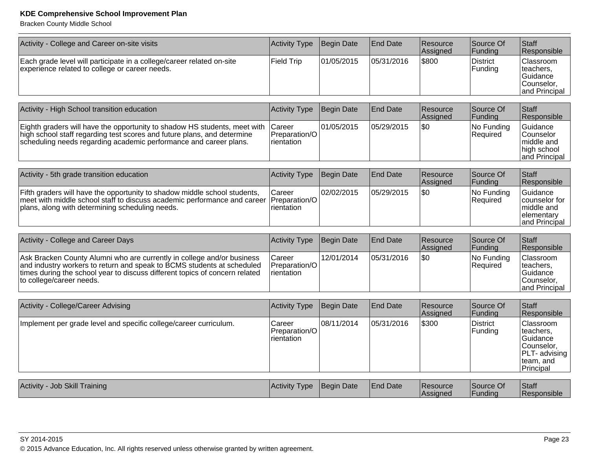Bracken County Middle School

| Activity - College and Career on-site visits                                                                                                                                                                                                                | <b>Activity Type</b>                  | Begin Date        | End Date        | Resource<br>Assigned | Source Of<br>Funding       | Staff<br>Responsible                                                                        |
|-------------------------------------------------------------------------------------------------------------------------------------------------------------------------------------------------------------------------------------------------------------|---------------------------------------|-------------------|-----------------|----------------------|----------------------------|---------------------------------------------------------------------------------------------|
| Each grade level will participate in a college/career related on-site<br>experience related to college or career needs.                                                                                                                                     | <b>Field Trip</b>                     | 01/05/2015        | 05/31/2016      | \$800                | <b>District</b><br>Funding | Classroom<br>teachers,<br>Guidance<br>Counselor,<br>and Principal                           |
| Activity - High School transition education                                                                                                                                                                                                                 | Activity Type                         | <b>Begin Date</b> | <b>End Date</b> | Resource<br>Assigned | Source Of<br>Funding       | Staff<br>Responsible                                                                        |
| Eighth graders will have the opportunity to shadow HS students, meet with<br>high school staff regarding test scores and future plans, and determine<br>scheduling needs regarding academic performance and career plans.                                   | Career<br>Preparation/O<br>rientation | 01/05/2015        | 05/29/2015      | \$0                  | No Funding<br>Required     | Guidance<br>Counselor<br>middle and<br>high school<br>and Principal                         |
| Activity - 5th grade transition education                                                                                                                                                                                                                   | <b>Activity Type</b>                  | Begin Date        | <b>End Date</b> | Resource             | Source Of                  | Staff                                                                                       |
|                                                                                                                                                                                                                                                             |                                       |                   |                 | Assigned             | Funding                    | Responsible                                                                                 |
| Fifth graders will have the opportunity to shadow middle school students,<br>meet with middle school staff to discuss academic performance and career<br>plans, along with determining scheduling needs.                                                    | Career<br>Preparation/O<br>rientation | 02/02/2015        | 05/29/2015      | \$0                  | No Funding<br>Required     | Guidance<br>counselor for<br>middle and<br>elementary<br>and Principal                      |
|                                                                                                                                                                                                                                                             |                                       |                   |                 |                      |                            |                                                                                             |
| Activity - College and Career Days                                                                                                                                                                                                                          | <b>Activity Type</b>                  | Begin Date        | <b>End Date</b> | Resource<br>Assigned | Source Of<br>Funding       | Staff<br>Responsible                                                                        |
| Ask Bracken County Alumni who are currently in college and/or business<br>and industry workers to return and speak to BCMS students at scheduled<br>times during the school year to discuss different topics of concern related<br>to college/career needs. | Career<br>Preparation/O<br>rientation | 12/01/2014        | 05/31/2016      | \$0                  | No Funding<br>Required     | Classroom<br>teachers,<br>Guidance<br>Counselor,<br>and Principal                           |
| Activity - College/Career Advising                                                                                                                                                                                                                          | <b>Activity Type</b>                  | Begin Date        | <b>End Date</b> | Resource<br>Assigned | Source Of<br>Funding       | Staff<br>Responsible                                                                        |
| Implement per grade level and specific college/career curriculum.                                                                                                                                                                                           | Career<br>Preparation/O<br>rientation | 08/11/2014        | 05/31/2016      | \$300                | <b>District</b><br>Funding | Classroom<br>teachers,<br>Guidance<br>Counselor,<br>PLT- advising<br>team, and<br>Principal |
|                                                                                                                                                                                                                                                             |                                       |                   |                 |                      |                            |                                                                                             |
| Activity - Job Skill Training                                                                                                                                                                                                                               | Activity Type                         | Begin Date        | <b>End Date</b> | Resource<br>Assigned | Source Of<br>Funding       | Staff<br>Responsible                                                                        |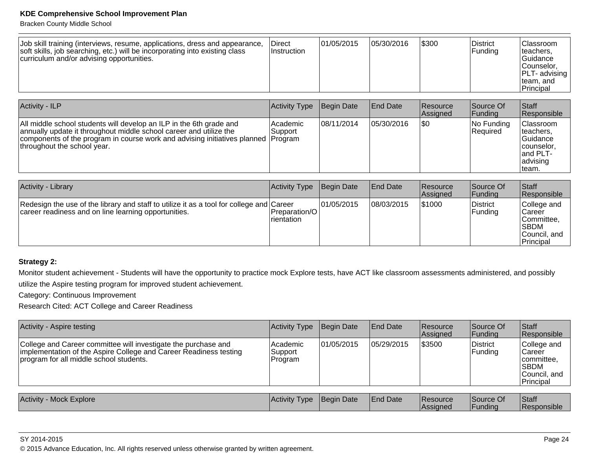Bracken County Middle School

| Job skill training (interviews, resume, applications, dress and appearance,<br>soft skills, job searching, etc.) will be incorporating into existing class<br>curriculum and/or advising opportunities. | Direct<br>Instruction | 01/05/2015 | 05/30/2016 | 1\$300 | District<br>Funding | Classroom <br>teachers,<br>lGuidance<br>Counselor.<br><b>PLT-</b> advising<br>Iteam, and<br>'Principal |
|---------------------------------------------------------------------------------------------------------------------------------------------------------------------------------------------------------|-----------------------|------------|------------|--------|---------------------|--------------------------------------------------------------------------------------------------------|
|---------------------------------------------------------------------------------------------------------------------------------------------------------------------------------------------------------|-----------------------|------------|------------|--------|---------------------|--------------------------------------------------------------------------------------------------------|

| <b>Activity - ILP</b>                                                                                                                                                                                                                                         | Activity Type       | Begin Date | <b>End Date</b> | <b>Resource</b><br>Assigned | Source Of<br> Funding         | Staff<br>Responsible                                                                 |
|---------------------------------------------------------------------------------------------------------------------------------------------------------------------------------------------------------------------------------------------------------------|---------------------|------------|-----------------|-----------------------------|-------------------------------|--------------------------------------------------------------------------------------|
| All middle school students will develop an ILP in the 6th grade and<br>annually update it throughout middle school career and utilize the<br>components of the program in course work and advising initiatives planned Program<br>throughout the school year. | Academic<br>Support | 08/11/2014 | 05/30/2016      | 1\$0                        | No Funding<br><b>Required</b> | Classroom<br>teachers,<br> Guidance<br>counselor,<br>land PLT-<br>advising<br>∣team. |

| Activity - Library                                                                                                                               | Activity Type                                 | Begin Date | <b>End Date</b> | <b>Resource</b><br>Assigned | Source Of<br><b>Funding</b> | <b>Staff</b><br>Responsible                                                      |
|--------------------------------------------------------------------------------------------------------------------------------------------------|-----------------------------------------------|------------|-----------------|-----------------------------|-----------------------------|----------------------------------------------------------------------------------|
| Redesign the use of the library and staff to utilize it as a tool for college and Career<br>career readiness and on line learning opportunities. | <b>IPreparation/OI</b><br><b>I</b> rientation | 01/05/2015 | 08/03/2015      | \$1000                      | District<br> Funding        | College and<br>Career<br>Committee.<br><b>SBDM</b><br> Council, and<br>Principal |

# **Strategy 2:**

Monitor student achievement - Students will have the opportunity to practice mock Explore tests, have ACT like classroom assessments administered, and possiblyutilize the Aspire testing program for improved student achievement.

Category: Continuous Improvement

Research Cited: ACT College and Career Readiness

| Activity - Aspire testing                                                                                                                                                      | <b>Activity Type</b>           | Begin Date | <b>End Date</b> | Resource<br>Assigned | Source Of<br> Funding | <b>Staff</b><br>Responsible                                                 |
|--------------------------------------------------------------------------------------------------------------------------------------------------------------------------------|--------------------------------|------------|-----------------|----------------------|-----------------------|-----------------------------------------------------------------------------|
| College and Career committee will investigate the purchase and<br>implementation of the Aspire College and Career Readiness testing<br>program for all middle school students. | Academic<br>Support<br>Program | 01/05/2015 | 05/29/2015      | \$3500               | District<br>Funding   | College and<br> Career<br> committee,<br> SBDM<br>Council, and<br>Principal |
|                                                                                                                                                                                |                                |            |                 |                      |                       |                                                                             |
| Activity - Mock Explore                                                                                                                                                        | <b>Activity Type</b>           | Begin Date | <b>End Date</b> | Resource<br>Assigned | Source Of<br>IFundina | <b>Staff</b><br><b>Responsible</b>                                          |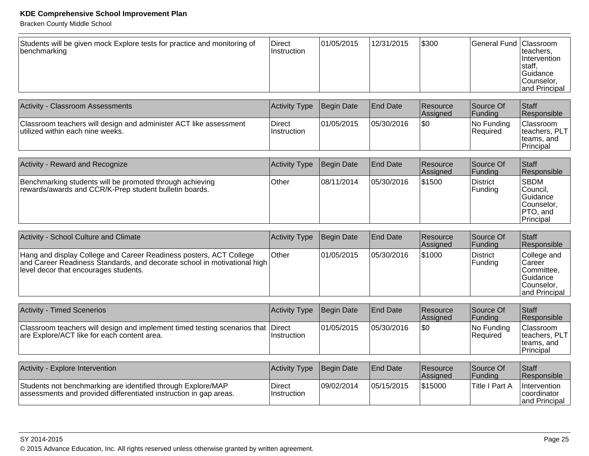Bracken County Middle School

| Activity - Classroom Assessments                                                                      | Activity Type                | Begin Date  | <b>IEnd Date</b> | <b>Resource</b><br>Assigned | Source Of<br> Fundina   | <b>Staff</b><br><b>Responsible</b>                            |
|-------------------------------------------------------------------------------------------------------|------------------------------|-------------|------------------|-----------------------------|-------------------------|---------------------------------------------------------------|
| Classroom teachers will design and administer ACT like assessment<br>utilized within each nine weeks. | Direct<br><b>Instruction</b> | 101/05/2015 | 05/30/2016       | \$0                         | No Funding<br> Reauired | Classroom<br>teachers, PLT<br>Iteams, and<br><b>Principal</b> |

| <b>Activity - Reward and Recognize</b>                                                                             | Activity Type | Begin Date | <b>End Date</b> | <b>Resource</b><br>Assigned | Source Of<br><b>Funding</b> | <b>Staff</b><br>Responsible                                          |
|--------------------------------------------------------------------------------------------------------------------|---------------|------------|-----------------|-----------------------------|-----------------------------|----------------------------------------------------------------------|
| Benchmarking students will be promoted through achieving<br>rewards/awards and CCR/K-Prep student bulletin boards. | <b>Other</b>  | 08/11/2014 | 05/30/2016      | \$1500                      | District<br>Funding         | SBDM<br> Council,<br>Guidance<br>Counselor.<br>PTO, and<br>Principal |

| Activity - School Culture and Climate                                                                                                                                                   | Activity Type Begin Date |            | <b>End Date</b> | <b>Resource</b><br>Assigned | Source Of<br> Funding      | Staff<br>Responsible                                                               |
|-----------------------------------------------------------------------------------------------------------------------------------------------------------------------------------------|--------------------------|------------|-----------------|-----------------------------|----------------------------|------------------------------------------------------------------------------------|
| Hang and display College and Career Readiness posters, ACT College<br>and Career Readiness Standards, and decorate school in motivational high<br>level decor that encourages students. | <b>Other</b>             | 01/05/2015 | 105/30/2016     | 1\$1000                     | District<br><b>Funding</b> | College and<br>l Career<br>∣Committee.<br> Guidance<br>Counselor.<br>and Principal |

| <b>Activity - Timed Scenerios</b>                                                                                               | Activity Type Begin Date |            | <b>IEnd Date</b> | <b>Resource</b><br><b>Assigned</b> | Source Of<br><b>Funding</b>   | Staff<br>Responsible                                                    |
|---------------------------------------------------------------------------------------------------------------------------------|--------------------------|------------|------------------|------------------------------------|-------------------------------|-------------------------------------------------------------------------|
| Classroom teachers will design and implement timed testing scenarios that Direct<br>are Explore/ACT like for each content area. | ∣Instruction             | 01/05/2015 | 05/30/2016       | \$0                                | No Funding<br><b>Required</b> | <b>Classroom</b><br>Iteachers, PLT I<br>Iteams, and<br><b>Principal</b> |

| Activity - Explore Intervention                                                                                                   | Activity Type Begin Date     |            | <b>IEnd Date</b> | Resource<br><b>Assianed</b> | Source Of<br> Fundina | Staff<br><b>Responsible</b>                          |
|-----------------------------------------------------------------------------------------------------------------------------------|------------------------------|------------|------------------|-----------------------------|-----------------------|------------------------------------------------------|
| Students not benchmarking are identified through Explore/MAP<br>assessments and provided differentiated instruction in gap areas. | Direct<br><i>Instruction</i> | 09/02/2014 | 05/15/2015       | 515000                      | Title I Part A        | Intervention<br><i>coordinator</i><br>land Principal |

SY 2014-2015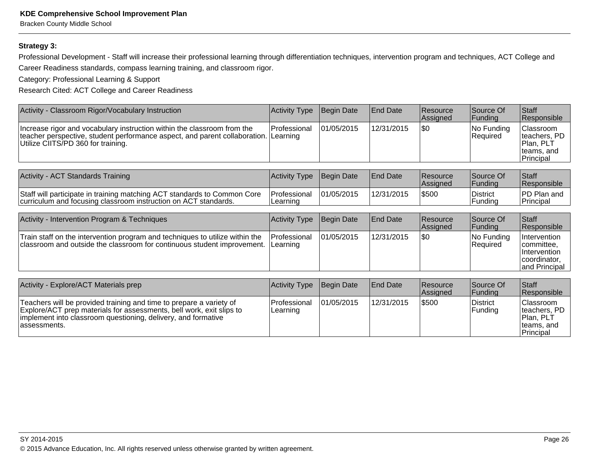Bracken County Middle School

## **Strategy 3:**

Professional Development - Staff will increase their professional learning through differentiation techniques, intervention program and techniques, ACT College andCareer Readiness standards, compass learning training, and classroom rigor.

Category: Professional Learning & Support

Research Cited: ACT College and Career Readiness

| Activity - Classroom Rigor/Vocabulary Instruction                                                                                                                                                                            | <b>Activity Type</b>            | <b>Begin Date</b> | End Date        | Resource<br>Assigned | Source Of<br>Funding          | Staff<br>Responsible                                                        |  |  |
|------------------------------------------------------------------------------------------------------------------------------------------------------------------------------------------------------------------------------|---------------------------------|-------------------|-----------------|----------------------|-------------------------------|-----------------------------------------------------------------------------|--|--|
| Increase rigor and vocabulary instruction within the classroom from the<br>teacher perspective, student performance aspect, and parent collaboration.  <br>Utilize CIITS/PD 360 for training.                                | Professional<br>Learning        | 01/05/2015        | 12/31/2015      | \$0                  | No Funding<br><b>Required</b> | Classroom<br>teachers, PD<br>Plan, PLT<br>teams, and<br>Principal           |  |  |
|                                                                                                                                                                                                                              |                                 |                   |                 |                      |                               |                                                                             |  |  |
| Activity - ACT Standards Training                                                                                                                                                                                            | Activity Type                   | Begin Date        | End Date        | Resource<br>Assigned | Source Of<br>Funding          | <b>Staff</b><br>Responsible                                                 |  |  |
| Staff will participate in training matching ACT standards to Common Core<br>curriculum and focusing classroom instruction on ACT standards.                                                                                  | Professional<br>Learning        | 01/05/2015        | 12/31/2015      | \$500                | <b>District</b><br>Funding    | PD Plan and<br>Principal                                                    |  |  |
|                                                                                                                                                                                                                              |                                 |                   |                 |                      |                               |                                                                             |  |  |
| Activity - Intervention Program & Techniques                                                                                                                                                                                 | Activity Type                   | Begin Date        | <b>End Date</b> | Resource<br>Assigned | Source Of<br>Funding          | <b>S</b> taff<br>Responsible                                                |  |  |
| Train staff on the intervention program and techniques to utilize within the<br>classroom and outside the classroom for continuous student improvement.                                                                      | <b>Professional</b><br>Learning | 01/05/2015        | 12/31/2015      | \$0                  | No Funding<br><b>Required</b> | Intervention<br>committee.<br>Intervention<br>coordinator,<br>and Principal |  |  |
|                                                                                                                                                                                                                              |                                 |                   |                 |                      |                               |                                                                             |  |  |
| Activity - Explore/ACT Materials prep                                                                                                                                                                                        | <b>Activity Type</b>            | Begin Date        | End Date        | Resource<br>Assigned | Source Of<br>Funding          | <b>S</b> taff<br>Responsible                                                |  |  |
| Teachers will be provided training and time to prepare a variety of<br>Explore/ACT prep materials for assessments, bell work, exit slips to<br>implement into classroom questioning, delivery, and formative<br>assessments. | Professional<br>Learning        | 01/05/2015        | 12/31/2015      | \$500                | <b>District</b><br>Funding    | Classroom<br>teachers, PD<br>Plan, PLT<br>teams, and<br>Principal           |  |  |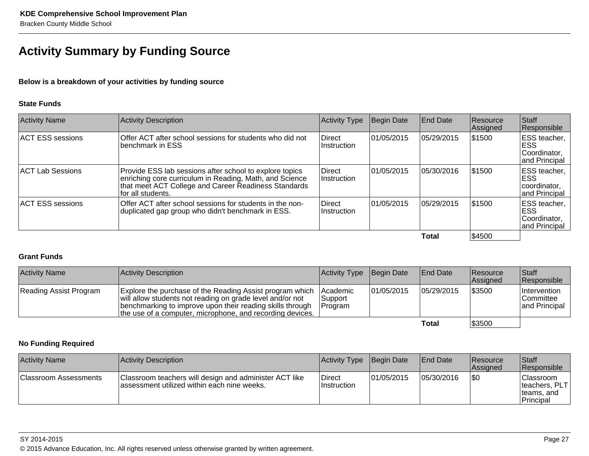# **Activity Summary by Funding Source**

**Below is a breakdown of your activities by funding source**

### **State Funds**

| <b>Activity Name</b>    | <b>Activity Description</b>                                                                                                                                                                     | Activity Type                | Begin Date | <b>End Date</b> | Resource<br>Assigned | Staff<br>Responsible                                                  |
|-------------------------|-------------------------------------------------------------------------------------------------------------------------------------------------------------------------------------------------|------------------------------|------------|-----------------|----------------------|-----------------------------------------------------------------------|
| <b>ACT ESS sessions</b> | Offer ACT after school sessions for students who did not<br>benchmark in ESS                                                                                                                    | Direct<br>IInstruction       | 01/05/2015 | 05/29/2015      | \$1500               | <b>IESS</b> teacher, I<br><b>ESS</b><br>Coordinator,<br>and Principal |
| ACT Lab Sessions        | Provide ESS lab sessions after school to explore topics<br>enriching core curriculum in Reading, Math, and Science<br>that meet ACT College and Career Readiness Standards<br>for all students. | Direct<br>Instruction        | 01/05/2015 | 05/30/2016      | 51500                | <b>IESS</b> teacher,<br><b>ESS</b><br>coordinator,<br>and Principal   |
| <b>ACT ESS sessions</b> | Offer ACT after school sessions for students in the non-<br>duplicated gap group who didn't benchmark in ESS.                                                                                   | <b>Direct</b><br>Instruction | 01/05/2015 | 05/29/2015      | \$1500               | <b>IESS teacher, I</b><br><b>ESS</b><br>Coordinator,<br>and Principal |
|                         |                                                                                                                                                                                                 |                              |            | Total           | \$4500               |                                                                       |

#### **Total**

# **Grant Funds**

| <b>Activity Name</b>   | Activity Description                                                                                                                                                                                                                            | Activity Type Begin Date               |            | <b>End Date</b> | Resource<br><b>Assigned</b> | <b>Staff</b><br>Responsible                              |
|------------------------|-------------------------------------------------------------------------------------------------------------------------------------------------------------------------------------------------------------------------------------------------|----------------------------------------|------------|-----------------|-----------------------------|----------------------------------------------------------|
| Reading Assist Program | Explore the purchase of the Reading Assist program which<br>will allow students not reading on grade level and/or not<br>benchmarking to improve upon their reading skills through<br>the use of a computer, microphone, and recording devices. | <b>Academic</b><br> Support<br>Program | 01/05/2015 | 05/29/2015      | \$3500                      | <i>Intervention</i><br><b>Committee</b><br>and Principal |
|                        |                                                                                                                                                                                                                                                 |                                        |            | Total           | \$3500                      |                                                          |

# **No Funding Required**

| <b>Activity Name</b>         | Activity Description                                                                                  | <b>Activity Type</b>                 | Begin Date | <b>IEnd Date</b> | <b>Resource</b><br>Assigned | Staff<br>Responsible                                                         |
|------------------------------|-------------------------------------------------------------------------------------------------------|--------------------------------------|------------|------------------|-----------------------------|------------------------------------------------------------------------------|
| <b>Classroom Assessments</b> | Classroom teachers will design and administer ACT like<br>assessment utilized within each nine weeks. | <b>IDirect</b><br><i>Instruction</i> | 01/05/2015 | 05/30/2016       | \$0                         | <sup>1</sup> Classroom<br>Iteachers, PLT I<br>teams, and<br><b>Principal</b> |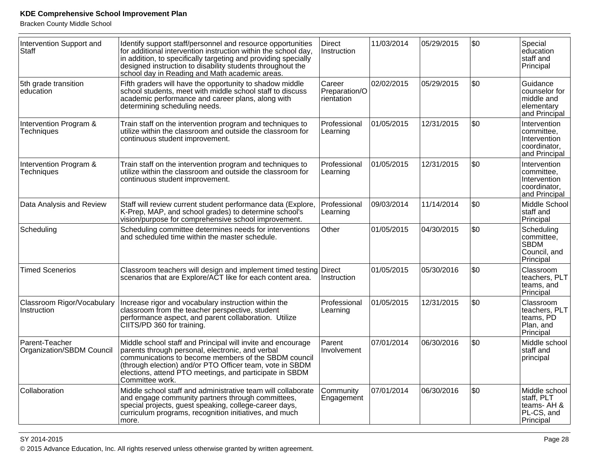Bracken County Middle School

| Intervention Support and<br>Staff           | Identify support staff/personnel and resource opportunities<br>for additional intervention instruction within the school day,<br>in addition, to specifically targeting and providing specially<br>designed instruction to disability students throughout the<br>school day in Reading and Math academic areas.   | Direct<br>Instruction                 | 11/03/2014 | 05/29/2015 | \$0 | Special<br>education<br>staff and<br>Principal                              |
|---------------------------------------------|-------------------------------------------------------------------------------------------------------------------------------------------------------------------------------------------------------------------------------------------------------------------------------------------------------------------|---------------------------------------|------------|------------|-----|-----------------------------------------------------------------------------|
| 5th grade transition<br>education           | Fifth graders will have the opportunity to shadow middle<br>school students, meet with middle school staff to discuss<br>academic performance and career plans, along with<br>determining scheduling needs.                                                                                                       | Career<br>Preparation/O<br>rientation | 02/02/2015 | 05/29/2015 | \$0 | Guidance<br>counselor for<br>middle and<br>elementary<br>and Principal      |
| Intervention Program &<br><b>Techniques</b> | Train staff on the intervention program and techniques to<br>utilize within the classroom and outside the classroom for<br>continuous student improvement.                                                                                                                                                        | Professional<br>Learning              | 01/05/2015 | 12/31/2015 | \$0 | Intervention<br>committee,<br>Intervention<br>coordinator.<br>and Principal |
| Intervention Program &<br><b>Techniques</b> | Train staff on the intervention program and techniques to<br>utilize within the classroom and outside the classroom for<br>continuous student improvement.                                                                                                                                                        | Professional<br>Learning              | 01/05/2015 | 12/31/2015 | \$0 | Intervention<br>committee,<br>Intervention<br>coordinator,<br>and Principal |
| Data Analysis and Review                    | Staff will review current student performance data (Explore,<br>K-Prep, MAP, and school grades) to determine school's<br>vision/purpose for comprehensive school improvement.                                                                                                                                     | Professional<br>Learning              | 09/03/2014 | 11/14/2014 | \$0 | Middle School<br>staff and<br>Principal                                     |
| Scheduling                                  | Scheduling committee determines needs for interventions<br>and scheduled time within the master schedule.                                                                                                                                                                                                         | Other                                 | 01/05/2015 | 04/30/2015 | \$0 | Scheduling<br>committee,<br><b>SBDM</b><br>Council, and<br>Principal        |
| <b>Timed Scenerios</b>                      | Classroom teachers will design and implement timed testing Direct<br>scenarios that are Explore/ACT like for each content area.                                                                                                                                                                                   | Instruction                           | 01/05/2015 | 05/30/2016 | \$0 | Classroom<br>teachers, PLT<br>teams, and<br>Principal                       |
| Classroom Rigor/Vocabulary<br>Instruction   | Increase rigor and vocabulary instruction within the<br>classroom from the teacher perspective, student<br>performance aspect, and parent collaboration. Utilize<br>CIITS/PD 360 for training.                                                                                                                    | Professional<br>Learning              | 01/05/2015 | 12/31/2015 | \$0 | Classroom<br>teachers, PLT<br>teams, PD<br>Plan, and<br>Principal           |
| Parent-Teacher<br>Organization/SBDM Council | Middle school staff and Principal will invite and encourage<br>parents through personal, electronic, and verbal<br>communications to become members of the SBDM council<br>(through election) and/or PTO Officer team, vote in SBDM<br>elections, attend PTO meetings, and participate in SBDM<br>Committee work. | Parent<br>Involvement                 | 07/01/2014 | 06/30/2016 | \$0 | Middle school<br>staff and<br>principal                                     |
| Collaboration                               | Middle school staff and administrative team will collaborate<br>and engage community partners through committees,<br>special projects, guest speaking, college-career days,<br>curriculum programs, recognition initiatives, and much<br>more.                                                                    | Community<br>Engagement               | 07/01/2014 | 06/30/2016 | \$0 | Middle school<br>staff, PLT<br>teams- AH &<br>PL-CS, and<br>Principal       |

en 1986 van die 19de jaar van die 19de eeu n.C. Soos van die 19de eeu n.C. Soos van die 19de eeu n.C. 19de eeu © 2015 Advance Education, Inc. All rights reserved unless otherwise granted by written agreement.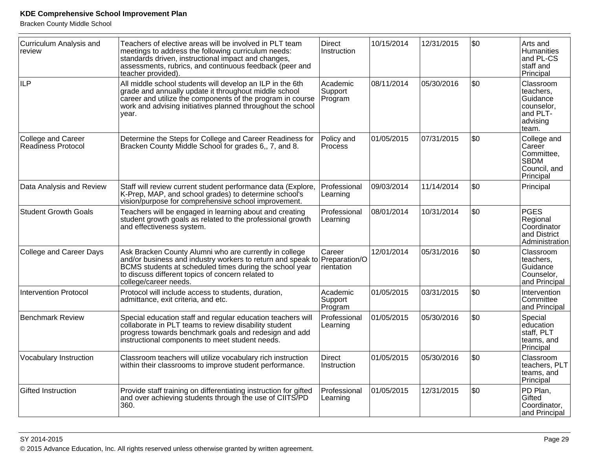Bracken County Middle School

| <b>Curriculum Analysis and</b><br>review        | Teachers of elective areas will be involved in PLT team<br>meetings to address the following curriculum needs:<br>standards driven, instructional impact and changes,<br>assessments, rubrics, and continuous feedback (peer and<br>teacher provided).         | <b>Direct</b><br>Instruction          | 10/15/2014 | 12/31/2015 | \$0  | Arts and<br>Humanities<br>and PL-CS<br>staff and<br>Principal                          |
|-------------------------------------------------|----------------------------------------------------------------------------------------------------------------------------------------------------------------------------------------------------------------------------------------------------------------|---------------------------------------|------------|------------|------|----------------------------------------------------------------------------------------|
| <b>ILP</b>                                      | All middle school students will develop an ILP in the 6th<br>grade and annually update it throughout middle school<br>career and utilize the components of the program in course<br>work and advising initiatives planned throughout the school<br>vear.       | Academic<br>Support<br>Program        | 08/11/2014 | 05/30/2016 | \$0  | Classroom<br>teachers,<br>Guidance<br>counselor,<br>and PLT-<br>advising<br>lteam.     |
| <b>College and Career</b><br>Readiness Protocol | Determine the Steps for College and Career Readiness for<br>Bracken County Middle School for grades 6, 7, and 8.                                                                                                                                               | Policy and<br><b>Process</b>          | 01/05/2015 | 07/31/2015 | l\$0 | College and<br><b>Career</b><br>Committee,<br><b>SBDM</b><br>Council, and<br>Principal |
| Data Analysis and Review                        | Staff will review current student performance data (Explore,<br>K-Prep, MAP, and school grades) to determine school's<br>vision/purpose for comprehensive school improvement.                                                                                  | Professional<br>Learning              | 09/03/2014 | 11/14/2014 | \$0  | Principal                                                                              |
| <b>Student Growth Goals</b>                     | Teachers will be engaged in learning about and creating<br>student growth goals as related to the professional growth<br>and effectiveness system.                                                                                                             | Professional<br>Learning              | 08/01/2014 | 10/31/2014 | l\$0 | PGES<br>Regional<br>Coordinator<br>and District<br>Administration                      |
| College and Career Days                         | Ask Bracken County Alumni who are currently in college<br>and/or business and industry workers to return and speak to<br>BCMS students at scheduled times during the school year<br>to discuss different topics of concern related to<br>college/career needs. | Career<br>Preparation/O<br>rientation | 12/01/2014 | 05/31/2016 | \$0  | Classroom<br>teachers.<br>Guidance<br>Counselor,<br>and Principal                      |
| <b>Intervention Protocol</b>                    | Protocol will include access to students, duration,<br>admittance, exit criteria, and etc.                                                                                                                                                                     | Academic<br>Support<br>Program        | 01/05/2015 | 03/31/2015 | \$0  | Intervention<br>Committee<br>and Principal                                             |
| <b>Benchmark Review</b>                         | Special education staff and regular education teachers will<br>collaborate in PLT teams to review disability student<br>progress towards benchmark goals and redesign and add<br>instructional components to meet student needs.                               | Professional<br>Learning              | 01/05/2015 | 05/30/2016 | l\$0 | Special<br>education<br>staff, PLT<br>teams, and<br>Principal                          |
| <b>Vocabulary Instruction</b>                   | Classroom teachers will utilize vocabulary rich instruction<br>within their classrooms to improve student performance.                                                                                                                                         | <b>Direct</b><br>Instruction          | 01/05/2015 | 05/30/2016 | \$0  | Classroom<br>teachers, PLT<br>teams, and<br>Principal                                  |
| <b>Gifted Instruction</b>                       | Provide staff training on differentiating instruction for gifted<br>and over achieving students through the use of CIITS/PD<br>360.                                                                                                                            | Professional<br>Learning              | 01/05/2015 | 12/31/2015 | \$0  | PD Plan,<br>Gifted<br>Coordinator,<br>and Principal                                    |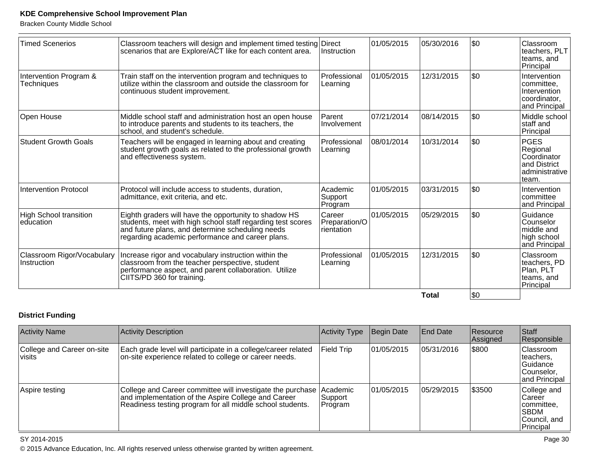Bracken County Middle School

| \$0<br>01/05/2015<br>05/30/2016<br><b>Timed Scenerios</b><br>Classroom teachers will design and implement timed testing Direct<br>scenarios that are Explore/ACT like for each content area.<br>Instruction<br>Principal<br>\$0<br>01/05/2015<br>12/31/2015<br>Intervention Program &<br>Train staff on the intervention program and techniques to<br>Professional<br>utilize within the classroom and outside the classroom for<br>Techniques<br>Learning<br>continuous student improvement.<br>\$0<br>07/21/2014<br>08/14/2015<br>Parent<br>Middle school staff and administration host an open house<br>staff and<br>to introduce parents and students to its teachers, the<br>Involvement<br>school, and student's schedule.<br>Principal<br> \$0<br><b>Student Growth Goals</b><br>08/01/2014<br>10/31/2014<br><b>PGES</b><br>Teachers will be engaged in learning about and creating<br>Professional<br>student growth goals as related to the professional growth<br>Learning<br>and effectiveness system.<br>team.<br>\$0<br>01/05/2015<br>03/31/2015<br>Intervention Protocol<br>Protocol will include access to students, duration,<br>Academic<br>admittance, exit criteria, and etc.<br>Support<br>Program<br>\$0<br>Career<br>01/05/2015<br>05/29/2015<br><b>High School transition</b><br>Eighth graders will have the opportunity to shadow HS<br>students, meet with high school staff regarding test scores<br>Preparation/O<br>leducation<br>and future plans, and determine scheduling needs<br>rientation<br>regarding academic performance and career plans.<br> \$0<br>01/05/2015<br>12/31/2015<br>Classroom Rigor/Vocabulary<br>Increase rigor and vocabulary instruction within the<br>Professional<br>classroom from the teacher perspective, student<br>Instruction<br>Learning<br>performance aspect, and parent collaboration. Utilize<br>CIITS/PD 360 for training.<br>Principal |  |  | <b>Total</b> | <b>SO</b> |                                                                             |
|---------------------------------------------------------------------------------------------------------------------------------------------------------------------------------------------------------------------------------------------------------------------------------------------------------------------------------------------------------------------------------------------------------------------------------------------------------------------------------------------------------------------------------------------------------------------------------------------------------------------------------------------------------------------------------------------------------------------------------------------------------------------------------------------------------------------------------------------------------------------------------------------------------------------------------------------------------------------------------------------------------------------------------------------------------------------------------------------------------------------------------------------------------------------------------------------------------------------------------------------------------------------------------------------------------------------------------------------------------------------------------------------------------------------------------------------------------------------------------------------------------------------------------------------------------------------------------------------------------------------------------------------------------------------------------------------------------------------------------------------------------------------------------------------------------------------------------------------------------------------------------------------------------------|--|--|--------------|-----------|-----------------------------------------------------------------------------|
|                                                                                                                                                                                                                                                                                                                                                                                                                                                                                                                                                                                                                                                                                                                                                                                                                                                                                                                                                                                                                                                                                                                                                                                                                                                                                                                                                                                                                                                                                                                                                                                                                                                                                                                                                                                                                                                                                                               |  |  |              |           | Classroom<br>teachers, PD<br>Plan, PLT<br>teams, and                        |
|                                                                                                                                                                                                                                                                                                                                                                                                                                                                                                                                                                                                                                                                                                                                                                                                                                                                                                                                                                                                                                                                                                                                                                                                                                                                                                                                                                                                                                                                                                                                                                                                                                                                                                                                                                                                                                                                                                               |  |  |              |           | Guidance<br>Counselor<br>middle and<br>high school<br>and Principal         |
|                                                                                                                                                                                                                                                                                                                                                                                                                                                                                                                                                                                                                                                                                                                                                                                                                                                                                                                                                                                                                                                                                                                                                                                                                                                                                                                                                                                                                                                                                                                                                                                                                                                                                                                                                                                                                                                                                                               |  |  |              |           | Intervention<br>committee<br>and Principal                                  |
| Open House                                                                                                                                                                                                                                                                                                                                                                                                                                                                                                                                                                                                                                                                                                                                                                                                                                                                                                                                                                                                                                                                                                                                                                                                                                                                                                                                                                                                                                                                                                                                                                                                                                                                                                                                                                                                                                                                                                    |  |  |              |           | Regional<br>Coordinator<br>and District<br>administrative                   |
|                                                                                                                                                                                                                                                                                                                                                                                                                                                                                                                                                                                                                                                                                                                                                                                                                                                                                                                                                                                                                                                                                                                                                                                                                                                                                                                                                                                                                                                                                                                                                                                                                                                                                                                                                                                                                                                                                                               |  |  |              |           | Middle school                                                               |
|                                                                                                                                                                                                                                                                                                                                                                                                                                                                                                                                                                                                                                                                                                                                                                                                                                                                                                                                                                                                                                                                                                                                                                                                                                                                                                                                                                                                                                                                                                                                                                                                                                                                                                                                                                                                                                                                                                               |  |  |              |           | Intervention<br>committee,<br>Intervention<br>coordinator.<br>and Principal |
|                                                                                                                                                                                                                                                                                                                                                                                                                                                                                                                                                                                                                                                                                                                                                                                                                                                                                                                                                                                                                                                                                                                                                                                                                                                                                                                                                                                                                                                                                                                                                                                                                                                                                                                                                                                                                                                                                                               |  |  |              |           | Classroom<br>teachers, PLT<br>teams, and                                    |

# **District Funding**

| <b>Activity Name</b>                 | <b>Activity Description</b>                                                                                                                                                    | Activity Type                  | Begin Date | <b>End Date</b> | Resource<br>Assigned | Staff<br>Responsible                                                               |
|--------------------------------------|--------------------------------------------------------------------------------------------------------------------------------------------------------------------------------|--------------------------------|------------|-----------------|----------------------|------------------------------------------------------------------------------------|
| College and Career on-site<br>visits | Each grade level will participate in a college/career related<br>on-site experience related to college or career needs.                                                        | <b>Field Trip</b>              | 01/05/2015 | 05/31/2016      | \$800                | <b>Classroom</b><br>teachers.<br>Guidance<br>Counselor,<br>and Principal           |
| Aspire testing                       | College and Career committee will investigate the purchase<br>and implementation of the Aspire College and Career<br>Readiness testing program for all middle school students. | Academic<br>Support<br>Program | 01/05/2015 | 05/29/2015      | \$3500               | College and<br>l Career<br>committee,<br><b>ISBDM</b><br>Council, and<br>Principal |

### SY 2014-2015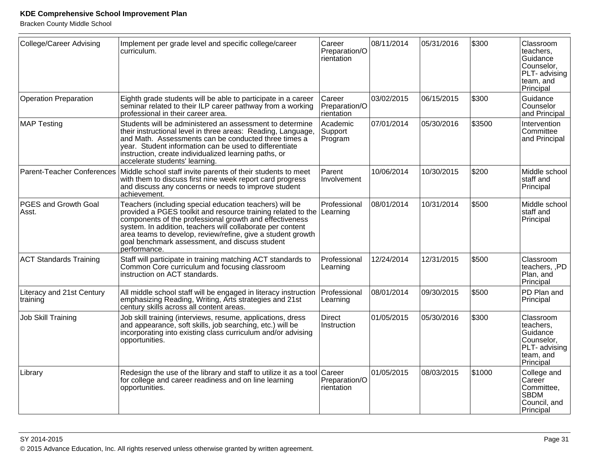Bracken County Middle School

| <b>College/Career Advising</b>        | Implement per grade level and specific college/career<br>curriculum.                                                                                                                                                                                                                                                                                                                       | Career<br>Preparation/O<br>rientation | 08/11/2014 | 05/31/2016 | \$300  | Classroom<br>teachers,<br>Guidance<br>Counselor,<br>PLT- advising<br>team, and<br>Principal |
|---------------------------------------|--------------------------------------------------------------------------------------------------------------------------------------------------------------------------------------------------------------------------------------------------------------------------------------------------------------------------------------------------------------------------------------------|---------------------------------------|------------|------------|--------|---------------------------------------------------------------------------------------------|
| <b>Operation Preparation</b>          | Eighth grade students will be able to participate in a career<br>seminar related to their ILP career pathway from a working<br>professional in their career area.                                                                                                                                                                                                                          | Career<br>Preparation/O<br>rientation | 03/02/2015 | 06/15/2015 | \$300  | Guidance<br>Counselor<br>and Principal                                                      |
| <b>MAP Testing</b>                    | Students will be administered an assessment to determine<br>their instructional level in three areas: Reading, Language,<br>and Math. Assessments can be conducted three times a<br>year. Student information can be used to differentiate<br>instruction, create individualized learning paths, or<br>accelerate students' learning.                                                      | Academic<br>Support<br>Program        | 07/01/2014 | 05/30/2016 | \$3500 | Intervention<br>Committee<br>and Principal                                                  |
|                                       | Parent-Teacher Conferences   Middle school staff invite parents of their students to meet<br>with them to discuss first nine week report card progress<br>and discuss any concerns or needs to improve student<br>achievement.                                                                                                                                                             | Parent<br>Involvement                 | 10/06/2014 | 10/30/2015 | \$200  | Middle school<br>staff and<br>Principal                                                     |
| PGES and Growth Goal<br>Asst.         | Teachers (including special education teachers) will be<br>provided a PGES toolkit and resource training related to the Learning<br>components of the professional growth and effectiveness<br>system. In addition, teachers will collaborate per content<br>area teams to develop, review/refine, give a student growth<br>goal benchmark assessment, and discuss student<br>performance. | Professional                          | 08/01/2014 | 10/31/2014 | 5500   | Middle school<br>staff and<br>Principal                                                     |
| <b>ACT Standards Training</b>         | Staff will participate in training matching ACT standards to<br>Common Core curriculum and focusing classroom<br>instruction on ACT standards.                                                                                                                                                                                                                                             | Professional<br>Learning              | 12/24/2014 | 12/31/2015 | \$500  | Classroom<br>teachers, ,PD<br>Plan, and<br>Principal                                        |
| Literacy and 21st Century<br>training | All middle school staff will be engaged in literacy instruction<br>emphasizing Reading, Writing, Arts strategies and 21st<br>century skills across all content areas.                                                                                                                                                                                                                      | Professional<br>Learning              | 08/01/2014 | 09/30/2015 | \$500  | PD Plan and<br>Principal                                                                    |
| <b>Job Skill Training</b>             | Job skill training (interviews, resume, applications, dress<br>and appearance, soft skills, job searching, etc.) will be<br>incorporating into existing class curriculum and/or advising<br>opportunities.                                                                                                                                                                                 | Direct<br>Instruction                 | 01/05/2015 | 05/30/2016 | 5300   | Classroom<br>teachers,<br>Guidance<br>Counselor,<br>PLT- advising<br>team, and<br>Principal |
| Library                               | Redesign the use of the library and staff to utilize it as a tool<br>for college and career readiness and on line learning<br>opportunities.                                                                                                                                                                                                                                               | Career<br>Preparation/O<br>rientation | 01/05/2015 | 08/03/2015 | \$1000 | College and<br>∣Careĕr<br>Committee,<br><b>SBDM</b><br>Council, and<br>Principal            |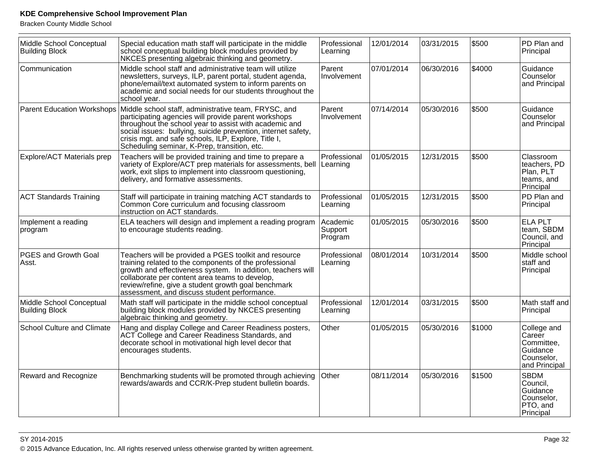Bracken County Middle School

| Middle School Conceptual<br><b>Building Block</b> | Special education math staff will participate in the middle<br>school conceptual building block modules provided by<br>NKCES presenting algebraic thinking and geometry.                                                                                                                                                                        | Professional<br>Learning       | 12/01/2014 | 03/31/2015 | \$500  | PD Plan and<br>Principal                                                       |
|---------------------------------------------------|-------------------------------------------------------------------------------------------------------------------------------------------------------------------------------------------------------------------------------------------------------------------------------------------------------------------------------------------------|--------------------------------|------------|------------|--------|--------------------------------------------------------------------------------|
| Communication                                     | Middle school staff and administrative team will utilize<br>newsletters, surveys, ILP, parent portal, student agenda,<br>phone/email/text automated system to inform parents on<br>academic and social needs for our students throughout the<br>school year.                                                                                    | Parent<br>Involvement          | 07/01/2014 | 06/30/2016 | \$4000 | Guidance<br>Counselor<br>and Principal                                         |
| <b>Parent Education Workshops</b>                 | Middle school staff, administrative team, FRYSC, and<br>participating agencies will provide parent workshops<br>throughout the school year to assist with academic and<br>social issues: bullying, suicide prevention, internet safety,<br>crisis mgt. and safe schools, ILP, Explore, Title I,<br>Scheduling seminar, K-Prep, transition, etc. | Parent<br>Involvement          | 07/14/2014 | 05/30/2016 | \$500  | Guidance<br><b>Counselor</b><br>and Principal                                  |
| Explore/ACT Materials prep                        | Teachers will be provided training and time to prepare a<br>variety of Explore/ACT prep materials for assessments, bell Learning<br>work, exit slips to implement into classroom questioning,<br>delivery, and formative assessments.                                                                                                           | Professional                   | 01/05/2015 | 12/31/2015 | \$500  | Classroom<br>teachers, PD<br>Plan, PLT<br>teams, and<br>Principal              |
| <b>ACT Standards Training</b>                     | Staff will participate in training matching ACT standards to<br>Common Core curriculum and focusing classroom<br>instruction on ACT standards.                                                                                                                                                                                                  | Professional<br>Learning       | 01/05/2015 | 12/31/2015 | \$500  | PD Plan and<br>Principal                                                       |
| Implement a reading<br>program                    | ELA teachers will design and implement a reading program<br>to encourage students reading.                                                                                                                                                                                                                                                      | Academic<br>Support<br>Program | 01/05/2015 | 05/30/2016 | \$500  | <b>ELA PLT</b><br>team, SBDM<br>Council, and<br>Principal                      |
| PGES and Growth Goal<br>Asst.                     | Teachers will be provided a PGES toolkit and resource<br>training related to the components of the professional<br>growth and effectiveness system. In addition, teachers will<br>collaborate per content area teams to develop,<br>review/refine, give a student growth goal benchmark<br>assessment, and discuss student performance.         | Professional<br>Learning       | 08/01/2014 | 10/31/2014 | 5500   | Middle school<br>staff and<br>Principal                                        |
| Middle School Conceptual<br><b>Building Block</b> | Math staff will participate in the middle school conceptual<br>building block modules provided by NKCES presenting<br>algebraic thinking and geometry.                                                                                                                                                                                          | Professional<br>Learning       | 12/01/2014 | 03/31/2015 | \$500  | Math staff and<br>Principal                                                    |
| <b>School Culture and Climate</b>                 | Hang and display College and Career Readiness posters,<br>ACT College and Career Readiness Standards, and<br>decorate school in motivational high level decor that<br>encourages students.                                                                                                                                                      | Other                          | 01/05/2015 | 05/30/2016 | \$1000 | College and<br>Career<br>Committee,<br>Guidance<br>Counselor,<br>and Principal |
| <b>Reward and Recognize</b>                       | Benchmarking students will be promoted through achieving<br>rewards/awards and CCR/K-Prep student bulletin boards.                                                                                                                                                                                                                              | Other                          | 08/11/2014 | 05/30/2016 | \$1500 | <b>SBDM</b><br>Council,<br>Guidance<br>Counselor,<br>PTO, and<br>Principal     |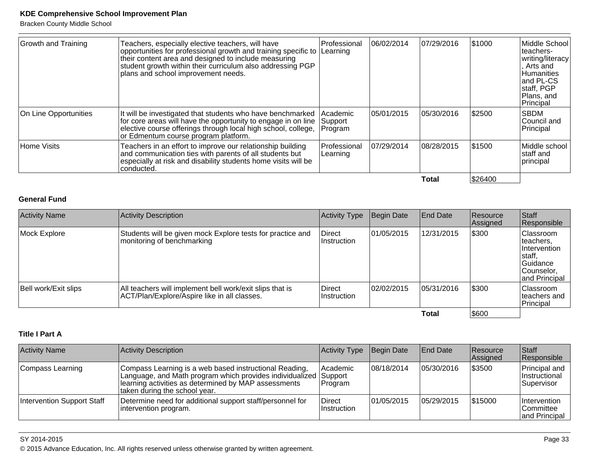Bracken County Middle School

| <b>Growth and Training</b> | Teachers, especially elective teachers, will have<br>opportunities for professional growth and training specific to Learning<br>their content area and designed to include measuring<br>student growth within their curriculum also addressing PGP<br>plans and school improvement needs. | Professional                          | 06/02/2014 | 07/29/2016 | \$1000  | Middle School<br>lteachers-<br> writing/literacy <br>, Arts and<br>Humanities<br>and PL-CS<br>staff, PGP<br>Plans, and<br>Principal |
|----------------------------|-------------------------------------------------------------------------------------------------------------------------------------------------------------------------------------------------------------------------------------------------------------------------------------------|---------------------------------------|------------|------------|---------|-------------------------------------------------------------------------------------------------------------------------------------|
| On Line Opportunities      | It will be investigated that students who have benchmarked<br>for core areas will have the opportunity to engage in on line<br>elective course offerings through local high school, college,<br>or Edmentum course program platform.                                                      | <b>Academic</b><br>Support<br>Program | 05/01/2015 | 05/30/2016 | \$2500  | SBDM<br>Council and<br>Principal                                                                                                    |
| Home Visits                | Teachers in an effort to improve our relationship building<br>and communication ties with parents of all students but<br>especially at risk and disability students home visits will be<br> conducted.                                                                                    | Professional<br> Learning             | 07/29/2014 | 08/28/2015 | \$1500  | Middle school  <br> staff and<br>principal                                                                                          |
|                            |                                                                                                                                                                                                                                                                                           |                                       |            | Total      | \$26400 |                                                                                                                                     |

#### **General Fund**

| <b>Activity Name</b> | Activity Description                                                                                     | <b>Activity Type</b>   | Begin Date  | <b>End Date</b> | Resource<br>Assigned | Staff<br>Responsible                                                                        |
|----------------------|----------------------------------------------------------------------------------------------------------|------------------------|-------------|-----------------|----------------------|---------------------------------------------------------------------------------------------|
| Mock Explore         | Students will be given mock Explore tests for practice and<br>monitoring of benchmarking                 | Direct<br>Instruction  | 101/05/2015 | 12/31/2015      | \$300                | Classroom<br>teachers,<br>Intervention<br>staff,<br>Guidance<br>Counselor,<br>and Principal |
| Bell work/Exit slips | All teachers will implement bell work/exit slips that is<br>ACT/Plan/Explore/Aspire like in all classes. | Direct<br>∣Instruction | 02/02/2015  | 05/31/2016      | 5300                 | Classroom<br>Iteachers and<br>Principal                                                     |
|                      |                                                                                                          |                        |             | Total           | \$600                |                                                                                             |

#### **Title I Part A**

| <b>Activity Name</b>       | Activity Description                                                                                                                                                                                                | Activity Type                | Begin Date  | <b>End Date</b> | <b>Resource</b><br>Assigned | Staff<br>Responsible                                 |
|----------------------------|---------------------------------------------------------------------------------------------------------------------------------------------------------------------------------------------------------------------|------------------------------|-------------|-----------------|-----------------------------|------------------------------------------------------|
| Compass Learning           | Compass Learning is a web based instructional Reading,<br>Language, and Math program which provides individualized Support<br>learning activities as determined by MAP assessments<br>taken during the school year. | Academic<br><b>Program</b>   | 108/18/2014 | 05/30/2016      | \$3500                      | Principal and<br><i>Instructional</i><br> Supervisor |
| Intervention Support Staff | Determine need for additional support staff/personnel for<br>intervention program.                                                                                                                                  | Direct<br><b>Instruction</b> | 101/05/2015 | 05/29/2015      | \$15000                     | Intervention<br> Committee<br>and Principal          |

#### SY 2014-2015

© 2015 Advance Education, Inc. All rights reserved unless otherwise granted by written agreement.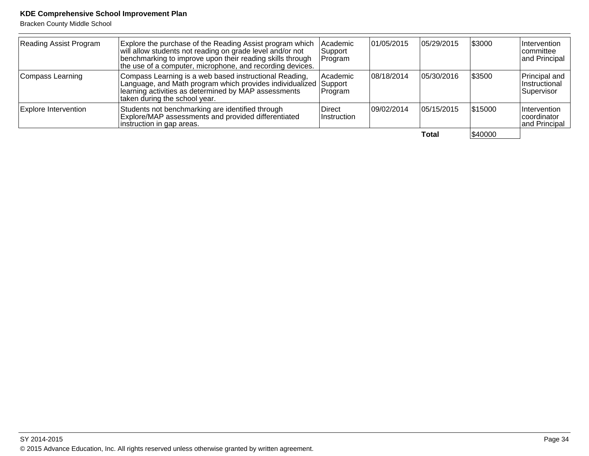| <b>Reading Assist Program</b> | Explore the purchase of the Reading Assist program which<br>will allow students not reading on grade level and/or not<br>benchmarking to improve upon their reading skills through<br>the use of a computer, microphone, and recording devices. | Academic<br> Support<br>Program | 01/05/2015  | 05/29/2015  | \$3000  | Intervention<br>Icommittee<br>and Principal    |
|-------------------------------|-------------------------------------------------------------------------------------------------------------------------------------------------------------------------------------------------------------------------------------------------|---------------------------------|-------------|-------------|---------|------------------------------------------------|
| Compass Learning              | Compass Learning is a web based instructional Reading,<br>Language, and Math program which provides individualized Support<br>learning activities as determined by MAP assessments<br>taken during the school year.                             | Academic<br> Program            | 08/18/2014  | 105/30/2016 | \$3500  | Principal and<br>∣Instructional<br> Supervisor |
| Explore Intervention          | Students not benchmarking are identified through<br>Explore/MAP assessments and provided differentiated<br>instruction in gap areas.                                                                                                            | Direct<br>Instruction           | 109/02/2014 | 05/15/2015  | \$15000 | Intervention<br> coordinator<br>and Principal  |
|                               |                                                                                                                                                                                                                                                 |                                 |             | Total       | \$40000 |                                                |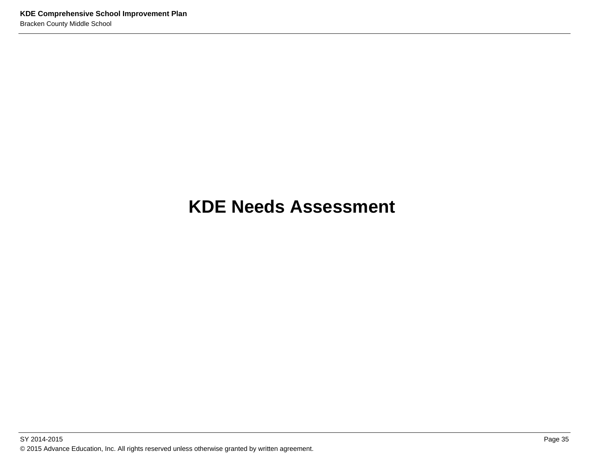# **KDE Needs Assessment**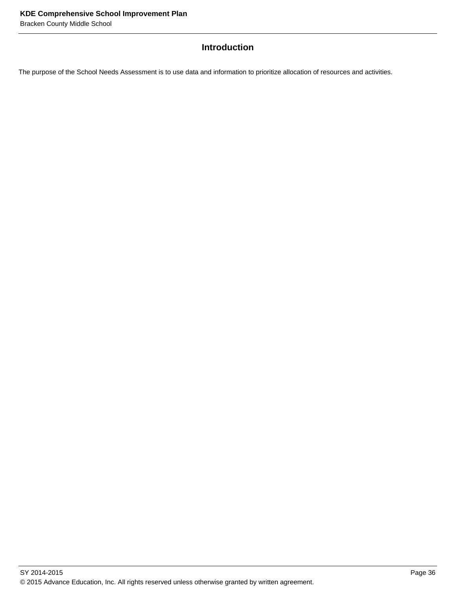# **Introduction**

The purpose of the School Needs Assessment is to use data and information to prioritize allocation of resources and activities.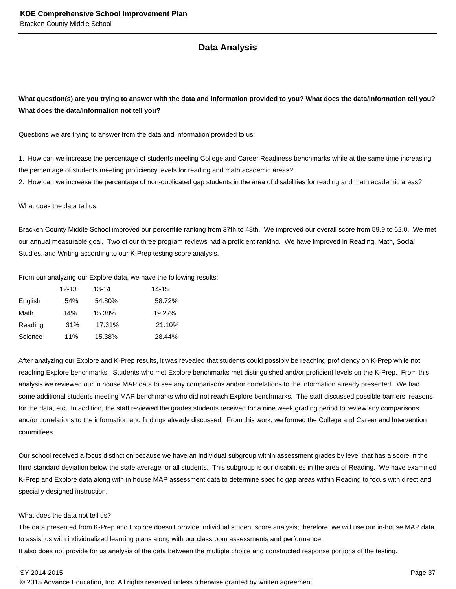#### **Data Analysis**

## **What question(s) are you trying to answer with the data and information provided to you? What does the data/information tell you? What does the data/information not tell you?**

Questions we are trying to answer from the data and information provided to us:

1. How can we increase the percentage of students meeting College and Career Readiness benchmarks while at the same time increasing the percentage of students meeting proficiency levels for reading and math academic areas?

2. How can we increase the percentage of non-duplicated gap students in the area of disabilities for reading and math academic areas?

What does the data tell us:

Bracken County Middle School improved our percentile ranking from 37th to 48th. We improved our overall score from 59.9 to 62.0. We met our annual measurable goal. Two of our three program reviews had a proficient ranking. We have improved in Reading, Math, Social Studies, and Writing according to our K-Prep testing score analysis.

From our analyzing our Explore data, we have the following results:

|         | $12 - 13$ | $13 - 14$ | $14 - 15$ |
|---------|-----------|-----------|-----------|
| English | 54%       | 54.80%    | 58.72%    |
| Math    | 14%       | 15.38%    | 19.27%    |
| Reading | 31%       | 17.31%    | 21.10%    |
| Science | 11%       | 15.38%    | 28.44%    |

After analyzing our Explore and K-Prep results, it was revealed that students could possibly be reaching proficiency on K-Prep while not reaching Explore benchmarks. Students who met Explore benchmarks met distinguished and/or proficient levels on the K-Prep. From this analysis we reviewed our in house MAP data to see any comparisons and/or correlations to the information already presented. We had some additional students meeting MAP benchmarks who did not reach Explore benchmarks. The staff discussed possible barriers, reasons for the data, etc. In addition, the staff reviewed the grades students received for a nine week grading period to review any comparisons and/or correlations to the information and findings already discussed. From this work, we formed the College and Career and Intervention committees.

Our school received a focus distinction because we have an individual subgroup within assessment grades by level that has a score in the third standard deviation below the state average for all students. This subgroup is our disabilities in the area of Reading. We have examined K-Prep and Explore data along with in house MAP assessment data to determine specific gap areas within Reading to focus with direct and specially designed instruction.

#### What does the data not tell us?

The data presented from K-Prep and Explore doesn't provide individual student score analysis; therefore, we will use our in-house MAP data to assist us with individualized learning plans along with our classroom assessments and performance.

It also does not provide for us analysis of the data between the multiple choice and constructed response portions of the testing.

© 2015 Advance Education, Inc. All rights reserved unless otherwise granted by written agreement.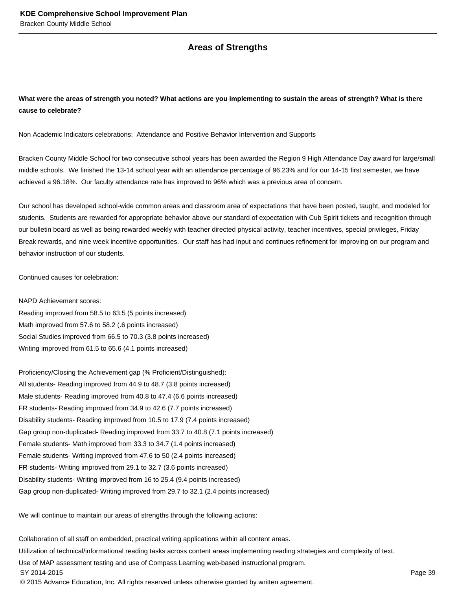#### **Areas of Strengths**

#### **What were the areas of strength you noted? What actions are you implementing to sustain the areas of strength? What is there cause to celebrate?**

Non Academic Indicators celebrations: Attendance and Positive Behavior Intervention and Supports

Bracken County Middle School for two consecutive school years has been awarded the Region 9 High Attendance Day award for large/small middle schools. We finished the 13-14 school year with an attendance percentage of 96.23% and for our 14-15 first semester, we have achieved a 96.18%. Our faculty attendance rate has improved to 96% which was a previous area of concern.

Our school has developed school-wide common areas and classroom area of expectations that have been posted, taught, and modeled for students. Students are rewarded for appropriate behavior above our standard of expectation with Cub Spirit tickets and recognition through our bulletin board as well as being rewarded weekly with teacher directed physical activity, teacher incentives, special privileges, Friday Break rewards, and nine week incentive opportunities. Our staff has had input and continues refinement for improving on our program and behavior instruction of our students.

Continued causes for celebration:

NAPD Achievement scores: Reading improved from 58.5 to 63.5 (5 points increased) Math improved from 57.6 to 58.2 (.6 points increased) Social Studies improved from 66.5 to 70.3 (3.8 points increased) Writing improved from 61.5 to 65.6 (4.1 points increased)

Proficiency/Closing the Achievement gap (% Proficient/Distinguished): All students- Reading improved from 44.9 to 48.7 (3.8 points increased) Male students- Reading improved from 40.8 to 47.4 (6.6 points increased) FR students- Reading improved from 34.9 to 42.6 (7.7 points increased) Disability students- Reading improved from 10.5 to 17.9 (7.4 points increased) Gap group non-duplicated- Reading improved from 33.7 to 40.8 (7.1 points increased) Female students- Math improved from 33.3 to 34.7 (1.4 points increased) Female students- Writing improved from 47.6 to 50 (2.4 points increased) FR students- Writing improved from 29.1 to 32.7 (3.6 points increased) Disability students- Writing improved from 16 to 25.4 (9.4 points increased) Gap group non-duplicated- Writing improved from 29.7 to 32.1 (2.4 points increased)

We will continue to maintain our areas of strengths through the following actions:

Collaboration of all staff on embedded, practical writing applications within all content areas.

Utilization of technical/informational reading tasks across content areas implementing reading strategies and complexity of text.

Use of MAP assessment testing and use of Compass Learning web-based instructional program.

SY 2014-2015 Page 39

© 2015 Advance Education, Inc. All rights reserved unless otherwise granted by written agreement.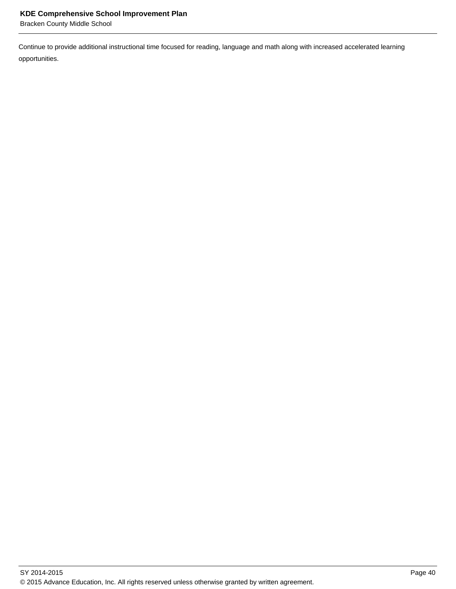Bracken County Middle School

Continue to provide additional instructional time focused for reading, language and math along with increased accelerated learning opportunities.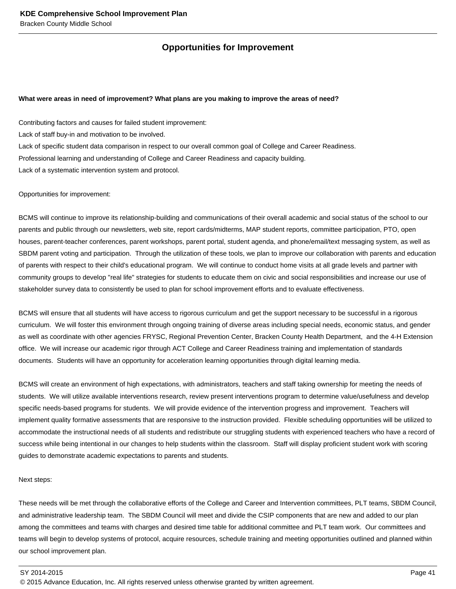#### **Opportunities for Improvement**

#### **What were areas in need of improvement? What plans are you making to improve the areas of need?**

Contributing factors and causes for failed student improvement: Lack of staff buy-in and motivation to be involved. Lack of specific student data comparison in respect to our overall common goal of College and Career Readiness. Professional learning and understanding of College and Career Readiness and capacity building. Lack of a systematic intervention system and protocol.

#### Opportunities for improvement:

BCMS will continue to improve its relationship-building and communications of their overall academic and social status of the school to our parents and public through our newsletters, web site, report cards/midterms, MAP student reports, committee participation, PTO, open houses, parent-teacher conferences, parent workshops, parent portal, student agenda, and phone/email/text messaging system, as well as SBDM parent voting and participation. Through the utilization of these tools, we plan to improve our collaboration with parents and education of parents with respect to their child's educational program. We will continue to conduct home visits at all grade levels and partner with community groups to develop "real life" strategies for students to educate them on civic and social responsibilities and increase our use of stakeholder survey data to consistently be used to plan for school improvement efforts and to evaluate effectiveness.

BCMS will ensure that all students will have access to rigorous curriculum and get the support necessary to be successful in a rigorous curriculum. We will foster this environment through ongoing training of diverse areas including special needs, economic status, and gender as well as coordinate with other agencies FRYSC, Regional Prevention Center, Bracken County Health Department, and the 4-H Extension office. We will increase our academic rigor through ACT College and Career Readiness training and implementation of standards documents. Students will have an opportunity for acceleration learning opportunities through digital learning media.

BCMS will create an environment of high expectations, with administrators, teachers and staff taking ownership for meeting the needs of students. We will utilize available interventions research, review present interventions program to determine value/usefulness and develop specific needs-based programs for students. We will provide evidence of the intervention progress and improvement. Teachers will implement quality formative assessments that are responsive to the instruction provided. Flexible scheduling opportunities will be utilized to accommodate the instructional needs of all students and redistribute our struggling students with experienced teachers who have a record of success while being intentional in our changes to help students within the classroom. Staff will display proficient student work with scoring guides to demonstrate academic expectations to parents and students.

#### Next steps:

These needs will be met through the collaborative efforts of the College and Career and Intervention committees, PLT teams, SBDM Council, and administrative leadership team. The SBDM Council will meet and divide the CSIP components that are new and added to our plan among the committees and teams with charges and desired time table for additional committee and PLT team work. Our committees and teams will begin to develop systems of protocol, acquire resources, schedule training and meeting opportunities outlined and planned within our school improvement plan.

#### SY 2014-2015 Page 41

© 2015 Advance Education, Inc. All rights reserved unless otherwise granted by written agreement.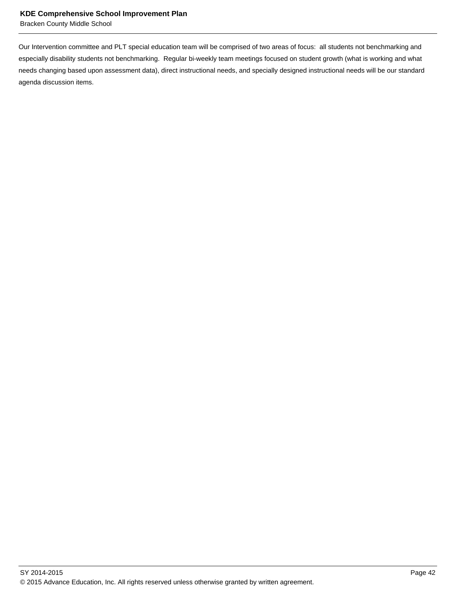Bracken County Middle School

Our Intervention committee and PLT special education team will be comprised of two areas of focus: all students not benchmarking and especially disability students not benchmarking. Regular bi-weekly team meetings focused on student growth (what is working and what needs changing based upon assessment data), direct instructional needs, and specially designed instructional needs will be our standard agenda discussion items.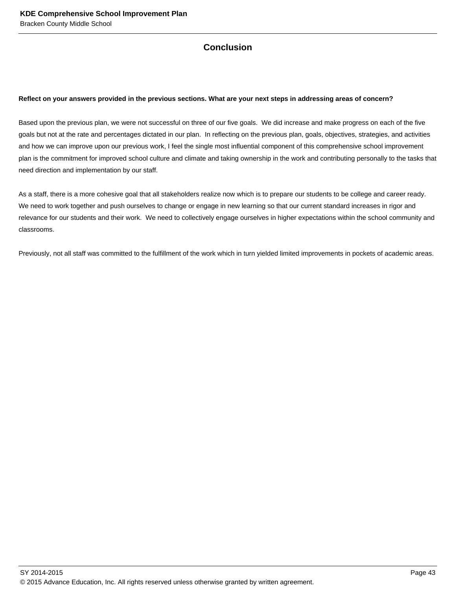## **Conclusion**

#### **Reflect on your answers provided in the previous sections. What are your next steps in addressing areas of concern?**

Based upon the previous plan, we were not successful on three of our five goals. We did increase and make progress on each of the five goals but not at the rate and percentages dictated in our plan. In reflecting on the previous plan, goals, objectives, strategies, and activities and how we can improve upon our previous work, I feel the single most influential component of this comprehensive school improvement plan is the commitment for improved school culture and climate and taking ownership in the work and contributing personally to the tasks that need direction and implementation by our staff.

As a staff, there is a more cohesive goal that all stakeholders realize now which is to prepare our students to be college and career ready. We need to work together and push ourselves to change or engage in new learning so that our current standard increases in rigor and relevance for our students and their work. We need to collectively engage ourselves in higher expectations within the school community and classrooms.

Previously, not all staff was committed to the fulfillment of the work which in turn yielded limited improvements in pockets of academic areas.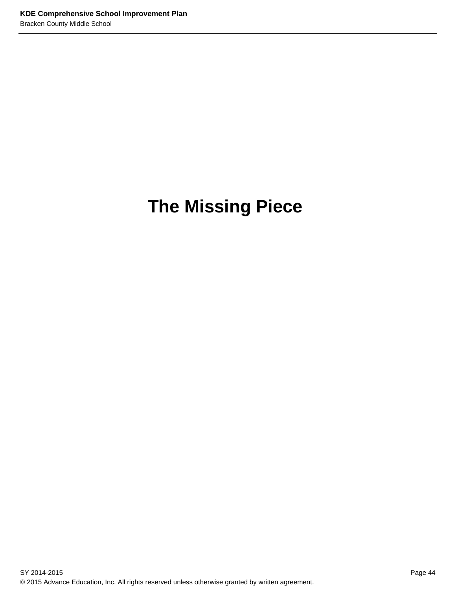# **The Missing Piece**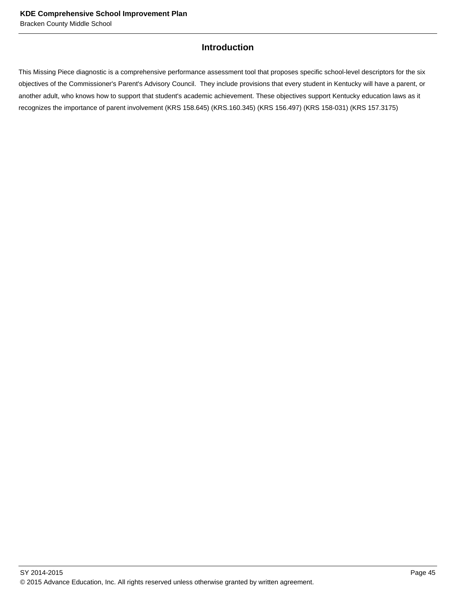#### **Introduction**

This Missing Piece diagnostic is a comprehensive performance assessment tool that proposes specific school-level descriptors for the six objectives of the Commissioner's Parent's Advisory Council. They include provisions that every student in Kentucky will have a parent, or another adult, who knows how to support that student's academic achievement. These objectives support Kentucky education laws as it recognizes the importance of parent involvement (KRS 158.645) (KRS.160.345) (KRS 156.497) (KRS 158-031) (KRS 157.3175)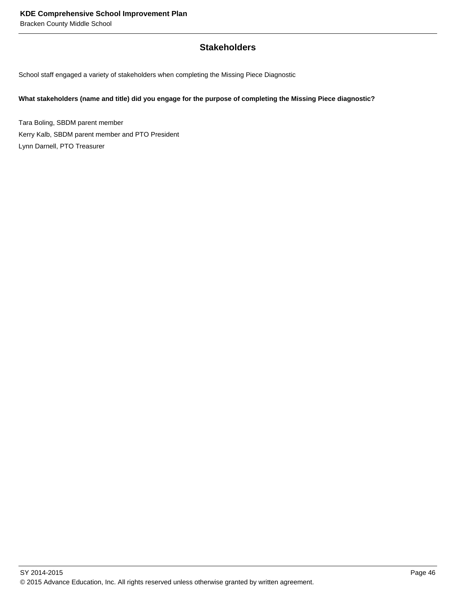#### **Stakeholders**

School staff engaged a variety of stakeholders when completing the Missing Piece Diagnostic

#### **What stakeholders (name and title) did you engage for the purpose of completing the Missing Piece diagnostic?**

Tara Boling, SBDM parent member Kerry Kalb, SBDM parent member and PTO President Lynn Darnell, PTO Treasurer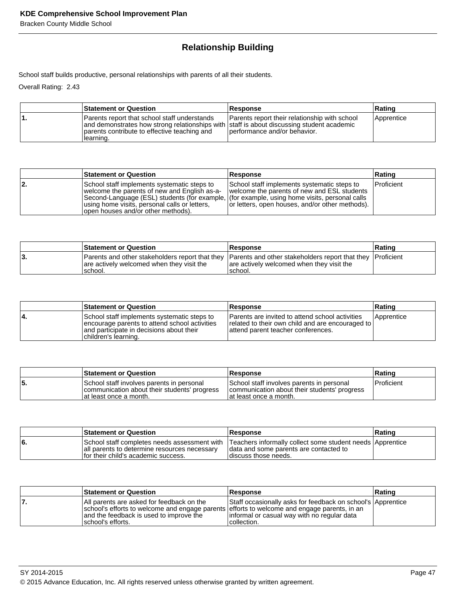# **Relationship Building**

School staff builds productive, personal relationships with parents of all their students.

Overall Rating: 2.43

| <b>Statement or Question</b>                                                                                                                                                                           | <b>Response</b>                                                               | Rating     |
|--------------------------------------------------------------------------------------------------------------------------------------------------------------------------------------------------------|-------------------------------------------------------------------------------|------------|
| Parents report that school staff understands<br>and demonstrates how strong relationships with staff is about discussing student academic<br>parents contribute to effective teaching and<br>learning. | Parents report their relationship with school<br>performance and/or behavior. | Apprentice |

|     | <b>Statement or Question</b>                                                                                                                                                                                                                                                       | <b>Response</b>                                                                                                                               | Rating            |
|-----|------------------------------------------------------------------------------------------------------------------------------------------------------------------------------------------------------------------------------------------------------------------------------------|-----------------------------------------------------------------------------------------------------------------------------------------------|-------------------|
| 12. | School staff implements systematic steps to<br>welcome the parents of new and English as-a-<br>Second-Language (ESL) students (for example, (for example, using home visits, personal calls<br>using home visits, personal calls or letters,<br>open houses and/or other methods). | School staff implements systematic steps to<br>welcome the parents of new and ESL students<br>or letters, open houses, and/or other methods). | <b>Proficient</b> |

| <b>Statement or Question</b>                                                                                                                                       | <b>Response</b>                                      | ∣Ratinɑ |
|--------------------------------------------------------------------------------------------------------------------------------------------------------------------|------------------------------------------------------|---------|
| Parents and other stakeholders report that they Parents and other stakeholders report that they Proficient<br>are actively welcomed when they visit the<br>school. | are actively welcomed when they visit the<br>school. |         |

|    | <b>Statement or Question</b>                                                                                                                                     | <b>Response</b>                                                                                                                           | ∣Ratinq           |
|----|------------------------------------------------------------------------------------------------------------------------------------------------------------------|-------------------------------------------------------------------------------------------------------------------------------------------|-------------------|
| 4. | School staff implements systematic steps to<br>encourage parents to attend school activities<br>and participate in decisions about their<br>children's learning. | Parents are invited to attend school activities<br>related to their own child and are encouraged to<br>attend parent teacher conferences. | <i>Apprentice</i> |

|    | <b>Statement or Question</b>                                                                                         | Response                                                                                                             | ∣Ratinq      |
|----|----------------------------------------------------------------------------------------------------------------------|----------------------------------------------------------------------------------------------------------------------|--------------|
| э. | School staff involves parents in personal<br>communication about their students' progress<br>lat least once a month. | School staff involves parents in personal<br>communication about their students' progress<br>lat least once a month. | l Proficient |

|    | <b>Statement or Question</b>                                                          | <b>Response</b>                                                                                                                                                            | ∣Ratinɑ |
|----|---------------------------------------------------------------------------------------|----------------------------------------------------------------------------------------------------------------------------------------------------------------------------|---------|
| 6. | all parents to determine resources necessary<br>If or their child's academic success. | School staff completes needs assessment with Teachers informally collect some student needs Apprentice<br>data and some parents are contacted to<br>I discuss those needs. |         |

| <b>Statement or Question</b>                                                                                                                                                                              | Response                                                                                                                  | Rating |
|-----------------------------------------------------------------------------------------------------------------------------------------------------------------------------------------------------------|---------------------------------------------------------------------------------------------------------------------------|--------|
| All parents are asked for feedback on the<br>school's efforts to welcome and engage parents efforts to welcome and engage parents, in an<br>and the feedback is used to improve the<br>Ischool's efforts. | Staff occasionally asks for feedback on school's Apprentice<br>informal or casual way with no regular data<br>collection. |        |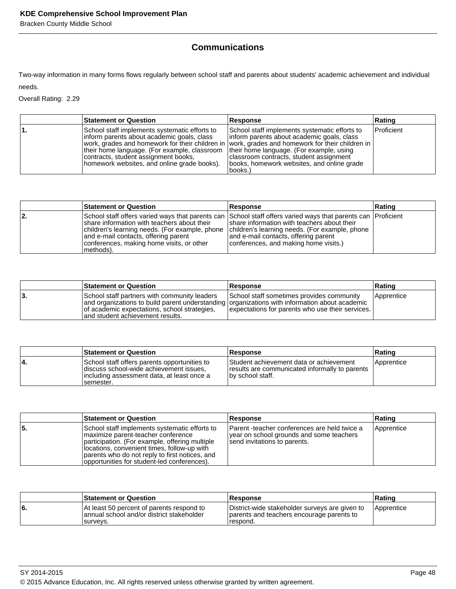Bracken County Middle School

# **Communications**

Two-way information in many forms flows regularly between school staff and parents about students' academic achievement and individual needs.

Overall Rating: 2.29

| <b>Statement or Question</b>                                                                                                                                                                                                                                                    | Response                                                                                                                                                                                                                                                                                             | Rating     |
|---------------------------------------------------------------------------------------------------------------------------------------------------------------------------------------------------------------------------------------------------------------------------------|------------------------------------------------------------------------------------------------------------------------------------------------------------------------------------------------------------------------------------------------------------------------------------------------------|------------|
| School staff implements systematic efforts to<br> inform parents about academic goals, class_<br>their home language. (For example, classroom   their home language. (For example, using<br>contracts, student assignment books,<br>homework websites, and online grade books). | School staff implements systematic efforts to<br>linform parents about academic goals, class<br>work, grades and homework for their children in  work, grades and homework for their children in<br>classroom contracts, student assignment<br>books, homework websites, and online grade<br>books.) | Proficient |

|     | <b>Statement or Question</b>                                                                                                                                                                                                                                                                                       | Response                                                                                                                                                                       | Rating |
|-----|--------------------------------------------------------------------------------------------------------------------------------------------------------------------------------------------------------------------------------------------------------------------------------------------------------------------|--------------------------------------------------------------------------------------------------------------------------------------------------------------------------------|--------|
| 12. | School staff offers varied ways that parents can School staff offers varied ways that parents can  Proficient<br>Ishare information with teachers about their<br>children's learning needs. (For example, phone<br>and e-mail contacts, offering parent<br>conferences, making home visits, or other<br> methods). | share information with teachers about their<br>children's learning needs. (For example, phone<br>and e-mail contacts, offering parent<br>conferences, and making home visits.) |        |

|     | <b>Statement or Question</b>                                                                                                                                                                                                       | <b>Response</b>                                                                               | <b>Rating</b> |
|-----|------------------------------------------------------------------------------------------------------------------------------------------------------------------------------------------------------------------------------------|-----------------------------------------------------------------------------------------------|---------------|
| ιЗ. | School staff partners with community leaders<br>and organizations to build parent understanding organizations with information about academic<br>of academic expectations, school strategies,<br>land student achievement results. | School staff sometimes provides community<br>expectations for parents who use their services. | Apprentice    |

|    | <b>Statement or Question</b>                                                                                                                         | <b>Response</b>                                                                                                | ∣Ratinɑ    |
|----|------------------------------------------------------------------------------------------------------------------------------------------------------|----------------------------------------------------------------------------------------------------------------|------------|
| 4. | School staff offers parents opportunities to<br>discuss school-wide achievement issues.<br>lincluding assessment data, at least once a<br>Isemester. | Student achievement data or achievement<br>results are communicated informally to parents<br>Iby school staff. | Apprentice |

|    | <b>Statement or Question</b>                                                                                                                                                                                                                                                          | <b>Response</b>                                                                                                          | Rating     |
|----|---------------------------------------------------------------------------------------------------------------------------------------------------------------------------------------------------------------------------------------------------------------------------------------|--------------------------------------------------------------------------------------------------------------------------|------------|
| 5. | School staff implements systematic efforts to<br>maximize parent-teacher conference<br>participation. (For example, offering multiple<br>locations, convenient times, follow-up with<br>parents who do not reply to first notices, and<br>opportunities for student-led conferences). | Parent -teacher conferences are held twice a<br>year on school grounds and some teachers<br>send invitations to parents. | Apprentice |

|    | <b>Statement or Question</b>                                                                       | <b>Response</b>                                                                                         | ∣Ratinɑ    |
|----|----------------------------------------------------------------------------------------------------|---------------------------------------------------------------------------------------------------------|------------|
| 6. | At least 50 percent of parents respond to<br>annual school and/or district stakeholder<br>surveys. | District-wide stakeholder surveys are given to<br>parents and teachers encourage parents to<br>respond. | Apprentice |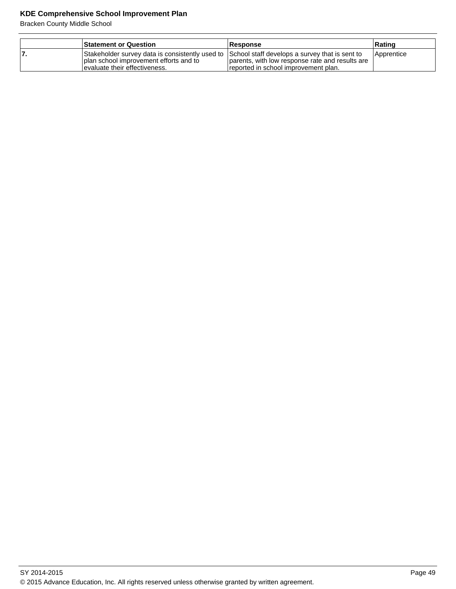| <b>Statement or Question</b>                                                                                                                                                 | Response                                                                                | ∣Ratinɑ           |
|------------------------------------------------------------------------------------------------------------------------------------------------------------------------------|-----------------------------------------------------------------------------------------|-------------------|
| Stakeholder survey data is consistently used to School staff develops a survey that is sent to<br>I plan school improvement efforts and to<br>levaluate their effectiveness. | parents, with low response rate and results are<br>reported in school improvement plan. | <i>Apprentice</i> |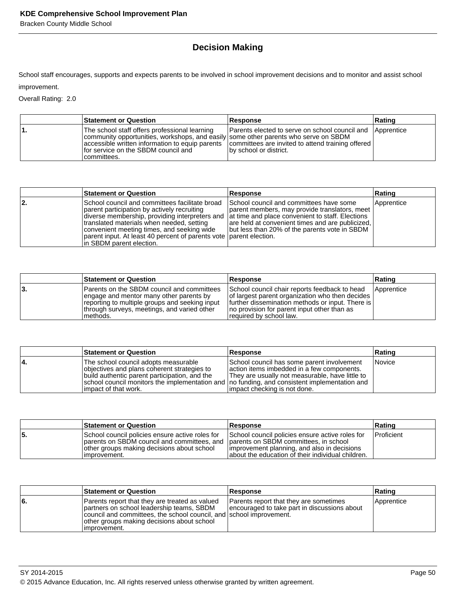Bracken County Middle School

# **Decision Making**

School staff encourages, supports and expects parents to be involved in school improvement decisions and to monitor and assist school improvement.

Overall Rating: 2.0

| <b>Statement or Question</b>                                                                                                                                                               | <b>Response</b>                                                                                                                                                                              | Rating |
|--------------------------------------------------------------------------------------------------------------------------------------------------------------------------------------------|----------------------------------------------------------------------------------------------------------------------------------------------------------------------------------------------|--------|
| The school staff offers professional learning<br>community opportunities, workshops, and easily some other parents who serve on SBDM<br>for service on the SBDM council and<br>committees. | Parents elected to serve on school council and Apprentice<br>  accessible written information to equip parents   committees are invited to attend training offered<br>by school or district. |        |

|     | <b>Statement or Question</b>                                                                                                                                                                                                                                                                                                                                                                  | Response                                                                                                                                                                                      | Rating     |
|-----|-----------------------------------------------------------------------------------------------------------------------------------------------------------------------------------------------------------------------------------------------------------------------------------------------------------------------------------------------------------------------------------------------|-----------------------------------------------------------------------------------------------------------------------------------------------------------------------------------------------|------------|
| 12. | School council and committees facilitate broad<br>parent participation by actively recruiting<br>diverse membership, providing interpreters and at time and place convenient to staff. Elections<br>translated materials when needed, setting<br>convenient meeting times, and seeking wide<br>parent input. At least 40 percent of parents vote parent election.<br>In SBDM parent election. | School council and committees have some<br>parent members, may provide translators, meet<br>are held at convenient times and are publicized,<br>but less than 20% of the parents vote in SBDM | Apprentice |

|    | <b>Statement or Question</b>                                                                                                                                                                               | <b>Response</b>                                                                                                                                                                                                                  | ∣Ratinq    |
|----|------------------------------------------------------------------------------------------------------------------------------------------------------------------------------------------------------------|----------------------------------------------------------------------------------------------------------------------------------------------------------------------------------------------------------------------------------|------------|
| З. | <b>Parents on the SBDM council and committees</b><br>engage and mentor many other parents by<br>reporting to multiple groups and seeking input<br>through surveys, meetings, and varied other<br>Imethods. | School council chair reports feedback to head<br>of largest parent organization who then decides<br>  further dissemination methods or input. There is<br>no provision for parent input other than as<br>required by school law. | Apprentice |

|    | <b>Statement or Question</b>                                                                                                                                                                                                                                    | <b>Response</b>                                                                                                                                                             | Rating |
|----|-----------------------------------------------------------------------------------------------------------------------------------------------------------------------------------------------------------------------------------------------------------------|-----------------------------------------------------------------------------------------------------------------------------------------------------------------------------|--------|
| 4. | The school council adopts measurable<br>objectives and plans coherent strategies to<br>build authentic parent participation, and the<br>school council monitors the implementation and   no funding, and consistent implementation and<br>limpact of that work. | School council has some parent involvement<br>action items imbedded in a few components.<br>They are usually not measurable, have little to<br>impact checking is not done. | Novice |

|    | <b>Statement or Question</b>                                                                                                                                                                        | <b>Response</b>                                                                                                                                     | Rating     |
|----|-----------------------------------------------------------------------------------------------------------------------------------------------------------------------------------------------------|-----------------------------------------------------------------------------------------------------------------------------------------------------|------------|
| 5. | School council policies ensure active roles for<br>parents on SBDM council and committees, and parents on SBDM committees, in school<br>other groups making decisions about school<br>limprovement. | School council policies ensure active roles for<br>Improvement planning, and also in decisions<br>about the education of their individual children. | Proficient |

|     | <b>Statement or Question</b>                                                                                                                                                                                                      | <b>Response</b>                                                                        | Rating     |
|-----|-----------------------------------------------------------------------------------------------------------------------------------------------------------------------------------------------------------------------------------|----------------------------------------------------------------------------------------|------------|
| l6. | Parents report that they are treated as valued<br>partners on school leadership teams, SBDM<br>council and committees, the school council, and school improvement.<br>other groups making decisions about school<br>limprovement. | Parents report that they are sometimes<br>encouraged to take part in discussions about | Apprentice |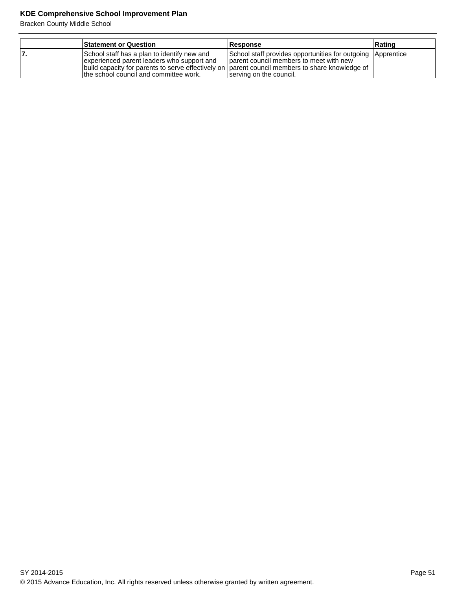|    | <b>Statement or Question</b>                                                                                                                                                                                                           | Response                                                                                                                          | Rating |
|----|----------------------------------------------------------------------------------------------------------------------------------------------------------------------------------------------------------------------------------------|-----------------------------------------------------------------------------------------------------------------------------------|--------|
| 7. | School staff has a plan to identify new and<br>experienced parent leaders who support and<br>build capacity for parents to serve effectively on parent council members to share knowledge of<br>the school council and committee work. | School staff provides opportunities for outgoing Apprentice<br>parent council members to meet with new<br>serving on the council. |        |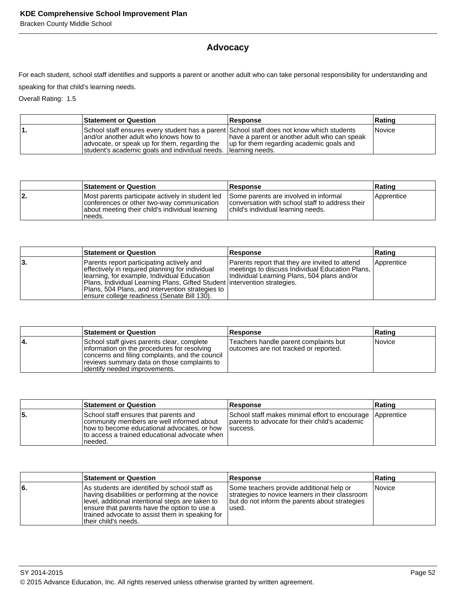Bracken County Middle School

# **Advocacy**

For each student, school staff identifies and supports a parent or another adult who can take personal responsibility for understanding and

speaking for that child's learning needs.

Overall Rating: 1.5

| <b>Statement or Question</b>                                                                                                                                                                                                                             | <b>Response</b>                                                                          | ∣Ratinɑ       |
|----------------------------------------------------------------------------------------------------------------------------------------------------------------------------------------------------------------------------------------------------------|------------------------------------------------------------------------------------------|---------------|
| School staff ensures every student has a parent School staff does not know which students<br>land/or another adult who knows how to<br>advocate, or speak up for them, regarding the<br>student's academic goals and individual needs. I learning needs. | have a parent or another adult who can speak<br>up for them regarding academic goals and | <i>Novice</i> |

|     | <b>Statement or Question</b>                                                                                                                                | <b>Response</b>                                                                                                                | Rating     |
|-----|-------------------------------------------------------------------------------------------------------------------------------------------------------------|--------------------------------------------------------------------------------------------------------------------------------|------------|
| 12. | Most parents participate actively in student led<br>conferences or other two-way communication<br>about meeting their child's individual learning<br>needs. | Some parents are involved in informal<br>conversation with school staff to address their<br>child's individual learning needs. | Apprentice |

|     | <b>Statement or Question</b>                                                                                                                                                                                                                                                                                                    | <b>Response</b>                                                                                                                                  | Rating     |
|-----|---------------------------------------------------------------------------------------------------------------------------------------------------------------------------------------------------------------------------------------------------------------------------------------------------------------------------------|--------------------------------------------------------------------------------------------------------------------------------------------------|------------|
| ιЗ. | Parents report participating actively and<br>effectively in required planning for individual<br>Ilearning, for example, Individual Education<br> Plans, Individual Learning Plans, Gifted Student   intervention strategies.<br>Plans, 504 Plans, and intervention strategies to<br>ensure college readiness (Senate Bill 130). | Parents report that they are invited to attend<br>meetings to discuss Individual Education Plans,<br>Individual Learning Plans, 504 plans and/or | Apprentice |

|    | <b>Statement or Question</b>                                                                                                                                                                                                  | <b>Response</b>                                                                | Rating |
|----|-------------------------------------------------------------------------------------------------------------------------------------------------------------------------------------------------------------------------------|--------------------------------------------------------------------------------|--------|
| 4. | School staff gives parents clear, complete<br>information on the procedures for resolving<br>concerns and filing complaints, and the council<br>reviews summary data on those complaints to<br>lidentify needed improvements. | Teachers handle parent complaints but<br>outcomes are not tracked or reported. | Novice |

|    | <b>Statement or Question</b>                                                                                                                                                                    | <b>Response</b>                                                                                                          | Rating |
|----|-------------------------------------------------------------------------------------------------------------------------------------------------------------------------------------------------|--------------------------------------------------------------------------------------------------------------------------|--------|
| 5. | School staff ensures that parents and<br>community members are well informed about<br>how to become educational advocates, or how<br>Ito access a trained educational advocate when<br>Ineeded. | School staff makes minimal effort to encourage Apprentice<br>parents to advocate for their child's academic<br>Isuccess. |        |

|    | <b>Statement or Question</b>                                                                                                                                                                                                                                                     | <b>Response</b>                                                                                                                                         | Rating |
|----|----------------------------------------------------------------------------------------------------------------------------------------------------------------------------------------------------------------------------------------------------------------------------------|---------------------------------------------------------------------------------------------------------------------------------------------------------|--------|
| 6. | As students are identified by school staff as<br>having disabilities or performing at the novice<br>level, additional intentional steps are taken to<br>ensure that parents have the option to use a<br>trained advocate to assist them in speaking for<br>ltheir child's needs. | Some teachers provide additional help or<br>strategies to novice learners in their classroom<br>but do not inform the parents about strategies<br>used. | Novice |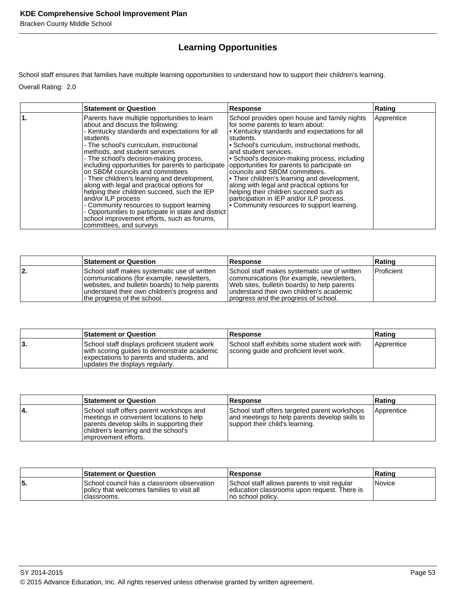# **Learning Opportunities**

School staff ensures that families have multiple learning opportunities to understand how to support their children's learning. Overall Rating: 2.0

| <b>Statement or Question</b>                                                                                                                                                                                                                                                                                                                                                                                                                                                                                                                                                                                                                                                                                      | <b>Response</b>                                                                                                                                                                                                                                                                                                                                                                                                                                                                                                                                                                             | Rating     |
|-------------------------------------------------------------------------------------------------------------------------------------------------------------------------------------------------------------------------------------------------------------------------------------------------------------------------------------------------------------------------------------------------------------------------------------------------------------------------------------------------------------------------------------------------------------------------------------------------------------------------------------------------------------------------------------------------------------------|---------------------------------------------------------------------------------------------------------------------------------------------------------------------------------------------------------------------------------------------------------------------------------------------------------------------------------------------------------------------------------------------------------------------------------------------------------------------------------------------------------------------------------------------------------------------------------------------|------------|
| Parents have multiple opportunities to learn<br>about and discuss the following:<br>- Kentucky standards and expectations for all<br>students<br>- The school's curriculum, instructional<br>methods, and student services<br>- The school's decision-making process,<br>including opportunities for parents to participate<br>on SBDM councils and committees<br>- Their children's learning and development,<br>along with legal and practical options for<br>helping their children succeed, such the IEP<br>and/or ILP process<br>- Community resources to support learning<br>- Opportunities to participate in state and district<br>school improvement efforts, such as forums,<br>committees, and surveys | School provides open house and family nights<br>for some parents to learn about:<br>• Kentucky standards and expectations for all<br>students.<br>• School's curriculum, instructional methods,<br>and student services.<br>• School's decision-making process, including<br>opportunities for parents to participate on<br>councils and SBDM committees.<br>• Their children's learning and development,<br>along with legal and practical options for<br>helping their children succeed such as<br>participation in IEP and/or ILP process.<br>• Community resources to support learning. | Apprentice |

|    | <b>Statement or Question</b>                                                                                                                                                                                               | <b>Response</b>                                                                                                                                                                                                               | Rating            |
|----|----------------------------------------------------------------------------------------------------------------------------------------------------------------------------------------------------------------------------|-------------------------------------------------------------------------------------------------------------------------------------------------------------------------------------------------------------------------------|-------------------|
| 2. | School staff makes systematic use of written<br>communications (for example, newsletters,<br>websites, and bulletin boards) to help parents<br>understand their own children's progress and<br>the progress of the school. | School staff makes systematic use of written<br>communications (for example, newsletters,<br>Web sites, bulletin boards) to help parents<br>lunderstand their own children's academic<br>progress and the progress of school. | <b>Proficient</b> |

|    | <b>Statement or Question</b>                                                                                                                                                 | <b>Response</b>                                                                          | Rating     |
|----|------------------------------------------------------------------------------------------------------------------------------------------------------------------------------|------------------------------------------------------------------------------------------|------------|
| ۰. | School staff displays proficient student work<br>with scoring guides to demonstrate academic<br>expectations to parents and students, and<br>updates the displays regularly. | School staff exhibits some student work with<br>scoring guide and proficient level work. | Apprentice |

|     | <b>Statement or Question</b>                                                                                                                                                                        | <b>Response</b>                                                                                                                    | Rating     |
|-----|-----------------------------------------------------------------------------------------------------------------------------------------------------------------------------------------------------|------------------------------------------------------------------------------------------------------------------------------------|------------|
| 14. | School staff offers parent workshops and<br>meetings in convenient locations to help<br>parents develop skills in supporting their<br>children's learning and the school's<br>limprovement efforts. | School staff offers targeted parent workshops<br>and meetings to help parents develop skills to<br>support their child's learning. | Apprentice |

|     | <b>Statement or Question</b>                                                                                | <b>Response</b>                                                                                                    | ∣Ratinɑ |
|-----|-------------------------------------------------------------------------------------------------------------|--------------------------------------------------------------------------------------------------------------------|---------|
| 55. | ISchool council has a classroom observation<br>I policy that welcomes families to visit all<br>Iclassrooms. | School staff allows parents to visit regular<br>Jeducation classrooms upon request. There is<br>Ino school policy. | Novice  |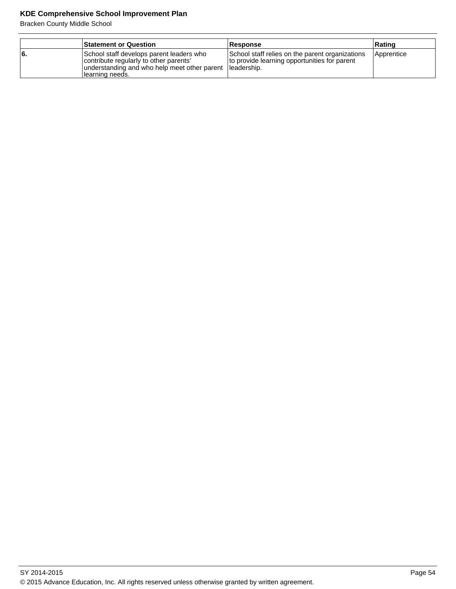|     | <b>Statement or Question</b>                                                                                                                           | Response                                                                                                        | ∣Ratinɑ    |
|-----|--------------------------------------------------------------------------------------------------------------------------------------------------------|-----------------------------------------------------------------------------------------------------------------|------------|
| l6. | School staff develops parent leaders who<br>contribute regularly to other parents'<br>understanding and who help meet other parent<br>Ilearning needs. | School staff relies on the parent organizations<br>to provide learning opportunities for parent<br>lleadership. | Apprentice |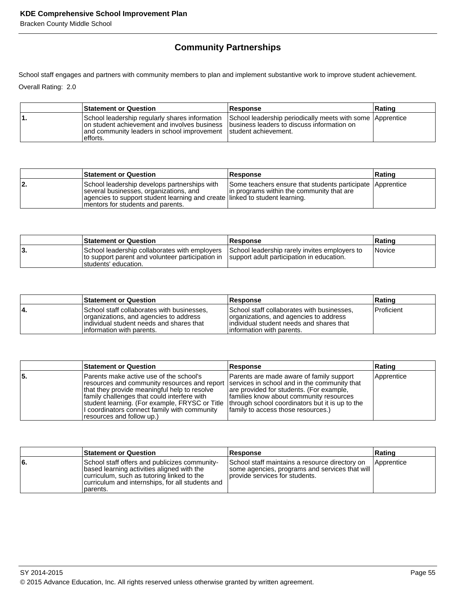# **Community Partnerships**

School staff engages and partners with community members to plan and implement substantive work to improve student achievement. Overall Rating: 2.0

| <b>Statement or Question</b>                                                                                                                                                                                               | <b>Response</b>                                           | Rating |
|----------------------------------------------------------------------------------------------------------------------------------------------------------------------------------------------------------------------------|-----------------------------------------------------------|--------|
| School leadership regularly shares information<br>on student achievement and involves business Ibusiness leaders to discuss information on<br>and community leaders in school improvement student achievement.<br>efforts. | School leadership periodically meets with some Apprentice |        |

|    | <b>Statement or Question</b>                                                                                                                                                                                | <b>Response</b>                                                                                        | <b>Rating</b> |
|----|-------------------------------------------------------------------------------------------------------------------------------------------------------------------------------------------------------------|--------------------------------------------------------------------------------------------------------|---------------|
| 2. | School leadership develops partnerships with<br>several businesses, organizations, and<br>agencies to support student learning and create linked to student learning.<br>Imentors for students and parents. | Some teachers ensure that students participate Apprentice<br>In programs within the community that are |               |

|     | <b>Statement or Question</b>                                                                                                                                         | <b>Response</b>                               | ∣Ratinɑ              |
|-----|----------------------------------------------------------------------------------------------------------------------------------------------------------------------|-----------------------------------------------|----------------------|
| ΙЗ. | School leadership collaborates with employers<br>to support parent and volunteer participation in Support adult participation in education.<br>Istudents' education. | School leadership rarely invites employers to | <i><b>Novice</b></i> |

|     | <b>Statement or Question</b>                                                                                                                                   | <b>Response</b>                                                                                                                                                 | Rating            |
|-----|----------------------------------------------------------------------------------------------------------------------------------------------------------------|-----------------------------------------------------------------------------------------------------------------------------------------------------------------|-------------------|
| ١4. | School staff collaborates with businesses,<br>organizations, and agencies to address<br>individual student needs and shares that<br>linformation with parents. | School staff collaborates with businesses,<br>organizations, and agencies to address<br>lindividual student needs and shares that<br>linformation with parents. | <b>Proficient</b> |

|     | <b>Statement or Question</b>                                                                                                                                                                                                                                                                                                                                                                                           | Response                                                                                                                                                              | Rating     |
|-----|------------------------------------------------------------------------------------------------------------------------------------------------------------------------------------------------------------------------------------------------------------------------------------------------------------------------------------------------------------------------------------------------------------------------|-----------------------------------------------------------------------------------------------------------------------------------------------------------------------|------------|
| '5. | lParents make active use of the school's<br>resources and community resources and report   services in school and in the community that<br>that they provide meaningful help to resolve<br>family challenges that could interfere with<br>student learning. (For example, FRYSC or Title  through school coordinators but it is up to the<br>I coordinators connect family with community<br>resources and follow up.) | Parents are made aware of family support<br>are provided for students. (For example,<br>families know about community resources<br>family to access those resources.) | Apprentice |

|     | <b>Statement or Question</b>                                                                                                                                                                              | <b>Response</b>                                                                                                                         | Rating     |
|-----|-----------------------------------------------------------------------------------------------------------------------------------------------------------------------------------------------------------|-----------------------------------------------------------------------------------------------------------------------------------------|------------|
| l6. | School staff offers and publicizes community-<br>based learning activities aligned with the<br>curriculum, such as tutoring linked to the<br>curriculum and internships, for all students and<br>parents. | School staff maintains a resource directory on<br>  some agencies, programs and services that will  <br>Iprovide services for students. | Apprentice |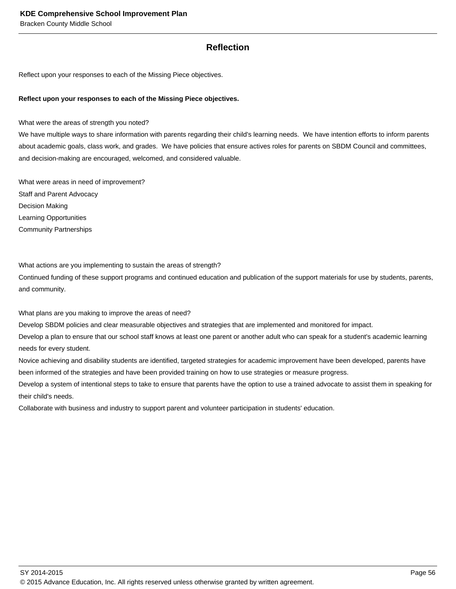#### **Reflection**

Reflect upon your responses to each of the Missing Piece objectives.

#### **Reflect upon your responses to each of the Missing Piece objectives.**

What were the areas of strength you noted?

We have multiple ways to share information with parents regarding their child's learning needs. We have intention efforts to inform parents about academic goals, class work, and grades. We have policies that ensure actives roles for parents on SBDM Council and committees, and decision-making are encouraged, welcomed, and considered valuable.

What were areas in need of improvement? Staff and Parent Advocacy Decision Making Learning Opportunities Community Partnerships

What actions are you implementing to sustain the areas of strength?

Continued funding of these support programs and continued education and publication of the support materials for use by students, parents, and community.

What plans are you making to improve the areas of need?

Develop SBDM policies and clear measurable objectives and strategies that are implemented and monitored for impact.

Develop a plan to ensure that our school staff knows at least one parent or another adult who can speak for a student's academic learning needs for every student.

Novice achieving and disability students are identified, targeted strategies for academic improvement have been developed, parents have been informed of the strategies and have been provided training on how to use strategies or measure progress.

Develop a system of intentional steps to take to ensure that parents have the option to use a trained advocate to assist them in speaking for their child's needs.

Collaborate with business and industry to support parent and volunteer participation in students' education.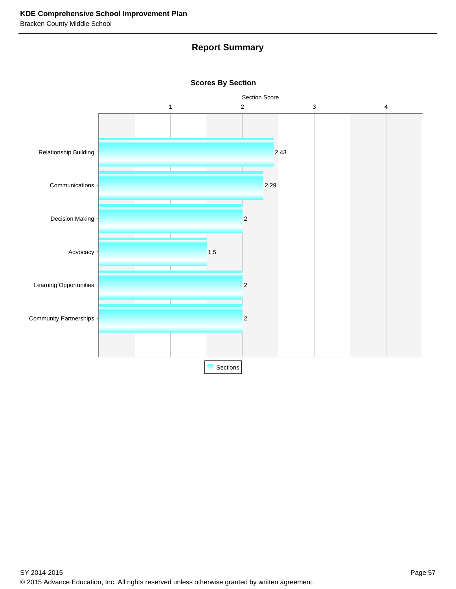## **Report Summary**



**Scores By Section**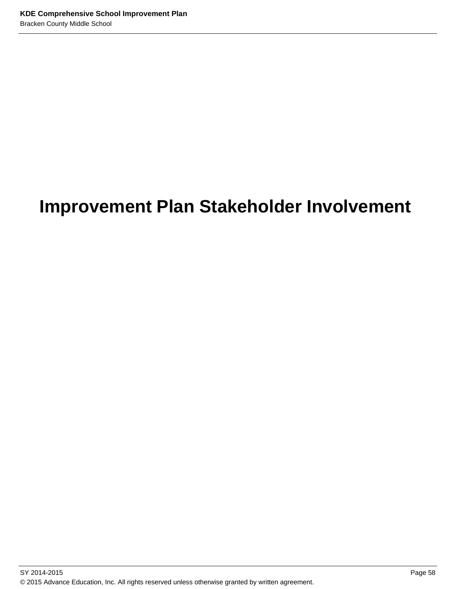# **Improvement Plan Stakeholder Involvement**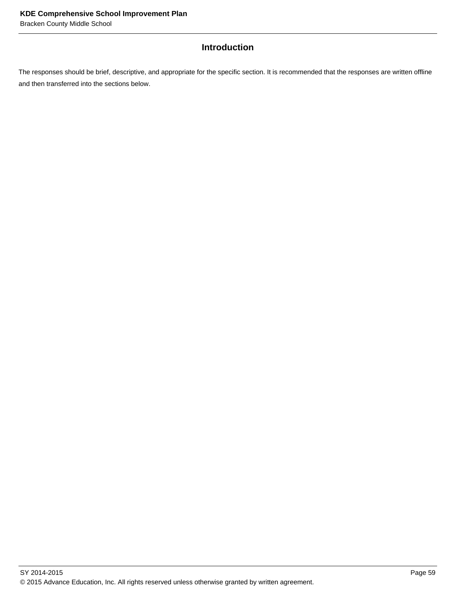## **Introduction**

The responses should be brief, descriptive, and appropriate for the specific section. It is recommended that the responses are written offline and then transferred into the sections below.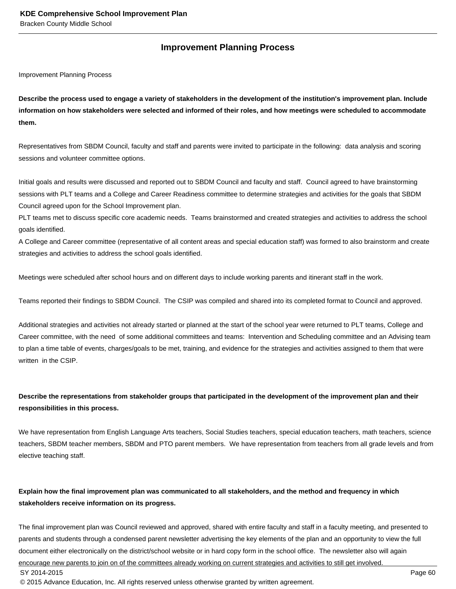#### **Improvement Planning Process**

Improvement Planning Process

**Describe the process used to engage a variety of stakeholders in the development of the institution's improvement plan. Include information on how stakeholders were selected and informed of their roles, and how meetings were scheduled to accommodate them.** 

Representatives from SBDM Council, faculty and staff and parents were invited to participate in the following: data analysis and scoring sessions and volunteer committee options.

Initial goals and results were discussed and reported out to SBDM Council and faculty and staff. Council agreed to have brainstorming sessions with PLT teams and a College and Career Readiness committee to determine strategies and activities for the goals that SBDM Council agreed upon for the School Improvement plan.

PLT teams met to discuss specific core academic needs. Teams brainstormed and created strategies and activities to address the school goals identified.

A College and Career committee (representative of all content areas and special education staff) was formed to also brainstorm and create strategies and activities to address the school goals identified.

Meetings were scheduled after school hours and on different days to include working parents and itinerant staff in the work.

Teams reported their findings to SBDM Council. The CSIP was compiled and shared into its completed format to Council and approved.

Additional strategies and activities not already started or planned at the start of the school year were returned to PLT teams, College and Career committee, with the need of some additional committees and teams: Intervention and Scheduling committee and an Advising team to plan a time table of events, charges/goals to be met, training, and evidence for the strategies and activities assigned to them that were written in the CSIP.

#### **Describe the representations from stakeholder groups that participated in the development of the improvement plan and their responsibilities in this process.**

We have representation from English Language Arts teachers, Social Studies teachers, special education teachers, math teachers, science teachers, SBDM teacher members, SBDM and PTO parent members. We have representation from teachers from all grade levels and from elective teaching staff.

#### **Explain how the final improvement plan was communicated to all stakeholders, and the method and frequency in which stakeholders receive information on its progress.**

The final improvement plan was Council reviewed and approved, shared with entire faculty and staff in a faculty meeting, and presented to parents and students through a condensed parent newsletter advertising the key elements of the plan and an opportunity to view the full document either electronically on the district/school website or in hard copy form in the school office. The newsletter also will again encourage new parents to join on of the committees already working on current strategies and activities to still get involved.

SY 2014-2015 Page 60

© 2015 Advance Education, Inc. All rights reserved unless otherwise granted by written agreement.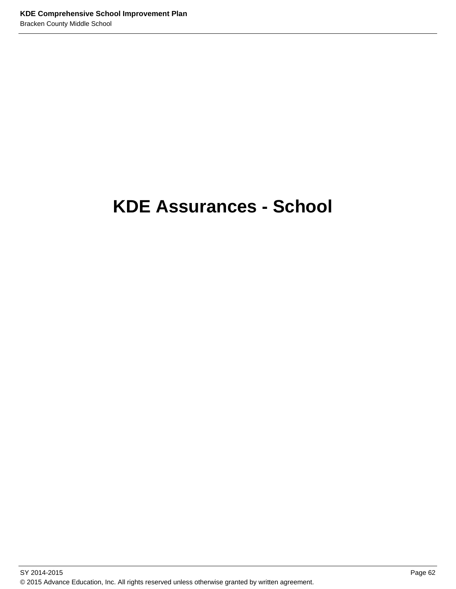# **KDE Assurances - School**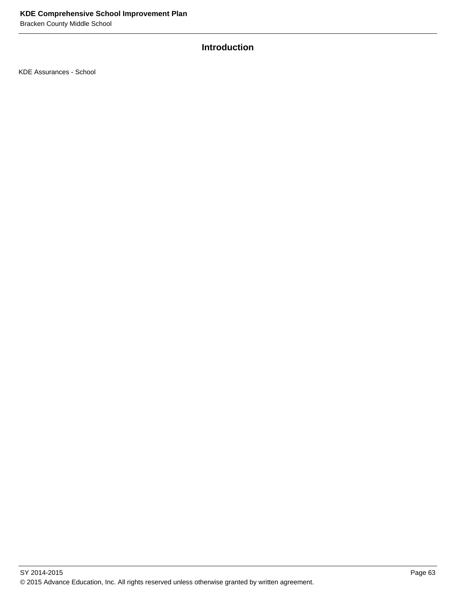# **Introduction**

KDE Assurances - School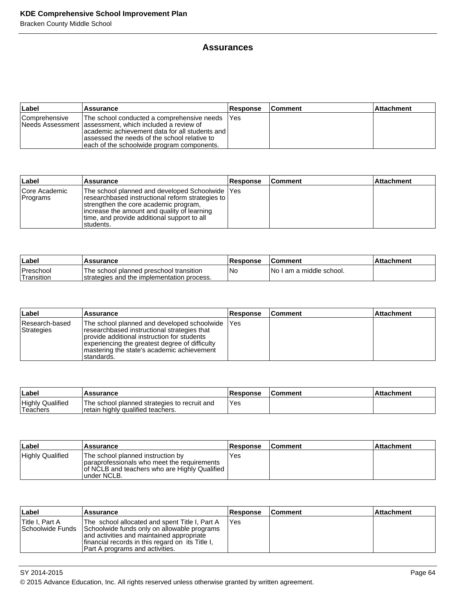#### **Assurances**

| ∣Label               | <b>Assurance</b>                                                                                                                                                                                                                                           | <b>Response</b> | <b>Comment</b> | ∣Attachment |
|----------------------|------------------------------------------------------------------------------------------------------------------------------------------------------------------------------------------------------------------------------------------------------------|-----------------|----------------|-------------|
| <b>Comprehensive</b> | The school conducted a comprehensive needs<br>Needs Assessment lassessment, which included a review of<br>lacademic achievement data for all students and l<br>assessed the needs of the school relative to<br>leach of the schoolwide program components. | IYes            |                |             |

| Label                     | Assurance                                                                                                                                                                                                                                                     | Response | <b>Comment</b> | <b>Attachment</b> |
|---------------------------|---------------------------------------------------------------------------------------------------------------------------------------------------------------------------------------------------------------------------------------------------------------|----------|----------------|-------------------|
| Core Academic<br>Programs | The school planned and developed Schoolwide   Yes<br>researchbased instructional reform strategies to  <br>strengthen the core academic program,<br>lincrease the amount and quality of learning<br>time, and provide additional support to all<br>Istudents. |          |                |                   |

| Label                    | <b>Assurance</b>                                                                       | Response | <b>Comment</b>            | l Attachment |
|--------------------------|----------------------------------------------------------------------------------------|----------|---------------------------|--------------|
| Preschool<br>'Transition | The school planned preschool transition<br>Istrategies and the implementation process. | 'No      | INo I am a middle school. |              |

| ∣Label                       | <b>Assurance</b>                                                                                                                                                                                                                                          | <b>Response</b> | ∣Comment | <b>Attachment</b> |
|------------------------------|-----------------------------------------------------------------------------------------------------------------------------------------------------------------------------------------------------------------------------------------------------------|-----------------|----------|-------------------|
| Research-based<br>Strategies | The school planned and developed schoolwide<br>researchbased instructional strategies that<br>provide additional instruction for students<br>experiencing the greatest degree of difficulty<br>Imastering the state's academic achievement<br>Istandards. | <b>Yes</b>      |          |                   |

| ∣Labe                                | <b>Assurance</b>                                                                    | <b>Response</b> | <b>Comment</b> | Attachment |
|--------------------------------------|-------------------------------------------------------------------------------------|-----------------|----------------|------------|
| <b>Highly Qualified</b><br>'Teachers | The school planned strategies to recruit and<br>I retain highly qualified teachers. | Yes             |                |            |

| ∣Label           | <b>Assurance</b>                                                                                                                                  | <b>Response</b> | <b>Comment</b> | ⊺Attachment |
|------------------|---------------------------------------------------------------------------------------------------------------------------------------------------|-----------------|----------------|-------------|
| Highly Qualified | The school planned instruction by<br>paraprofessionals who meet the requirements<br>of NCLB and teachers who are Highly Qualified<br>lunder NCLB. | Yes             |                |             |

| Label                                | <b>∣Assurance</b>                                                                                                                                                                                                                 | <b>Response</b> | <b>Comment</b> | <b>Attachment</b> |
|--------------------------------------|-----------------------------------------------------------------------------------------------------------------------------------------------------------------------------------------------------------------------------------|-----------------|----------------|-------------------|
| Title I, Part A<br> Schoolwide Funds | The school allocated and spent Title I, Part A<br>Schoolwide funds only on allowable programs<br>and activities and maintained appropriate<br>financial records in this regard on its Title I,<br>Part A programs and activities. | 'Yes            |                |                   |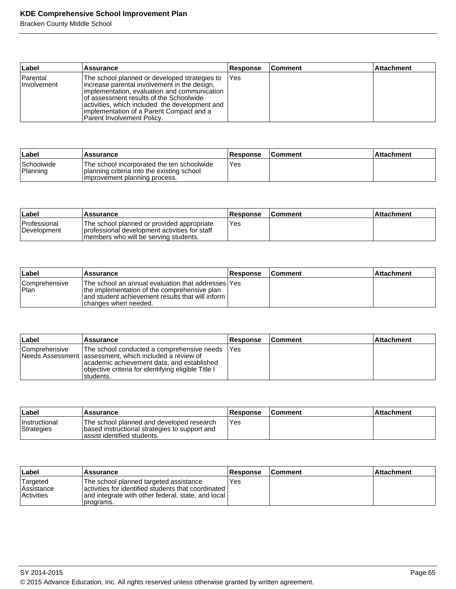| ∣Label                          | <b>Assurance</b>                                                                                                                                                                                                                                                                                                        | Response | <b>Comment</b> | <b>Attachment</b> |
|---------------------------------|-------------------------------------------------------------------------------------------------------------------------------------------------------------------------------------------------------------------------------------------------------------------------------------------------------------------------|----------|----------------|-------------------|
| Parental<br><i>I</i> nvolvement | The school planned or developed strategies to<br>lincrease parental involvement in the design,<br>implementation, evaluation and communication<br>lof assessment results of the Schoolwide<br>activities, which included the development and<br>limplementation of a Parent Compact and a<br>Parent Involvement Policy. | l Yes    |                |                   |

| ∣Label                 | Assurance                                                                                                                 | 'Response | <b>Comment</b> | ∣Attachment∶ |
|------------------------|---------------------------------------------------------------------------------------------------------------------------|-----------|----------------|--------------|
| Schoolwide<br>Planning | The school incorporated the ten schoolwide<br>planning criteria into the existing school<br>improvement planning process. | Yes       |                |              |

| ∣Label                      | <b>Assurance</b>                                                                                                                        | <b>Response</b> | <b>Comment</b> | ⊺Attachment |
|-----------------------------|-----------------------------------------------------------------------------------------------------------------------------------------|-----------------|----------------|-------------|
| Professional<br>Development | The school planned or provided appropriate<br>I professional development activities for staff<br>Imembers who will be serving students. | <b>Yes</b>      |                |             |

| ∣Label                        | Assurance                                                                                                                                                                          | Response | <b>Comment</b> | Attachment |
|-------------------------------|------------------------------------------------------------------------------------------------------------------------------------------------------------------------------------|----------|----------------|------------|
| <b>Comprehensive</b><br>!Plan | The school an annual evaluation that addresses lYes<br>the implementation of the comprehensive plan<br>and student achievement results that will inform I<br>Ichanges when needed. |          |                |            |

| ∣Label        | Assurance                                                                                                                                                                                                                  | <b>Response</b> | <b>Comment</b> | <b>Attachment</b> |
|---------------|----------------------------------------------------------------------------------------------------------------------------------------------------------------------------------------------------------------------------|-----------------|----------------|-------------------|
| Comprehensive | The school conducted a comprehensive needs<br>Needs Assessment   assessment, which included a review of<br>academic achievement data, and established<br>objective criteria for identifying eligible Title I<br>Istudents. | <b>Yes</b>      |                |                   |

| Label                              | Assurance                                                                                                                  | <b>Response</b> | ∣Comment∶ | ∣Attachment |
|------------------------------------|----------------------------------------------------------------------------------------------------------------------------|-----------------|-----------|-------------|
| <b>Instructional</b><br>Strategies | The school planned and developed research<br>based instructional strategies to support and<br>lassist identified students. | Yes             |           |             |

| ∣Label                                             | <b>Assurance</b>                                                                                                                                                   | <b>Response</b> | <b>Comment</b> | <b>Attachment</b> |
|----------------------------------------------------|--------------------------------------------------------------------------------------------------------------------------------------------------------------------|-----------------|----------------|-------------------|
| Targeted<br><b>Assistance</b><br><b>Activities</b> | The school planned targeted assistance<br>activities for identified students that coordinated I<br>and integrate with other federal, state, and local<br>programs. | Yes             |                |                   |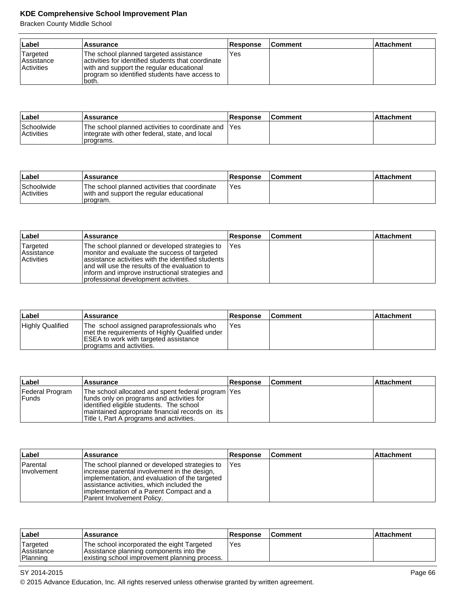| ∣Label                                                          | Assurance                                                                                                                                                                                          | <b>Response</b> | <b>Comment</b> | <b>Attachment</b> |
|-----------------------------------------------------------------|----------------------------------------------------------------------------------------------------------------------------------------------------------------------------------------------------|-----------------|----------------|-------------------|
| <sup>1</sup> Targeted<br><b>Assistance</b><br><b>Activities</b> | The school planned targeted assistance<br>activities for identified students that coordinate<br>with and support the regular educational<br>program so identified students have access to<br>both. | Yes             |                |                   |

| ∣Label                          | <b>Assurance</b>                                                                                                     | <b>Response</b> | <b>Comment</b> | ∣Attachment |
|---------------------------------|----------------------------------------------------------------------------------------------------------------------|-----------------|----------------|-------------|
| Schoolwide<br><b>Activities</b> | The school planned activities to coordinate and IYes<br>lintegrate with other federal, state, and local<br>programs. |                 |                |             |

| ∣Label                          | Assurance                                                                                             | Response | <b>Comment</b> | Attachment |
|---------------------------------|-------------------------------------------------------------------------------------------------------|----------|----------------|------------|
| Schoolwide<br><b>Activities</b> | The school planned activities that coordinate<br>with and support the regular educational<br>program. | Yes      |                |            |

| Label                                              | Assurance                                                                                                                                                                                                                                                                                         | <b>Response</b> | <b>Comment</b> | <b>Attachment</b> |
|----------------------------------------------------|---------------------------------------------------------------------------------------------------------------------------------------------------------------------------------------------------------------------------------------------------------------------------------------------------|-----------------|----------------|-------------------|
| Targeted<br><b>Assistance</b><br><b>Activities</b> | The school planned or developed strategies to<br>monitor and evaluate the success of targeted<br>lassistance activities with the identified students<br>land will use the results of the evaluation to<br>inform and improve instructional strategies and<br>professional development activities. | <b>IYes</b>     |                |                   |

| Label                   | <b>Assurance</b>                                                                                                                                                   | <b>Response</b> | <b>Comment</b> | <b>Attachment</b> |
|-------------------------|--------------------------------------------------------------------------------------------------------------------------------------------------------------------|-----------------|----------------|-------------------|
| <b>Highly Qualified</b> | The school assigned paraprofessionals who<br>I met the requirements of Highly Qualified under<br>ESEA to work with targeted assistance<br>programs and activities. | Yes             |                |                   |

| Label                    | Assurance                                                                                                                                                                                                                                     | <b>Response</b> | <b>Comment</b> | <b>Attachment</b> |
|--------------------------|-----------------------------------------------------------------------------------------------------------------------------------------------------------------------------------------------------------------------------------------------|-----------------|----------------|-------------------|
| Federal Program<br>Funds | The school allocated and spent federal program   Yes<br>funds only on programs and activities for<br>lidentified eligible students. The school<br>maintained appropriate financial records on its<br>Title I, Part A programs and activities. |                 |                |                   |

| Label                          | <b>Assurance</b>                                                                                                                                                                                                                                                           | <b>Response</b> | ∣Comment | <b>Attachment</b> |
|--------------------------------|----------------------------------------------------------------------------------------------------------------------------------------------------------------------------------------------------------------------------------------------------------------------------|-----------------|----------|-------------------|
| Parental<br><b>Involvement</b> | The school planned or developed strategies to<br>lincrease parental involvement in the design,<br>limplementation, and evaluation of the targeted<br>assistance activities, which included the<br>limplementation of a Parent Compact and a<br>IParent Involvement Policv. | <b>IYes</b>     |          |                   |

| ∣Label                              | <b>Assurance</b>                                                                                                                       | <b>Response</b> | <b>Comment</b> | ∣Attachment∶ |
|-------------------------------------|----------------------------------------------------------------------------------------------------------------------------------------|-----------------|----------------|--------------|
| 'Targeted<br>Assistance<br>Planning | The school incorporated the eight Targeted<br>Assistance planning components into the<br>existing school improvement planning process. | Yes             |                |              |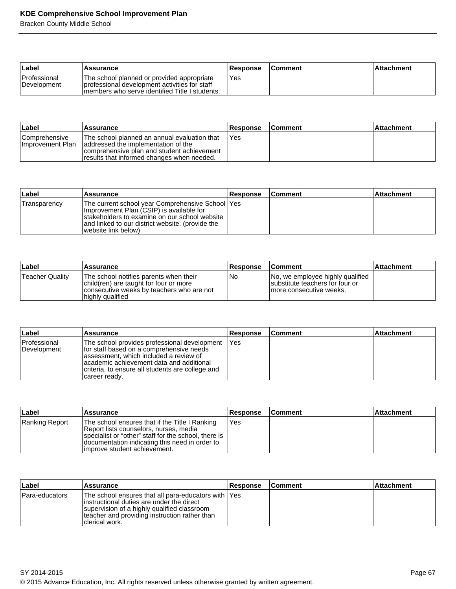| ∣Label                             | <b>Assurance</b>                                                                                                                               | <b>Response</b> | <b>Comment</b> | ⊺Attachment |
|------------------------------------|------------------------------------------------------------------------------------------------------------------------------------------------|-----------------|----------------|-------------|
| <b>Professional</b><br>Development | The school planned or provided appropriate<br>professional development activities for staff<br>Imembers who serve identified Title I students. | Yes             |                |             |

| ∣Label                                    | Assurance                                                                                                                                                                        | <b>Response</b> | <b>Comment</b> | l Attachment |
|-------------------------------------------|----------------------------------------------------------------------------------------------------------------------------------------------------------------------------------|-----------------|----------------|--------------|
| <b>Comprehensive</b><br>Ilmprovement Plan | The school planned an annual evaluation that<br>addressed the implementation of the<br>comprehensive plan and student achievement<br>Tresults that informed changes when needed. | 'Yes            |                |              |

| Label        | Assurance                                                                                                                                                                                                                   | <b>Response</b> | <b>Comment</b> | ∣Attachment |
|--------------|-----------------------------------------------------------------------------------------------------------------------------------------------------------------------------------------------------------------------------|-----------------|----------------|-------------|
| Transparency | The current school year Comprehensive School   Yes<br>Improvement Plan (CSIP) is available for<br>Istakeholders to examine on our school website<br>and linked to our district website. (provide the<br>website link below) |                 |                |             |

| Label           | Assurance                                                                                                                                         | <b>Response</b> | <b>Comment</b>                                                                                  | <b>Attachment</b> |
|-----------------|---------------------------------------------------------------------------------------------------------------------------------------------------|-----------------|-------------------------------------------------------------------------------------------------|-------------------|
| Teacher Quality | The school notifies parents when their<br>child(ren) are taught for four or more<br>consecutive weeks by teachers who are not<br>highly qualified | No              | No, we employee highly qualified<br>substitute teachers for four or<br>Imore consecutive weeks. |                   |

| ∣Label                      | Assurance                                                                                                                                                                                                                                              | Response | ∣Comment | ∣Attachment |
|-----------------------------|--------------------------------------------------------------------------------------------------------------------------------------------------------------------------------------------------------------------------------------------------------|----------|----------|-------------|
| Professional<br>Development | The school provides professional development<br>Ifor staff based on a comprehensive needs<br>lassessment, which included a review of<br>lacademic achievement data and additional<br>criteria, to ensure all students are college and<br>career ready. | 'Yes     |          |             |

| ∣Label         | <b>Assurance</b>                                                                                                                                                                                                                    | <b>Response</b> | ∣Comment | <b>Attachment</b> |
|----------------|-------------------------------------------------------------------------------------------------------------------------------------------------------------------------------------------------------------------------------------|-----------------|----------|-------------------|
| Ranking Report | The school ensures that if the Title I Ranking<br>Report lists counselors, nurses, media<br>specialist or "other" staff for the school, there is<br>documentation indicating this need in order to<br>limprove student achievement. | IYes            |          |                   |

| ∣Label         | Assurance                                                                                                                                                                                                             | <b>Response</b> | <b>Comment</b> | <b>Attachment</b> |
|----------------|-----------------------------------------------------------------------------------------------------------------------------------------------------------------------------------------------------------------------|-----------------|----------------|-------------------|
| Para-educators | The school ensures that all para-educators with  Yes<br>linstructional duties are under the direct<br>supervision of a highly qualified classroom<br>teacher and providing instruction rather than<br>Iclerical work. |                 |                |                   |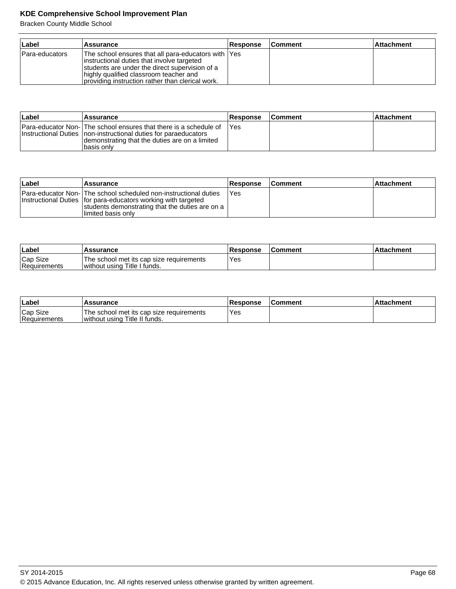| ∣Label         | Assurance                                                                                                                                                                                                                                          | <b>Response</b> | <b>Comment</b> | <b>Attachment</b> |
|----------------|----------------------------------------------------------------------------------------------------------------------------------------------------------------------------------------------------------------------------------------------------|-----------------|----------------|-------------------|
| Para-educators | The school ensures that all para-educators with  Yes<br>instructional duties that involve targeted<br>students are under the direct supervision of a<br>highly qualified classroom teacher and<br>providing instruction rather than clerical work. |                 |                |                   |

| ∣Label | <b>Assurance</b>                                                                                                                                                                                       | Response | <b>Comment</b> | ∣Attachment |
|--------|--------------------------------------------------------------------------------------------------------------------------------------------------------------------------------------------------------|----------|----------------|-------------|
|        | Para-educator Non- The school ensures that there is a schedule of<br>Instructional Duties Inon-instructional duties for paraeducators<br>demonstrating that the duties are on a limited<br>Ibasis onlv | IYes     |                |             |

| Label | Assurance                                                                                                                                                                                                          | <b>Response</b> | <b>Comment</b> | l Attachment |
|-------|--------------------------------------------------------------------------------------------------------------------------------------------------------------------------------------------------------------------|-----------------|----------------|--------------|
|       | <b>Para-educator Non-</b> The school scheduled non-instructional duties<br>Instructional Duties for para-educators working with targeted<br>students demonstrating that the duties are on a<br>llimited basis onlv | IYes            |                |              |

| Label                    | <b>Assurance</b>                                                         | <b>Response</b> | <b>Comment</b> | <b>Attachment</b> |
|--------------------------|--------------------------------------------------------------------------|-----------------|----------------|-------------------|
| Cap Size<br>Requirements | The school met its cap size requirements<br>without using Title I funds. | Yes             |                |                   |

| <b>⊥Label</b>            | Assurance                                                                 | Response   | <b>IComment</b> | ⊺Attachment |
|--------------------------|---------------------------------------------------------------------------|------------|-----------------|-------------|
| Cap Size<br>Requirements | The school met its cap size requirements<br>without using Title II funds. | <b>Yes</b> |                 |             |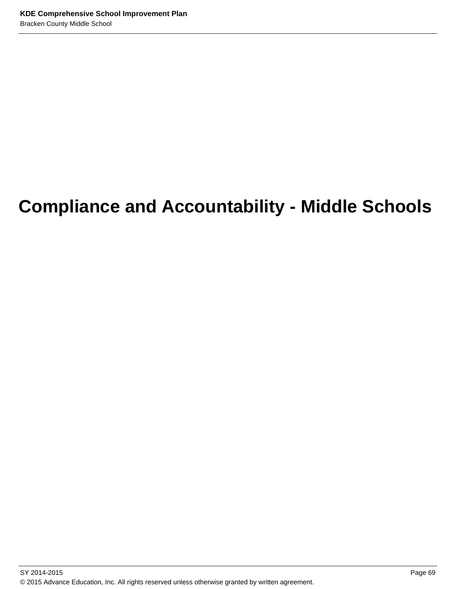# **Compliance and Accountability - Middle Schools**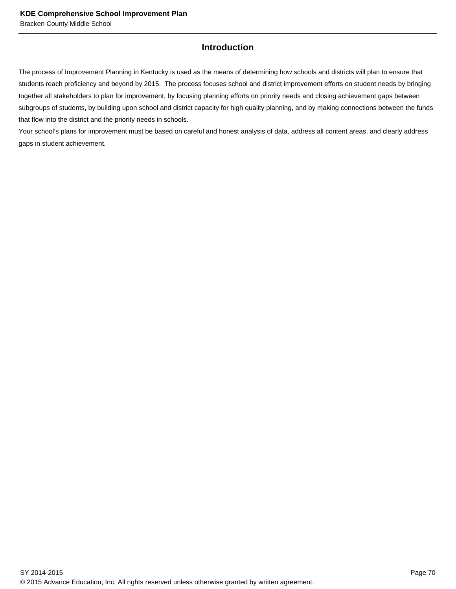# **Introduction**

The process of Improvement Planning in Kentucky is used as the means of determining how schools and districts will plan to ensure that students reach proficiency and beyond by 2015. The process focuses school and district improvement efforts on student needs by bringing together all stakeholders to plan for improvement, by focusing planning efforts on priority needs and closing achievement gaps between subgroups of students, by building upon school and district capacity for high quality planning, and by making connections between the funds that flow into the district and the priority needs in schools.

Your school's plans for improvement must be based on careful and honest analysis of data, address all content areas, and clearly address gaps in student achievement.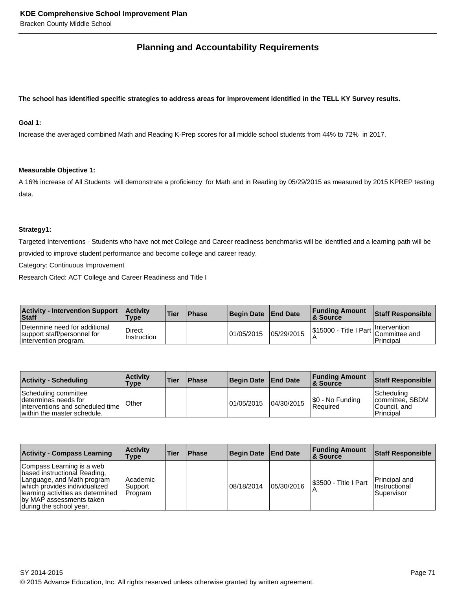# **Planning and Accountability Requirements**

#### **The school has identified specific strategies to address areas for improvement identified in the TELL KY Survey results.**

# **Goal 1:**

Increase the averaged combined Math and Reading K-Prep scores for all middle school students from 44% to 72% in 2017.

#### **Measurable Objective 1:**

A 16% increase of All Students will demonstrate a proficiency for Math and in Reading by 05/29/2015 as measured by 2015 KPREP testing data.

#### **Strategy1:**

Targeted Interventions - Students who have not met College and Career readiness benchmarks will be identified and a learning path will be provided to improve student performance and become college and career ready.

Category: Continuous Improvement

Research Cited: ACT College and Career Readiness and Title I

| <b>Activity - Intervention Support</b><br>Staff                                        | <b>Activity</b><br><b>Type</b> | <b>Tier</b> | <b>Phase</b> | Begin Date End Date |            | <b>Funding Amount</b><br><b>&amp; Source</b>           | <b>Staff Responsible</b> |
|----------------------------------------------------------------------------------------|--------------------------------|-------------|--------------|---------------------|------------|--------------------------------------------------------|--------------------------|
| Determine need for additional<br>support staff/personnel for<br>lintervention program. | Direct<br>Instruction          |             |              | 01/05/2015          | 05/29/2015 | \$15000 - Title I Part   Intervention<br>Committee and | Principal                |

| <b>Activity - Scheduling</b>                                                                                     | <b>Activity</b><br>Type | <b>Tier</b> | <b>Phase</b> | <b>Begin Date</b> | <b>End Date</b> | <b>Funding Amount</b><br>∣& Source | Staff Responsible                                             |
|------------------------------------------------------------------------------------------------------------------|-------------------------|-------------|--------------|-------------------|-----------------|------------------------------------|---------------------------------------------------------------|
| Scheduling committee<br>Idetermines needs for<br>interventions and scheduled time<br>within the master schedule. | Other                   |             |              | 01/05/2015        | 04/30/2015      | \$0 - No Funding<br>Required       | Scheduling <br>Icommittee, SBDM<br>lCouncil. and<br>Principal |

| <b>Activity - Compass Learning</b>                                                                                                                                                                                    | <b>Activity</b><br>Type          | Tier | <b>Phase</b> | <b>Begin Date</b> | <b>End Date</b> | <b>Funding Amount</b><br>∣& Source | <b>Staff Responsible</b>                     |
|-----------------------------------------------------------------------------------------------------------------------------------------------------------------------------------------------------------------------|----------------------------------|------|--------------|-------------------|-----------------|------------------------------------|----------------------------------------------|
| Compass Learning is a web<br>based instructional Reading,<br>Language, and Math program<br>which provides individualized<br>Ilearning activities as determined<br>by MAP assessments taken<br>during the school year. | l Academic<br>Support<br>Program |      |              | 08/18/2014        | 05/30/2016      | I\$3500 - Title I Part             | Principal and<br>Instructional<br>Supervisor |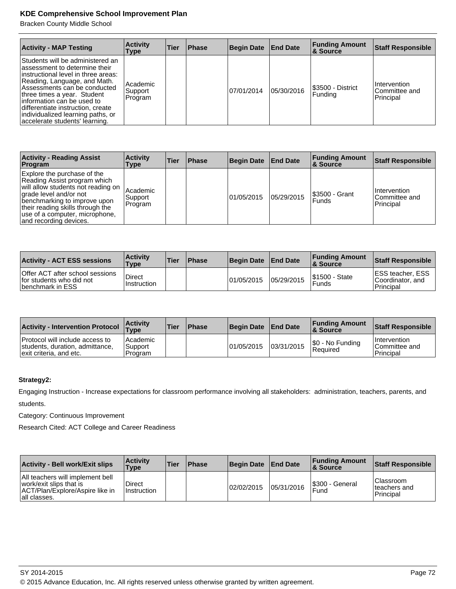Bracken County Middle School

| <b>Activity - MAP Testing</b>                                                                                                                                                                                                                                                                                                                        | <b>Activity</b><br>Type        | Tier | <b>Phase</b> | <b>Begin Date</b> | <b>End Date</b> | <b>Funding Amount</b><br><b>&amp; Source</b> | <b>Staff Responsible</b>                   |
|------------------------------------------------------------------------------------------------------------------------------------------------------------------------------------------------------------------------------------------------------------------------------------------------------------------------------------------------------|--------------------------------|------|--------------|-------------------|-----------------|----------------------------------------------|--------------------------------------------|
| Students will be administered an<br>lassessment to determine their<br>linstructional level in three areas:<br>Reading, Language, and Math.<br>Assessments can be conducted<br>three times a year. Student<br>linformation can be used to<br>differentiate instruction, create<br>individualized learning paths, or<br>accelerate students' learning. | Academic<br>Support<br>Program |      |              | 07/01/2014        | 05/30/2016      | S3500 - District<br>Funding                  | Intervention<br>Committee and<br>Principal |

| <b>Activity - Reading Assist</b><br>Program                                                                                                                                                                                                                 | <b>Activity</b><br>Type        | Tier | <b>Phase</b> | <b>Begin Date</b> | <b>End Date</b> | <b>Funding Amount</b><br><b>8 Source</b> | <b>Staff Responsible</b>                           |
|-------------------------------------------------------------------------------------------------------------------------------------------------------------------------------------------------------------------------------------------------------------|--------------------------------|------|--------------|-------------------|-----------------|------------------------------------------|----------------------------------------------------|
| Explore the purchase of the<br>Reading Assist program which<br>will allow students not reading on<br>grade level and/or not<br>benchmarking to improve upon<br>their reading skills through the<br>use of a computer, microphone,<br>and recording devices. | Academic<br>Support<br>Program |      |              | 01/05/2015        | 05/29/2015      | <b>S3500 - Grant</b><br><b>Funds</b>     | <b>Intervention</b><br>ICommittee and<br>Principal |

| <b>Activity - ACT ESS sessions</b>                                               | <b>Activity</b><br>Type        | Tier | <b>Phase</b> | <b>Begin Date</b> | <b>End Date</b> | <b>Funding Amount</b><br><b>8 Source</b> | Staff Responsible                                         |
|----------------------------------------------------------------------------------|--------------------------------|------|--------------|-------------------|-----------------|------------------------------------------|-----------------------------------------------------------|
| Offer ACT after school sessions<br>for students who did not<br>Ibenchmark in ESS | <b>Direct</b><br>l Instruction |      |              | 01/05/2015        | 05/29/2015      | <b>S1500 - State</b><br>Funds            | <b>IESS teacher, ESS</b><br>Coordinator, and<br>Principal |

| <b>Activity - Intervention Protocol</b>                                                       | ∣Activitv<br><b>Type</b>                | 'Tier | Phase | <b>Begin Date</b> | <b>End Date</b> | <b>Funding Amount</b><br>∣& Source | <b>Staff Responsible</b>                          |
|-----------------------------------------------------------------------------------------------|-----------------------------------------|-------|-------|-------------------|-----------------|------------------------------------|---------------------------------------------------|
| Protocol will include access to<br>students, duration, admittance,<br>exit criteria, and etc. | <b>Academic</b><br>Support<br>l Program |       |       | 101/05/2015       | 03/31/2015      | S0 - No Funding<br><b>Required</b> | <i>Intervention</i><br>Committee and<br>Principal |

# **Strategy2:**

Engaging Instruction - Increase expectations for classroom performance involving all stakeholders: administration, teachers, parents, and

students.

Category: Continuous Improvement

| <b>Activity - Bell work/Exit slips</b>                                                                         | <b>Activity</b><br>Type | 'Tier | <b>Phase</b> | <b>Begin Date</b> | <b>End Date</b> | <b>Funding Amount</b><br><b>&amp; Source</b> | <b>Staff Responsible</b>                |
|----------------------------------------------------------------------------------------------------------------|-------------------------|-------|--------------|-------------------|-----------------|----------------------------------------------|-----------------------------------------|
| All teachers will implement bell<br>work/exit slips that is<br>ACT/Plan/Explore/Aspire like in<br>all classes. | Direct<br>l Instruction |       |              | 02/02/2015        | 05/31/2016      | S300 - General<br>Fund                       | Classroom<br>lteachers and<br>Principal |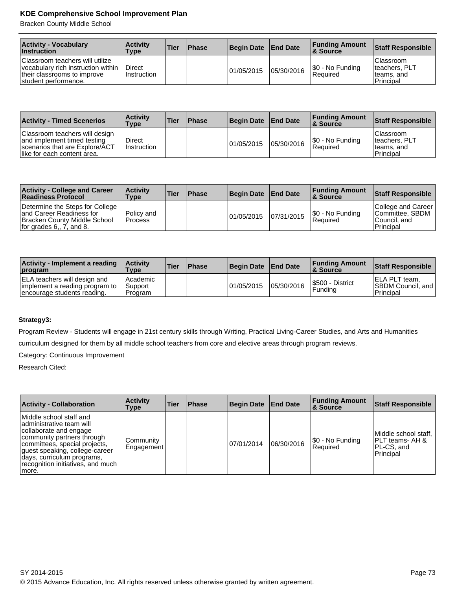Bracken County Middle School

| <b>Activity - Vocabulary</b><br><b>Instruction</b>                                                                           | <b>Activity</b><br>Type      | 'Tier | <b>Phase</b> | Begin Date End Date |            | <b>Funding Amount</b><br><b>8 Source</b> | <b>Staff Responsible</b>                                |
|------------------------------------------------------------------------------------------------------------------------------|------------------------------|-------|--------------|---------------------|------------|------------------------------------------|---------------------------------------------------------|
| Classroom teachers will utilize<br>vocabulary rich instruction within<br>their classrooms to improve<br>student performance. | <b>Direct</b><br>Instruction |       |              | 101/05/2015         | 05/30/2016 | $ \$0 - No Funding$<br><b>Required</b>   | lClassroom<br>Iteachers, PLT<br>teams, and<br>Principal |

| <b>Activity - Timed Scenerios</b>                                                                                              | <b>Activity</b><br>Type      | ∣Tier | <b>Phase</b> | <b>Begin Date</b> | <b>End Date</b> | <b>Funding Amount</b><br>& Source | Staff Responsible                                                     |
|--------------------------------------------------------------------------------------------------------------------------------|------------------------------|-------|--------------|-------------------|-----------------|-----------------------------------|-----------------------------------------------------------------------|
| Classroom teachers will design<br>and implement timed testing<br>Scenarios that are Explore/ACT<br>like for each content area. | Direct<br><b>Instruction</b> |       |              | 101/05/2015       | 05/30/2016      | \$0 - No Funding<br>Required      | <b>Classroom</b><br>Iteachers, PLT<br>Iteams, and<br><b>Principal</b> |

| <b>Activity - College and Career</b><br><b>Readiness Protocol</b>                                                           | <b>Activity</b><br>Type         | <b>Tier</b> | <b>IPhase</b> | <b>Begin Date</b> | <b>End Date</b> | <b>Funding Amount</b><br>∣& Source | Staff Responsible                                                    |
|-----------------------------------------------------------------------------------------------------------------------------|---------------------------------|-------------|---------------|-------------------|-----------------|------------------------------------|----------------------------------------------------------------------|
| Determine the Steps for College<br>land Career Readiness for<br>Bracken County Middle School<br>for grades $6, 7,$ and $8.$ | l Policv and<br><b>IProcess</b> |             |               | 101/05/2015       | 07/31/2015      | \$0 - No Funding<br>Required       | College and Career<br>Committee, SBDM<br>Council, and<br>l Principal |

| Activity - Implement a reading<br><b>program</b>                                                     | <b>Activity</b><br>Type              | l Tier | <b>IPhase</b> | <b>Begin Date</b> | <b>End Date</b> | <b>Funding Amount</b><br><b>8 Source</b> | Staff Responsible                                                       |
|------------------------------------------------------------------------------------------------------|--------------------------------------|--------|---------------|-------------------|-----------------|------------------------------------------|-------------------------------------------------------------------------|
| <b>ELA teachers will design and</b><br>implement a reading program to<br>encourage students reading. | l Academic<br>l Support<br>l Program |        |               | 01/05/2015        | 05/30/2016      | S500 - District<br>Funding               | <b>IELA PLT team,</b><br><b>SBDM Council, and  </b><br><b>Principal</b> |

# **Strategy3:**

Program Review - Students will engage in 21st century skills through Writing, Practical Living-Career Studies, and Arts and Humanities

curriculum designed for them by all middle school teachers from core and elective areas through program reviews.

Category: Continuous Improvement

Research Cited:

| <b>Activity - Collaboration</b>                                                                                                                                                                                                                            | <b>Activity</b><br><b>Type</b> | <b>Tier</b> | <b>Phase</b> | <b>Begin Date</b> | <b>End Date</b> | <b>Funding Amount</b><br>∣& Source | <b>Staff Responsible</b>                                            |
|------------------------------------------------------------------------------------------------------------------------------------------------------------------------------------------------------------------------------------------------------------|--------------------------------|-------------|--------------|-------------------|-----------------|------------------------------------|---------------------------------------------------------------------|
| Middle school staff and<br>administrative team will<br>collaborate and engage<br>community partners through<br>committees, special projects,<br>guest speaking, college-career<br>days, curriculum programs,<br>recognition initiatives, and much<br>more. | Community<br>Engagement'       |             |              | 07/01/2014        | 06/30/2016      | [\$0 - No Funding<br>Required      | Middle school staff,<br>IPLT teams- AH &<br>PL-CS, and<br>Principal |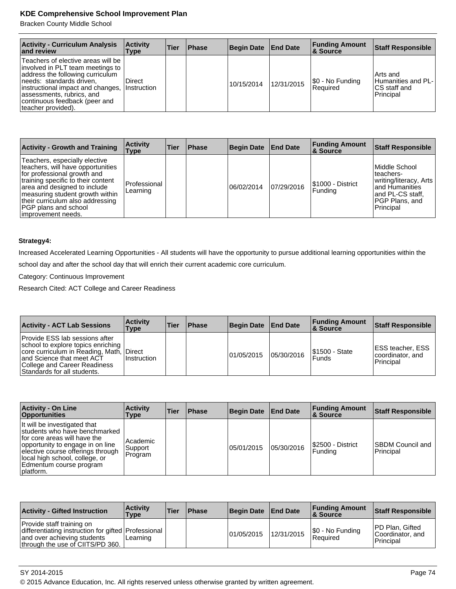Bracken County Middle School

| <b>Activity - Curriculum Analysis</b><br>and review                                                                                                                                                                                                               | <b>Activity</b><br>Type | Tier | <b>Phase</b> | Begin Date | <b>End Date</b> | <b>Funding Amount</b><br><b>8 Source</b> | <b>Staff Responsible</b>                                       |
|-------------------------------------------------------------------------------------------------------------------------------------------------------------------------------------------------------------------------------------------------------------------|-------------------------|------|--------------|------------|-----------------|------------------------------------------|----------------------------------------------------------------|
| Teachers of elective areas will be<br>involved in PLT team meetings to<br>address the following curriculum<br> needs: standards driven,<br>instructional impact and changes,<br>assessments, rubrics, and<br>continuous feedback (peer and<br>Iteacher provided). | Direct<br>Instruction   |      |              | 10/15/2014 | 12/31/2015      | \$0 - No Funding<br>l Reauired           | l Arts and<br>Humanities and PL-<br>ICS staff and<br>Principal |

| <b>Activity - Growth and Training</b>                                                                                                                                                                                                                                                         | <b>Activity</b><br>Type  | <b>Tier</b> | <b>Phase</b> | <b>Begin Date</b> | <b>End Date</b> | <b>Funding Amount</b><br><b>&amp; Source</b> | <b>Staff Responsible</b>                                                                                                    |
|-----------------------------------------------------------------------------------------------------------------------------------------------------------------------------------------------------------------------------------------------------------------------------------------------|--------------------------|-------------|--------------|-------------------|-----------------|----------------------------------------------|-----------------------------------------------------------------------------------------------------------------------------|
| Teachers, especially elective<br>teachers, will have opportunities<br>for professional growth and<br>training specific to their content<br>area and designed to include<br>measuring student growth within<br>their curriculum also addressing<br>PGP plans and school<br>limprovement needs. | Professional<br>Learning |             |              | 06/02/2014        | 07/29/2016      | I\$1000 - District<br>Funding                | Middle School<br>teachers-<br>writing/literacy, Arts<br>land Humanities<br>land PL-CS staff.<br>PGP Plans, and<br>Principal |

# **Strategy4:**

Increased Accelerated Learning Opportunities - All students will have the opportunity to pursue additional learning opportunities within the

school day and after the school day that will enrich their current academic core curriculum.

Category: Continuous Improvement

Research Cited: ACT College and Career Readiness

| <b>Activity - ACT Lab Sessions</b>                                                                                                                                                                    | <b>∣Activitv</b><br>Type        | <b>Tier</b> | <b>Phase</b> | Begin Date | <b>End Date</b> | <b>Funding Amount</b><br><b>8 Source</b> | <b>Staff Responsible</b>                                         |
|-------------------------------------------------------------------------------------------------------------------------------------------------------------------------------------------------------|---------------------------------|-------------|--------------|------------|-----------------|------------------------------------------|------------------------------------------------------------------|
| Provide ESS lab sessions after<br>school to explore topics enriching<br>core curriculum in Reading, Math,<br>and Science that meet ACT<br>College and Career Readiness<br>Standards for all students. | <b>IDirect</b><br>l Instruction |             |              | 01/05/2015 | 05/30/2016      | I\$1500 - State<br><b>Funds</b>          | <b>IESS teacher, ESS</b><br>coordinator, and<br><b>Principal</b> |

| <b>Activity - On Line</b><br>Opportunities                                                                                                                                                                                                        | <b>Activity</b><br>Type           | Tier | <b>Phase</b> | <b>Begin Date</b> | <b>End Date</b> | <b>Funding Amount</b><br>8 Source | <b>Staff Responsible</b>                     |
|---------------------------------------------------------------------------------------------------------------------------------------------------------------------------------------------------------------------------------------------------|-----------------------------------|------|--------------|-------------------|-----------------|-----------------------------------|----------------------------------------------|
| It will be investigated that<br>students who have benchmarked<br>for core areas will have the<br>opportunity to engage in on line<br>elective course offerings through<br>local high school, college, or<br>Edmentum course program<br> platform. | l Academic<br> Support<br>Program |      |              | 05/01/2015        | 05/30/2016      | I\$2500 - District<br> Fundina    | <b>ISBDM Council and</b><br><b>Principal</b> |

| <b>Activity - Gifted Instruction</b>                                                                                                                | <b>Activity</b><br><b>Type</b> | <b>Tier</b> | <b>Phase</b> | <b>Begin Date</b> | <b>End Date</b> | <b>Funding Amount</b><br>∣& Source | <b>Staff Responsible</b>                          |
|-----------------------------------------------------------------------------------------------------------------------------------------------------|--------------------------------|-------------|--------------|-------------------|-----------------|------------------------------------|---------------------------------------------------|
| Provide staff training on<br>differentiating instruction for gifted Professional<br>and over achieving students<br>through the use of CIITS/PD 360. | Learning                       |             |              | 101/05/2015       | 12/31/2015      | \$0 - No Funding<br>Reauired       | IPD Plan. Gifted<br>Coordinator, and<br>Principal |

SY 2014-2015 Page 74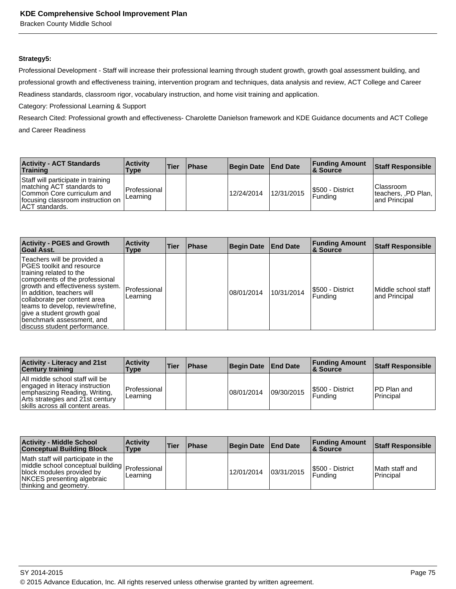Bracken County Middle School

#### **Strategy5:**

Professional Development - Staff will increase their professional learning through student growth, growth goal assessment building, and professional growth and effectiveness training, intervention program and techniques, data analysis and review, ACT College and Career Readiness standards, classroom rigor, vocabulary instruction, and home visit training and application.

Category: Professional Learning & Support

Research Cited: Professional growth and effectiveness- Charolette Danielson framework and KDE Guidance documents and ACT College and Career Readiness

| <b>Activity - ACT Standards</b><br><b>Training</b>                                                                                                           | <b>Activity</b><br>Type  | 'Tier | <b>Phase</b> | Begin Date End Date |            | <b>Funding Amount</b><br>∣& Source | <b>Staff Responsible</b>                                   |
|--------------------------------------------------------------------------------------------------------------------------------------------------------------|--------------------------|-------|--------------|---------------------|------------|------------------------------------|------------------------------------------------------------|
| Staff will participate in training<br>Imatching ACT standards to<br>Common Core curriculum and<br>focusing classroom instruction on<br><b>ACT</b> standards. | Professional<br>Learning |       |              | 12/24/2014          | 12/31/2015 | S500 - District<br>l Fundina       | <b>Classroom</b><br>teachers, PD Plan, I<br>land Principal |

| <b>Activity - PGES and Growth</b><br>Goal Asst.                                                                                                                                                                                                                                                                                                        | <b>Activity</b><br>Type  | Tier | <b>Phase</b> | <b>Begin Date</b> | <b>End Date</b> | <b>Funding Amount</b><br><b>&amp; Source</b> | <b>Staff Responsible</b>             |
|--------------------------------------------------------------------------------------------------------------------------------------------------------------------------------------------------------------------------------------------------------------------------------------------------------------------------------------------------------|--------------------------|------|--------------|-------------------|-----------------|----------------------------------------------|--------------------------------------|
| Teachers will be provided a<br>PGES toolkit and resource<br>training related to the<br>components of the professional<br>growth and effectiveness system.<br>In addition, teachers will<br>collaborate per content area<br>teams to develop, review/refine,<br>give a student growth goal<br>benchmark assessment, and<br>discuss student performance. | Professional<br>Learning |      |              | 08/01/2014        | 10/31/2014      | I\$500 - District<br>Fundina                 | Middle school staff<br>and Principal |

| <b>Activity - Literacy and 21st</b><br><b>Century training</b>                                                                                                              | <b>Activity</b><br>Type    | Tier | <b>Phase</b> | Begin Date | <b>End Date</b> | <b>Funding Amount</b><br><b>8 Source</b> | <b>Staff Responsible</b>         |
|-----------------------------------------------------------------------------------------------------------------------------------------------------------------------------|----------------------------|------|--------------|------------|-----------------|------------------------------------------|----------------------------------|
| All middle school staff will be<br>engaged in literacy instruction<br>emphasizing Reading, Writing,<br>Arts strategies and 21st century<br>skills across all content areas. | l Professional<br>Learning |      |              | 08/01/2014 | 09/30/2015      | I\$500 - District<br>l Fundina           | <b>IPD Plan and</b><br>Principal |

| <b>Activity - Middle School</b><br><b>Conceptual Building Block</b>                                                                                                           | <b>Activity</b><br><b>Type</b> | <b>Tier</b> | <b>Phase</b> | <b>Begin Date</b> | <b>End Date</b> | <b>Funding Amount</b><br><b>&amp; Source</b> | <b>Staff Responsible</b>    |
|-------------------------------------------------------------------------------------------------------------------------------------------------------------------------------|--------------------------------|-------------|--------------|-------------------|-----------------|----------------------------------------------|-----------------------------|
| Math staff will participate in the<br>middle school conceptual building   Professional  <br>block modules provided by<br>NKCES presenting algebraic<br>thinking and geometry. | Learning                       |             |              | 12/01/2014        | 03/31/2015      | I\$500 - District<br>l Fundina               | Math staff and<br>Principal |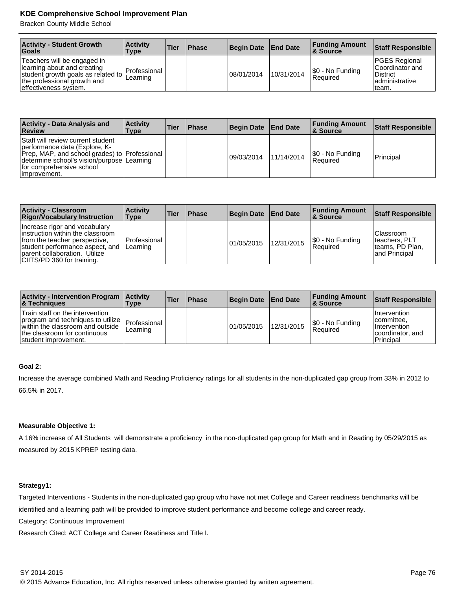Bracken County Middle School

| <b>Activity - Student Growth</b><br>Goals                                                                                                                  | <b>Activity</b><br>Type          | <b>Tier</b> | <b>Phase</b> | <b>Begin Date</b> | <b>End Date</b> | <b>Funding Amount</b><br>∣& Source | Staff Responsible                                                                 |
|------------------------------------------------------------------------------------------------------------------------------------------------------------|----------------------------------|-------------|--------------|-------------------|-----------------|------------------------------------|-----------------------------------------------------------------------------------|
| Teachers will be engaged in<br>learning about and creating<br>student growth goals as related to  <br>the professional growth and<br>effectiveness system. | <b>IProfessional</b><br>Learning |             |              | 08/01/2014        | 10/31/2014      | $ \$0 - No Funding$<br>Reauired    | <b>PGES Regional</b><br>lCoordinator and<br>District<br>ladministrative<br>Iteam. |

| <b>Activity - Data Analysis and</b><br>Review                                                                                                                                                                  | <b>∣Activitv</b><br>Type | <b>Tier</b> | <b>Phase</b> | <b>Begin Date</b> | <b>End Date</b> | <b>Funding Amount</b><br>∣& Source | <b>Staff Responsible</b> |
|----------------------------------------------------------------------------------------------------------------------------------------------------------------------------------------------------------------|--------------------------|-------------|--------------|-------------------|-----------------|------------------------------------|--------------------------|
| Staff will review current student<br>performance data (Explore, K-<br>Prep, MAP, and school grades) to Professional<br>determine school's vision/purpose Learning<br>for comprehensive school<br>limprovement. |                          |             |              | 09/03/2014        | 11/14/2014      | S0 - No Funding<br>l Reauired      | <b>Principal</b>         |

| <b>Activity - Classroom</b><br><b>Rigor/Vocabulary Instruction</b>                                                                                                                                   | <b>Activity</b><br>Type  | Tier | <b>Phase</b> | <b>Begin Date</b> | <b>End Date</b> | <b>Funding Amount</b><br>∣& Source | <b>Staff Responsible</b>                                         |
|------------------------------------------------------------------------------------------------------------------------------------------------------------------------------------------------------|--------------------------|------|--------------|-------------------|-----------------|------------------------------------|------------------------------------------------------------------|
| Increase rigor and vocabulary<br>instruction within the classroom<br>from the teacher perspective.<br>student performance aspect, and<br>parent collaboration. Utilize<br>CIITS/PD 360 for training. | Professional<br>Learning |      |              | 01/05/2015        | 12/31/2015      | \$0 - No Funding<br> Reauired      | Classroom<br>Iteachers, PLT<br>Iteams, PD Plan,<br>and Principal |

| <b>Activity - Intervention Program</b><br><b>&amp; Techniques</b>                                                                                                | <b>Activity</b><br><b>Type</b> | 'Tier | <b>Phase</b> | <b>Begin Date</b> | <b>End Date</b> | <b>Funding Amount</b><br>∣& Source     | <b>Staff Responsible</b>                                                         |
|------------------------------------------------------------------------------------------------------------------------------------------------------------------|--------------------------------|-------|--------------|-------------------|-----------------|----------------------------------------|----------------------------------------------------------------------------------|
| Train staff on the intervention<br>program and techniques to utilize<br>within the classroom and outside<br>the classroom for continuous<br>student improvement. | Professional<br>Learning       |       |              | 101/05/2015       | 12/31/2015      | $ \$0 - No Funding$<br><b>Required</b> | I Intervention<br>lcommittee.<br>I Intervention<br>coordinator, and<br>Principal |

# **Goal 2:**

Increase the average combined Math and Reading Proficiency ratings for all students in the non-duplicated gap group from 33% in 2012 to 66.5% in 2017.

## **Measurable Objective 1:**

A 16% increase of All Students will demonstrate a proficiency in the non-duplicated gap group for Math and in Reading by 05/29/2015 as measured by 2015 KPREP testing data.

## **Strategy1:**

Targeted Interventions - Students in the non-duplicated gap group who have not met College and Career readiness benchmarks will be identified and a learning path will be provided to improve student performance and become college and career ready. Category: Continuous Improvement

Research Cited: ACT College and Career Readiness and Title I.

<sup>© 2015</sup> Advance Education, Inc. All rights reserved unless otherwise granted by written agreement.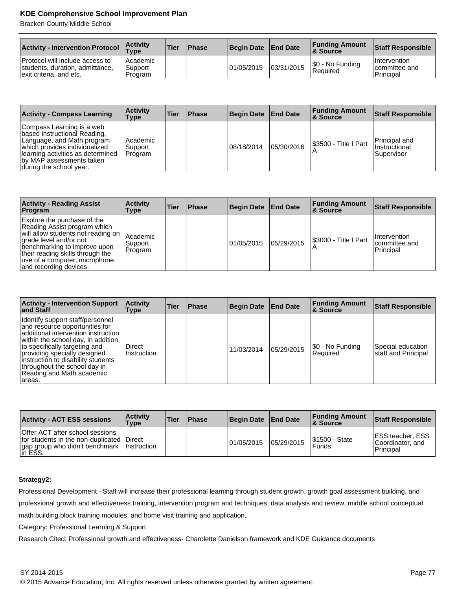Bracken County Middle School

| <b>Activity - Intervention Protocol</b>                                                       | <b>Activity</b><br>'Type       | 'Tier | Phase | <b>Begin Date</b> | <b>End Date</b> | <b>Funding Amount</b><br>& Source | Staff Responsible                                 |
|-----------------------------------------------------------------------------------------------|--------------------------------|-------|-------|-------------------|-----------------|-----------------------------------|---------------------------------------------------|
| Protocol will include access to<br>students, duration, admittance,<br>exit criteria, and etc. | Academic<br>Support<br>Program |       |       | 101/05/2015       | 03/31/2015      | \$0 - No Funding<br>Reauired      | <b>Intervention</b><br>committee and<br>Principal |

| <b>Activity - Compass Learning</b>                                                                                                                                                                                   | <b>Activity</b><br><b>Type</b> | <b>Tier</b> | <b>Phase</b> | <b>Begin Date</b> | <b>End Date</b> | <b>Funding Amount</b><br>8 Source | <b>Staff Responsible</b>                        |
|----------------------------------------------------------------------------------------------------------------------------------------------------------------------------------------------------------------------|--------------------------------|-------------|--------------|-------------------|-----------------|-----------------------------------|-------------------------------------------------|
| Compass Learning is a web<br>based instructional Reading,<br>Language, and Math program<br>which provides individualized<br>learning activities as determined<br>by MAP assessments taken<br>during the school year. | Academic<br>Support<br>Program |             |              | 08/18/2014        | 05/30/2016      | S3500 - Title I Part              | Principal and<br>IInstructional<br>l Supervisor |

| <b>Activity - Reading Assist</b><br>Program                                                                                                                                                                                                                 | <b>Activity</b><br>Type        | Tier | <b>Phase</b> | <b>Begin Date</b> | <b>End Date</b> | <b>Funding Amount</b><br>∣& Source | <b>Staff Responsible</b>                           |
|-------------------------------------------------------------------------------------------------------------------------------------------------------------------------------------------------------------------------------------------------------------|--------------------------------|------|--------------|-------------------|-----------------|------------------------------------|----------------------------------------------------|
| Explore the purchase of the<br>Reading Assist program which<br>will allow students not reading on<br>grade level and/or not<br>benchmarking to improve upon<br>their reading skills through the<br>use of a computer, microphone,<br>and recording devices. | Academic<br>Support<br>Program |      |              | 01/05/2015        | 05/29/2015      | S3000 - Title I Part               | <b>Intervention</b><br>Icommittee and<br>Principal |

| <b>Activity - Intervention Support</b><br>and Staff                                                                                                                                                                                                                                                                             | <b>Activity</b><br>Type | Tier | <b>Phase</b> | <b>Begin Date</b> | <b>End Date</b> | <b>Funding Amount</b><br><b>&amp; Source</b> | <b>Staff Responsible</b>                 |
|---------------------------------------------------------------------------------------------------------------------------------------------------------------------------------------------------------------------------------------------------------------------------------------------------------------------------------|-------------------------|------|--------------|-------------------|-----------------|----------------------------------------------|------------------------------------------|
| Identify support staff/personnel<br>and resource opportunities for<br>additional intervention instruction<br>within the school day, in addition,<br>to specifically targeting and<br>providing specially designed<br>instruction to disability students<br>throughout the school day in<br>Reading and Math academic<br>arreas. | Direct<br>Instruction   |      |              | 11/03/2014        | 05/29/2015      | \$0 - No Funding<br>Required                 | Special education<br>staff and Principal |

| <b>Activity - ACT ESS sessions</b>                                                                                                        | <b>Activity</b><br>Type | <b>Tier</b> | <b>Phase</b> | <b>Begin Date</b> | <b>End Date</b> | <b>Funding Amount</b><br>∣& Source | Staff Responsible                                                |
|-------------------------------------------------------------------------------------------------------------------------------------------|-------------------------|-------------|--------------|-------------------|-----------------|------------------------------------|------------------------------------------------------------------|
| Offer ACT after school sessions<br>for students in the non-duplicated Direct<br> gap group who didn't benchmark   Instruction<br> in ESS. |                         |             |              | 101/05/2015       | 05/29/2015      | \$1500 - State<br>Funds            | <b>IESS teacher, ESS</b><br>Coordinator, and<br><b>Principal</b> |

### **Strategy2:**

Professional Development - Staff will increase their professional learning through student growth, growth goal assessment building, and professional growth and effectiveness training, intervention program and techniques, data analysis and review, middle school conceptual

math building block training modules, and home visit training and application.

Category: Professional Learning & Support

Research Cited: Professional growth and effectiveness- Charolette Danielson framework and KDE Guidance documents

<sup>© 2015</sup> Advance Education, Inc. All rights reserved unless otherwise granted by written agreement.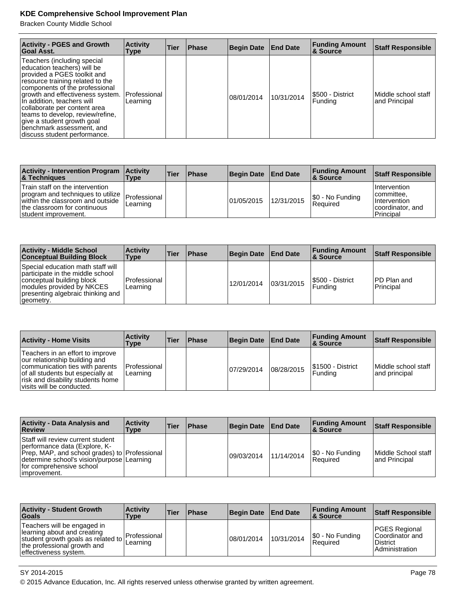Bracken County Middle School

| <b>Activity - PGES and Growth</b><br>Goal Asst.                                                                                                                                                                                                                                                                                                                                                  | <b>Activity</b><br><b>Type</b> | Tier | <b>Phase</b> | <b>Begin Date</b> | <b>End Date</b> | <b>Funding Amount</b><br>& Source | <b>Staff Responsible</b>             |
|--------------------------------------------------------------------------------------------------------------------------------------------------------------------------------------------------------------------------------------------------------------------------------------------------------------------------------------------------------------------------------------------------|--------------------------------|------|--------------|-------------------|-----------------|-----------------------------------|--------------------------------------|
| Teachers (including special<br>education teachers) will be<br>provided a PGES toolkit and<br>resource training related to the<br>components of the professional<br>growth and effectiveness system.<br>In addition, teachers will<br>collaborate per content area<br>teams to develop, review/refine,<br>give a student growth goal<br>benchmark assessment, and<br>discuss student performance. | Professional<br>Learning       |      |              | 08/01/2014        | 10/31/2014      | I\$500 - District<br>Funding      | Middle school staff<br>and Principal |

| Activity - Intervention Program   Activity<br><b>&amp; Techniques</b>                                                                                            | <b>Type</b>              | <b>Tier</b> | <b>IPhase</b> | <b>Begin Date</b> | <b>End Date</b> | <b>Funding Amount</b><br><b>8 Source</b> | Staff Responsible                                                                |
|------------------------------------------------------------------------------------------------------------------------------------------------------------------|--------------------------|-------------|---------------|-------------------|-----------------|------------------------------------------|----------------------------------------------------------------------------------|
| Train staff on the intervention<br>program and techniques to utilize<br>within the classroom and outside<br>the classroom for continuous<br>student improvement. | Professional<br>Learning |             |               | 01/05/2015        | 12/31/2015      | $ \$0 - No Funding$<br> Reauired         | I Intervention<br>lcommittee.<br>I Intervention<br>coordinator, and<br>Principal |

| <b>Activity - Middle School</b><br><b>Conceptual Building Block</b>                                                                                                               | <b>Activity</b><br><b>Type</b> | Tier | Phase | <b>Begin Date</b> | <b>End Date</b> | <b>Funding Amount</b><br>∣& Source | <b>Staff Responsible</b>  |
|-----------------------------------------------------------------------------------------------------------------------------------------------------------------------------------|--------------------------------|------|-------|-------------------|-----------------|------------------------------------|---------------------------|
| Special education math staff will<br>participate in the middle school<br>conceptual building block<br>modules provided by NKCES<br>presenting algebraic thinking and<br>geometry. | l Professional<br>Learning     |      |       | 12/01/2014        | 03/31/2015      | S500 - District<br>l Fundina       | IPD Plan and<br>Principal |

| <b>Activity - Home Visits</b>                                                                                                                                                                               | <b>Activity</b><br>Type  | Tier | <b>Phase</b> | <b>Begin Date</b> | <b>End Date</b> | <b>Funding Amount</b><br>∣& Source  | <b>Staff Responsible</b>             |
|-------------------------------------------------------------------------------------------------------------------------------------------------------------------------------------------------------------|--------------------------|------|--------------|-------------------|-----------------|-------------------------------------|--------------------------------------|
| Teachers in an effort to improve<br>our relationship building and<br>communication ties with parents<br>of all students but especially at<br>risk and disability students home<br>visits will be conducted. | Professional<br>Learning |      |              | 107/29/2014       | 08/28/2015      | <b>S1500 - District</b><br> Funding | Middle school staff<br>and principal |

| <b>Activity - Data Analysis and</b><br>Review                                                                                                                                                                    | <b>Activity</b><br>Type | <b>Tier</b> | <b>Phase</b> | Begin Date  | <b>End Date</b> | <b>Funding Amount</b><br><b>8 Source</b> | <b>Staff Responsible</b>             |
|------------------------------------------------------------------------------------------------------------------------------------------------------------------------------------------------------------------|-------------------------|-------------|--------------|-------------|-----------------|------------------------------------------|--------------------------------------|
| Staff will review current student<br>performance data (Explore, K-<br>Prep, MAP, and school grades) to Professional<br>determine school's vision/purpose   Learning<br>for comprehensive school<br>limprovement. |                         |             |              | 109/03/2014 | 11/14/2014      | \$0 - No Funding<br>Required             | Middle School staff<br>and Principal |

| <b>Activity - Student Growth</b><br><b>Goals</b>                                                                                                           | <b>Activity</b><br>Type         | <b>Tier</b> | <b>Phase</b> | <b>Begin Date</b> | <b>End Date</b> | <b>Funding Amount</b><br>∣& Source | <b>Staff Responsible</b>                                                       |
|------------------------------------------------------------------------------------------------------------------------------------------------------------|---------------------------------|-------------|--------------|-------------------|-----------------|------------------------------------|--------------------------------------------------------------------------------|
| Teachers will be engaged in<br>learning about and creating<br>student growth goals as related to  <br>the professional growth and<br>effectiveness system. | <b>Professional</b><br>Learning |             |              | 108/01/2014       | 10/31/2014      | S0 - No Funding<br>l Reauired      | <b>PGES Regional</b><br>Coordinator and<br><b>District</b><br>l Administration |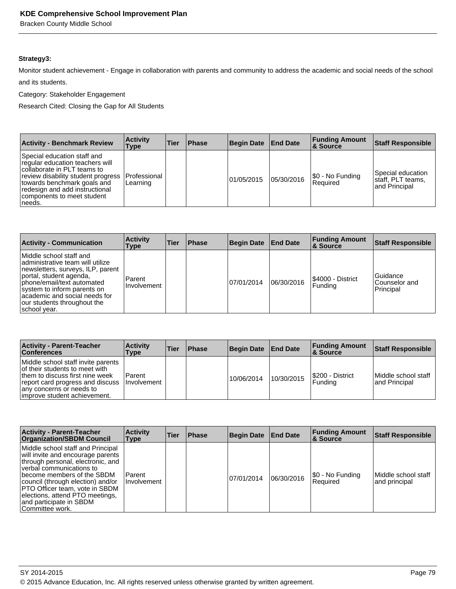Bracken County Middle School

# **Strategy3:**

Monitor student achievement - Engage in collaboration with parents and community to address the academic and social needs of the school and its students.

Category: Stakeholder Engagement

Research Cited: Closing the Gap for All Students

| <b>Activity - Benchmark Review</b>                                                                                                                                                                                                            | <b>Activity</b><br>Type          | Tier | <b>Phase</b> | <b>Begin Date</b> | <b>End Date</b> | <b>Funding Amount</b><br><b>&amp; Source</b> | <b>Staff Responsible</b>                                |
|-----------------------------------------------------------------------------------------------------------------------------------------------------------------------------------------------------------------------------------------------|----------------------------------|------|--------------|-------------------|-----------------|----------------------------------------------|---------------------------------------------------------|
| Special education staff and<br>regular education teachers will<br>collaborate in PLT teams to<br>review disability student progress<br>towards benchmark goals and<br>redesign and add instructional<br>components to meet student<br> needs. | <b>IProfessional</b><br>Learning |      |              | 01/05/2015        | 05/30/2016      | \$0 - No Funding<br>Required                 | Special education<br>staff, PLT teams,<br>and Principal |

| <b>Activity - Communication</b>                                                                                                                                                                                                                                           | <b>Activity</b><br>Type | Tier | <b>Phase</b> | <b>Begin Date</b> | <b>End Date</b> | <b>Funding Amount</b><br>∣& Source | <b>Staff Responsible</b>                       |
|---------------------------------------------------------------------------------------------------------------------------------------------------------------------------------------------------------------------------------------------------------------------------|-------------------------|------|--------------|-------------------|-----------------|------------------------------------|------------------------------------------------|
| Middle school staff and<br>administrative team will utilize<br>newsletters, surveys, ILP, parent<br>portal, student agenda,<br>phone/email/text automated<br>system to inform parents on<br>academic and social needs for<br>our students throughout the<br> school year. | Parent<br>I Involvement |      |              | 07/01/2014        | 06/30/2016      | S4000 - District<br>l Fundina      | <b>Guidance</b><br>lCounselor and<br>Principal |

| <b>Activity - Parent-Teacher</b><br><b>Conferences</b>                                                                                                                                                   | <b>Activity</b><br>Type          | Tier | <b>Phase</b> | <b>Begin Date</b> | <b>End Date</b> | <b>Funding Amount</b><br>∣& Source | <b>Staff Responsible</b>             |
|----------------------------------------------------------------------------------------------------------------------------------------------------------------------------------------------------------|----------------------------------|------|--------------|-------------------|-----------------|------------------------------------|--------------------------------------|
| Middle school staff invite parents<br>of their students to meet with<br>them to discuss first nine week<br>report card progress and discuss<br>any concerns or needs to<br>limprove student achievement. | l Parent<br><b>I</b> Involvement |      |              | 10/06/2014        | 10/30/2015      | S200 - District<br>l Fundina       | Middle school staff<br>and Principal |

| <b>Activity - Parent-Teacher</b><br><b>Organization/SBDM Council</b>                                                                                                                                                                                                                                                           | <b>Activity</b><br><b>Type</b> | Tier | <b>Phase</b> | <b>Begin Date</b> | <b>End Date</b> | <b>Funding Amount</b><br><b>&amp; Source</b> | <b>Staff Responsible</b>             |
|--------------------------------------------------------------------------------------------------------------------------------------------------------------------------------------------------------------------------------------------------------------------------------------------------------------------------------|--------------------------------|------|--------------|-------------------|-----------------|----------------------------------------------|--------------------------------------|
| Middle school staff and Principal<br>will invite and encourage parents<br>through personal, electronic, and<br>⊺verbal communications to<br>become members of the SBDM<br>council (through election) and/or<br>PTO Officer team, vote in SBDM<br>elections, attend PTO meetings,<br>and participate in SBDM<br>Committee work. | Parent<br>Involvement          |      |              | 07/01/2014        | 06/30/2016      | [\$0 - No Funding<br>Required                | Middle school staff<br>and principal |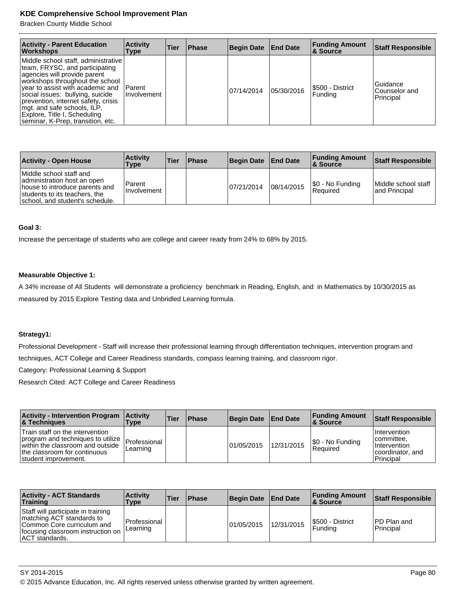Bracken County Middle School

| <b>Activity - Parent Education</b><br><b>Workshops</b>                                                                                                                                                                                                                                                                                                      | <b>Activity</b><br>Type   | Tier | <b>Phase</b> | <b>Begin Date</b> | <b>End Date</b> | <b>Funding Amount</b><br><b>&amp; Source</b> | <b>Staff Responsible</b>               |
|-------------------------------------------------------------------------------------------------------------------------------------------------------------------------------------------------------------------------------------------------------------------------------------------------------------------------------------------------------------|---------------------------|------|--------------|-------------------|-----------------|----------------------------------------------|----------------------------------------|
| Middle school staff, administrative<br>team, FRYSC, and participating<br>agencies will provide parent<br>workshops throughout the school<br>vear to assist with academic and<br>social issues: bullying, suicide<br>prevention, internet safety, crisis<br>mgt. and safe schools, ILP,<br>Explore, Title I, Scheduling<br>seminar, K-Prep, transition, etc. | l Parent<br>I Involvement |      |              | 07/14/2014        | 05/30/2016      | S500 - District<br>Funding                   | Guidance<br>Counselor and<br>Principal |

| <b>Activity - Open House</b>                                                                                                                                 | <b>Activity</b><br>Type | ∣Tier | <b>Phase</b> | <b>Begin Date</b> | <b>End Date</b> | <b>Funding Amount</b><br>8 Source   | <b>Staff Responsible</b>             |
|--------------------------------------------------------------------------------------------------------------------------------------------------------------|-------------------------|-------|--------------|-------------------|-----------------|-------------------------------------|--------------------------------------|
| Middle school staff and<br>administration host an open<br>house to introduce parents and<br>students to its teachers, the<br>school, and student's schedule. | Parent<br>I Involvement |       |              | 07/21/2014        | 08/14/2015      | \$0 - No Funding<br><b>Required</b> | Middle school staff<br>and Principal |

#### **Goal 3:**

Increase the percentage of students who are college and career ready from 24% to 68% by 2015.

#### **Measurable Objective 1:**

A 34% increase of All Students will demonstrate a proficiency benchmark in Reading, English, and in Mathematics by 10/30/2015 as measured by 2015 Explore Testing data and Unbridled Learning formula.

#### **Strategy1:**

Professional Development - Staff will increase their professional learning through differentiation techniques, intervention program and techniques, ACT College and Career Readiness standards, compass learning training, and classroom rigor.

Category: Professional Learning & Support

| <b>Activity - Intervention Program</b><br><b>8 Techniques</b>                                                                                                    | <b>Activity</b><br><b>Type</b> | <b>Tier</b> | <b>Phase</b> | Begin Date End Date |            | <b>Funding Amount</b><br>8. Source | Staff Responsible                                                                  |
|------------------------------------------------------------------------------------------------------------------------------------------------------------------|--------------------------------|-------------|--------------|---------------------|------------|------------------------------------|------------------------------------------------------------------------------------|
| Train staff on the intervention<br>program and techniques to utilize<br>within the classroom and outside<br>the classroom for continuous<br>student improvement. | Professional<br>Learning       |             |              | 101/05/2015         | 12/31/2015 | \$0 - No Funding<br>Required       | Intervention<br>committee.<br><b>Intervention</b><br>coordinator, and<br>Principal |

| <b>Activity - ACT Standards</b><br><b>Training</b>                                                                                                          | <b>Activity</b><br>Type     | ∣Tier | Phase | Begin Date End Date |            | <b>Funding Amount</b><br>∣& Source | <b>Staff Responsible</b>  |
|-------------------------------------------------------------------------------------------------------------------------------------------------------------|-----------------------------|-------|-------|---------------------|------------|------------------------------------|---------------------------|
| Staff will participate in training<br>matching ACT standards to<br>Common Core curriculum and<br>focusing classroom instruction on<br><b>ACT</b> standards. | l Professional<br>ILearning |       |       | 01/05/2015          | 12/31/2015 | S500 - District<br>Fundina         | IPD Plan and<br>Principal |

<sup>© 2015</sup> Advance Education, Inc. All rights reserved unless otherwise granted by written agreement.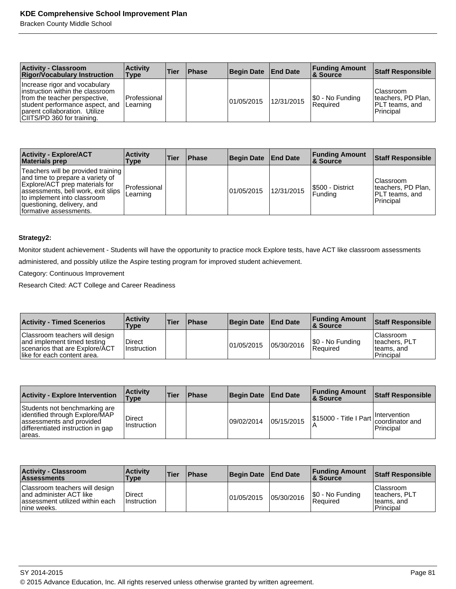Bracken County Middle School

| <b>Activity - Classroom</b><br><b>Rigor/Vocabulary Instruction</b>                                                                                                                                   | <b>Activity</b><br><b>Type</b> | <b>Tier</b> | <b>Phase</b> | <b>Begin Date</b> | <b>End Date</b> | <b>Funding Amount</b><br><b>8 Source</b> | <b>Staff Responsible</b>                                          |
|------------------------------------------------------------------------------------------------------------------------------------------------------------------------------------------------------|--------------------------------|-------------|--------------|-------------------|-----------------|------------------------------------------|-------------------------------------------------------------------|
| Increase rigor and vocabulary<br>instruction within the classroom<br>from the teacher perspective,<br>student performance aspect, and<br>parent collaboration. Utilize<br>CIITS/PD 360 for training. | Professional<br>Learning       |             |              | 01/05/2015        | 12/31/2015      | \$0 - No Funding<br>Reauired             | l Classroom<br>Iteachers, PD Plan,<br>PLT teams, and<br>Principal |

| <b>Activity - Explore/ACT</b><br><b>Materials prep</b>                                                                                                                                                                                | <b>Activity</b><br>Type  | Tier | <b>Phase</b> | Begin Date | <b>End Date</b> | <b>Funding Amount</b><br>8 Source | <b>Staff Responsible</b>                                                 |
|---------------------------------------------------------------------------------------------------------------------------------------------------------------------------------------------------------------------------------------|--------------------------|------|--------------|------------|-----------------|-----------------------------------|--------------------------------------------------------------------------|
| Teachers will be provided training<br>and time to prepare a variety of<br>Explore/ACT prep materials for<br>assessments, bell work, exit slips<br>to implement into classroom<br>questioning, delivery, and<br>formative assessments. | Professional<br>Learning |      |              | 01/05/2015 | 12/31/2015      | S500 - District<br> Fundina       | l Classroom<br>Iteachers, PD Plan,<br>PLT teams, and<br><b>Principal</b> |

## **Strategy2:**

Monitor student achievement - Students will have the opportunity to practice mock Explore tests, have ACT like classroom assessments administered, and possibly utilize the Aspire testing program for improved student achievement.

Category: Continuous Improvement

| <b>Activity - Timed Scenerios</b>                                                                                              | <b>Activity</b><br>Type | <b>Tier</b> | <b>IPhase</b> | <b>Begin Date</b> | <b>End Date</b> | <b>Funding Amount</b><br><b>8</b> Source | Staff Responsible                                       |
|--------------------------------------------------------------------------------------------------------------------------------|-------------------------|-------------|---------------|-------------------|-----------------|------------------------------------------|---------------------------------------------------------|
| Classroom teachers will design<br>and implement timed testing<br>Scenarios that are Explore/ACT<br>like for each content area. | Direct<br>l Instruction |             |               | 01/05/2015        | 05/30/2016      | \$0 - No Funding<br>Reauired             | l Classroom<br>teachers, PLT<br>teams, and<br>Principal |

| <b>Activity - Explore Intervention</b>                                                                                                     | <b>Activity</b><br><b>Type</b> | <b>Tier</b> | <b>Phase</b> | <b>Begin Date</b> | <b>End Date</b> | <b>Funding Amount</b><br>∣& Source                                               | Staff Responsible |
|--------------------------------------------------------------------------------------------------------------------------------------------|--------------------------------|-------------|--------------|-------------------|-----------------|----------------------------------------------------------------------------------|-------------------|
| Students not benchmarking are<br>identified through Explore/MAP<br>assessments and provided<br>differentiated instruction in gap<br>areas. | <b>Direct</b><br>Instruction   |             |              | 09/02/2014        | 05/15/2015      | \$15000 - Title I Part   Intervention<br>  0000 - Title I Part   coordinator and | Principal         |

| <b>Activity - Classroom</b><br><b>Assessments</b>                                                            | <b>Activity</b><br>Type      | 'Tier | <b>IPhase</b> | <b>Begin Date</b> | <b>End Date</b> | <b>Funding Amount</b><br><b>8 Source</b> | <b>Staff Responsible</b>                                       |
|--------------------------------------------------------------------------------------------------------------|------------------------------|-------|---------------|-------------------|-----------------|------------------------------------------|----------------------------------------------------------------|
| Classroom teachers will design<br>and administer ACT like<br>assessment utilized within each<br>Inine weeks. | Direct<br><b>Instruction</b> |       |               | 101/05/2015       | 05/30/2016      | \$0 - No Funding<br>Required             | <b>Classroom</b><br>teachers, PLT<br>teams, and<br>l Principal |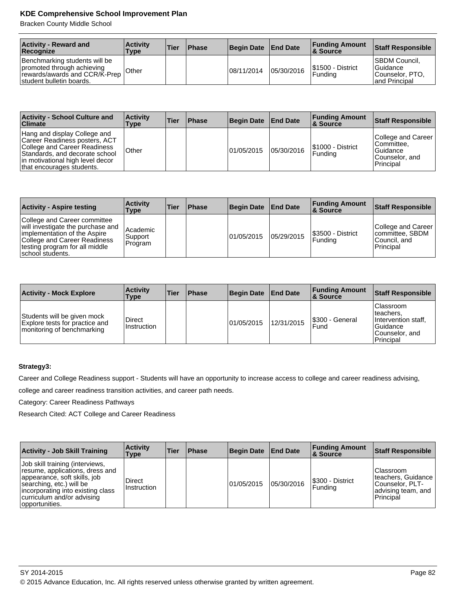Bracken County Middle School

| <b>Activity - Reward and</b><br>Recognize                                                                                | <b>Activity</b><br>Type | <b>Tier</b> | <b>Phase</b> | Begin Date | <b>End Date</b> | <b>Funding Amount</b><br>∣& Source | Staff Responsible                                                             |
|--------------------------------------------------------------------------------------------------------------------------|-------------------------|-------------|--------------|------------|-----------------|------------------------------------|-------------------------------------------------------------------------------|
| Benchmarking students will be<br>promoted through achieving<br>rewards/awards and CCR/K-Prep<br>student bulletin boards. | <b>Other</b>            |             |              | 08/11/2014 | 05/30/2016      | S1500 - District<br>l Fundina      | <b>ISBDM Council.</b><br><b>Guidance</b><br>Counselor, PTO,<br>land Principal |

| <b>Activity - School Culture and</b><br><b>Climate</b>                                                                                                                                           | <b>Activity</b><br>Type | <b>Tier</b> | <b>Phase</b> | Begin Date | <b>End Date</b> | <b>Funding Amount</b><br><b>&amp; Source</b> | Staff Responsible                                                                    |
|--------------------------------------------------------------------------------------------------------------------------------------------------------------------------------------------------|-------------------------|-------------|--------------|------------|-----------------|----------------------------------------------|--------------------------------------------------------------------------------------|
| Hang and display College and<br>Career Readiness posters, ACT<br>College and Career Readiness<br>Standards, and decorate school<br>in motivational high level decor<br>that encourages students. | l Other                 |             |              | 01/05/2015 | 05/30/2016      | I\$1000 - District<br>l Fundina              | College and Career<br>Committee.<br>l Guidance<br>Counselor, and<br><b>Principal</b> |

| <b>Activity - Aspire testing</b>                                                                                                                                                        | <b>Activity</b><br>Type          | Tier | <b>Phase</b> | <b>Begin Date</b> | <b>End Date</b> | <b>Funding Amount</b><br>∣& Source | <b>Staff Responsible</b>                                            |
|-----------------------------------------------------------------------------------------------------------------------------------------------------------------------------------------|----------------------------------|------|--------------|-------------------|-----------------|------------------------------------|---------------------------------------------------------------------|
| College and Career committee<br>will investigate the purchase and<br>implementation of the Aspire<br>College and Career Readiness<br>testing program for all middle<br>school students. | l Academic<br>Support<br>Program |      |              | 01/05/2015        | 05/29/2015      | I\$3500 - District<br>Fundina      | College and Career<br>committee, SBDM<br>lCouncil. and<br>Principal |

| <b>Activity - Mock Explore</b>                                                              | <b>Activity</b><br>Type | <b>Tier</b> | <b>Phase</b> | <b>Begin Date</b> | <b>End Date</b> | <b>Funding Amount</b><br>∣& Source | <b>Staff Responsible</b>                                                                           |
|---------------------------------------------------------------------------------------------|-------------------------|-------------|--------------|-------------------|-----------------|------------------------------------|----------------------------------------------------------------------------------------------------|
| Students will be given mock<br>Explore tests for practice and<br>monitoring of benchmarking | Direct<br>Instruction   |             |              | 01/05/2015        | 12/31/2015      | I\$300 - General<br>Fund           | <b>Classroom</b><br>Iteachers.<br>Intervention staff.<br>l Guidance<br>Counselor, and<br>Principal |

# **Strategy3:**

Career and College Readiness support - Students will have an opportunity to increase access to college and career readiness advising,

college and career readiness transition activities, and career path needs.

Category: Career Readiness Pathways

| <b>Activity - Job Skill Training</b>                                                                                                                                                                                | <b>Activity</b><br>Type | <b>Tier</b> | <b>Phase</b> | Begin Date End Date |            | <b>Funding Amount</b><br><b>8 Source</b> | <b>Staff Responsible</b>                                                               |
|---------------------------------------------------------------------------------------------------------------------------------------------------------------------------------------------------------------------|-------------------------|-------------|--------------|---------------------|------------|------------------------------------------|----------------------------------------------------------------------------------------|
| Job skill training (interviews,<br>resume, applications, dress and<br>appearance, soft skills, job<br>searching, etc.) will be<br>incorporating into existing class<br>curriculum and/or advising<br>opportunities. | Direct<br>Instruction   |             |              | 01/05/2015          | 05/30/2016 | S300 - District<br>Funding               | Classroom<br>teachers, Guidance<br> Counselor, PLT-<br>advising team, and<br>Principal |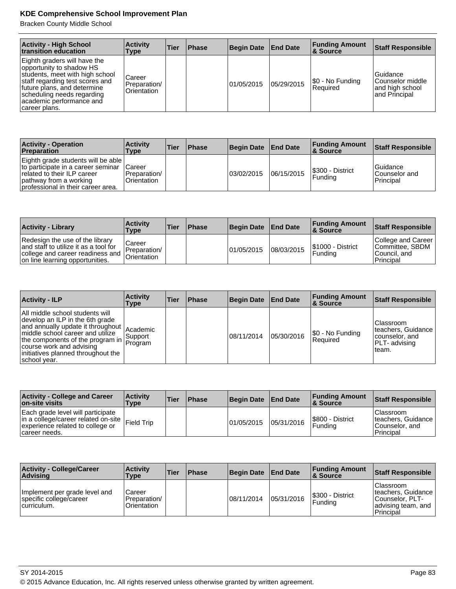Bracken County Middle School

| <b>Activity - High School</b><br>transition education                                                                                                                                                                                    | <b>Activity</b><br>Type               | Tier | <b>Phase</b> | <b>Begin Date</b> | <b>End Date</b> | <b>Funding Amount</b><br>8. Source | <b>Staff Responsible</b>                                             |
|------------------------------------------------------------------------------------------------------------------------------------------------------------------------------------------------------------------------------------------|---------------------------------------|------|--------------|-------------------|-----------------|------------------------------------|----------------------------------------------------------------------|
| Eighth graders will have the<br>opportunity to shadow HS<br>students, meet with high school<br>staff regarding test scores and<br>future plans, and determine<br>scheduling needs regarding<br>academic performance and<br>career plans. | Career<br>Preparation/<br>Orientation |      |              | 01/05/2015        | 05/29/2015      | \$0 - No Funding<br>l Reauired     | l Guidance<br>lCounselor middle<br>and high school<br>land Principal |

| <b>Activity - Operation</b><br><b>Preparation</b>                                                                                                                       | <b>Activity</b><br><b>Type</b>                | <b>Tier</b> | <b>Phase</b> | Begin Date End Date |            | <b>Funding Amount</b><br>8 Source | Staff Responsible                              |
|-------------------------------------------------------------------------------------------------------------------------------------------------------------------------|-----------------------------------------------|-------------|--------------|---------------------|------------|-----------------------------------|------------------------------------------------|
| Eighth grade students will be able<br>to participate in a career seminar<br>related to their ILP career<br>pathway from a working<br>professional in their career area. | <b>ICareer</b><br>Preparation/<br>Orientation |             |              | 03/02/2015          | 06/15/2015 | S300 - District<br>Funding        | <b>Guidance</b><br>lCounselor and<br>Principal |

| <b>Activity - Library</b>                                                                                                                       | <b>Activity</b><br>Type               | <b>Tier</b> | <b>Phase</b> | <b>Begin Date</b> | <b>End Date</b> | <b>Funding Amount</b><br><b>&amp; Source</b> | Staff Responsible                                                   |
|-------------------------------------------------------------------------------------------------------------------------------------------------|---------------------------------------|-------------|--------------|-------------------|-----------------|----------------------------------------------|---------------------------------------------------------------------|
| Redesign the use of the library<br>and staff to utilize it as a tool for<br>college and career readiness and<br>on line learning opportunities. | Career<br>Preparation/<br>Orientation |             |              | 01/05/2015        | 08/03/2015      | S1000 - District<br>l Fundina                | College and Career<br>Committee, SBDM<br>lCouncil. and<br>Principal |

| <b>Activity - ILP</b>                                                                                                                                                                                                                                                                    | <b>Activity</b><br>Type | Tier | <b>Phase</b> | <b>Begin Date</b> | <b>End Date</b> | <b>Funding Amount</b><br>8 Source | <b>Staff Responsible</b>                                                                   |
|------------------------------------------------------------------------------------------------------------------------------------------------------------------------------------------------------------------------------------------------------------------------------------------|-------------------------|------|--------------|-------------------|-----------------|-----------------------------------|--------------------------------------------------------------------------------------------|
| All middle school students will<br>develop an ILP in the 6th grade<br>above annually update it throughout $ $ Academic<br>middle school career and utilize<br>the components of the program in Support<br>course work and advising<br>initiatives planned throughout the<br>school year. |                         |      |              | 08/11/2014        | 05/30/2016      | \$0 - No Funding<br> Reauired     | <b>Classroom</b><br>teachers, Guidance<br>counselor, and<br><b>PLT-</b> advising<br>Iteam. |

| <b>Activity - College and Career</b><br><b>on-site visits</b>                                                                              | <b>Activity</b><br>Type | <b>Tier</b> | <b>Phase</b> | Begin Date | <b>End Date</b> | <b>Funding Amount</b><br>∣& Source | Staff Responsible                                                 |
|--------------------------------------------------------------------------------------------------------------------------------------------|-------------------------|-------------|--------------|------------|-----------------|------------------------------------|-------------------------------------------------------------------|
| Each grade level will participate<br>in a college/career related on-site   Field Trip<br>experience related to college or<br>career needs. |                         |             |              | 01/05/2015 | 05/31/2016      | S800 - District<br> Fundina        | l Classroom<br>teachers, Guidance<br>lCounselor, and<br>Principal |

| <b>Activity - College/Career</b><br> Advisina                           | <b>Activity</b><br>Type               | <b>Tier</b> | <b>Phase</b> | <b>Begin Date</b> | <b>End Date</b> | <b>Funding Amount</b><br>∣& Source | Staff Responsible                                                                       |
|-------------------------------------------------------------------------|---------------------------------------|-------------|--------------|-------------------|-----------------|------------------------------------|-----------------------------------------------------------------------------------------|
| Implement per grade level and<br>specific college/career<br>curriculum. | Career<br>Preparation/<br>Orientation |             |              | 08/11/2014        | 05/31/2016      | S300 - District<br>Fundina         | l Classroom<br>teachers, Guidance<br>Counselor, PLT-<br>advising team, and<br>Principal |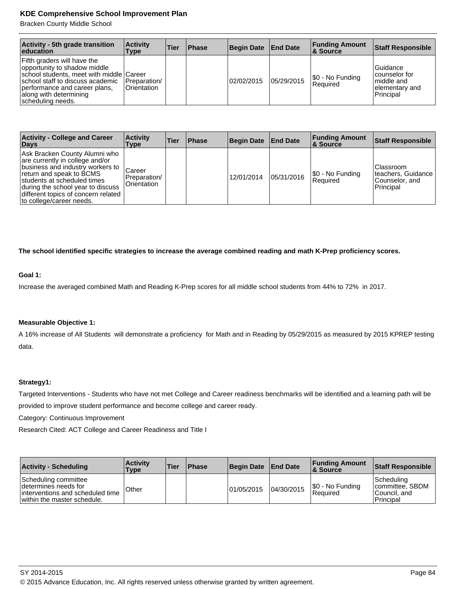Bracken County Middle School

| <b>Activity - 5th grade transition</b><br>education                                                                                                                                                                         | <b>Activity</b><br>Type            | <b>Tier</b> | <b>Phase</b> | <b>Begin Date</b> | <b>End Date</b> | <b>Funding Amount</b><br>8 Source | <b>Staff Responsible</b>                                                       |
|-----------------------------------------------------------------------------------------------------------------------------------------------------------------------------------------------------------------------------|------------------------------------|-------------|--------------|-------------------|-----------------|-----------------------------------|--------------------------------------------------------------------------------|
| Fifth graders will have the<br>opportunity to shadow middle<br>school students, meet with middle Career<br>school staff to discuss academic<br>performance and career plans,<br>along with determining<br>scheduling needs. | <b>Preparation</b><br>lOrientation |             |              | 02/02/2015        | 05/29/2015      | \$0 - No Funding<br>Required      | <b>Guidance</b><br>counselor for<br>Imiddle and<br>elementary and<br>Principal |

| <b>Activity - College and Career</b><br>Days                                                                                                                                                                                                                            | <b>Activity</b><br>Type                | <b>Tier</b> | <b>Phase</b> | <b>Begin Date</b> | <b>End Date</b> | <b>Funding Amount</b><br>8. Source | <b>Staff Responsible</b>                                        |
|-------------------------------------------------------------------------------------------------------------------------------------------------------------------------------------------------------------------------------------------------------------------------|----------------------------------------|-------------|--------------|-------------------|-----------------|------------------------------------|-----------------------------------------------------------------|
| Ask Bracken County Alumni who<br>are currently in college and/or<br>business and industry workers to<br>return and speak to BCMS<br>students at scheduled times<br>during the school year to discuss<br>different topics of concern related<br>to college/career needs. | Career<br>Preparation/<br>lOrientation |             |              | 12/01/2014        | 05/31/2016      | \$0 - No Funding<br> Reauired      | Classroom<br>Iteachers, Guidance<br>Counselor, and<br>Principal |

**The school identified specific strategies to increase the average combined reading and math K-Prep proficiency scores.**

#### **Goal 1:**

Increase the averaged combined Math and Reading K-Prep scores for all middle school students from 44% to 72% in 2017.

### **Measurable Objective 1:**

A 16% increase of All Students will demonstrate a proficiency for Math and in Reading by 05/29/2015 as measured by 2015 KPREP testing data.

#### **Strategy1:**

Targeted Interventions - Students who have not met College and Career readiness benchmarks will be identified and a learning path will be provided to improve student performance and become college and career ready.

Category: Continuous Improvement

Research Cited: ACT College and Career Readiness and Title I

| <b>Activity - Scheduling</b>                                                                                     | <b>Activity</b><br>Type | <b>Tier</b> | <b>Phase</b> | Begin Date End Date |            | <b>Funding Amount</b><br><b>8 Source</b> | <b>Staff Responsible</b>                                   |
|------------------------------------------------------------------------------------------------------------------|-------------------------|-------------|--------------|---------------------|------------|------------------------------------------|------------------------------------------------------------|
| Scheduling committee<br>Idetermines needs for<br>interventions and scheduled time<br>within the master schedule. | Other                   |             |              | 101/05/2015         | 04/30/2015 | \$0 - No Funding<br>Reauired             | Scheduling<br>committee, SBDM<br>Council, and<br>Principal |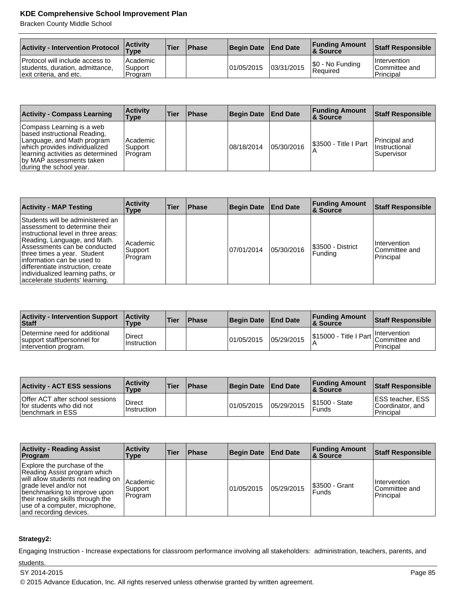Bracken County Middle School

| <b>Activity - Intervention Protocol</b>                                                       | <b>Activity</b><br>$T$ ype     | <b>Tier</b> | <b>Phase</b> | <b>Begin Date</b> | <b>End Date</b> | <b>Funding Amount</b><br><b>&amp; Source</b> | <b>Staff Responsible</b>                          |
|-----------------------------------------------------------------------------------------------|--------------------------------|-------------|--------------|-------------------|-----------------|----------------------------------------------|---------------------------------------------------|
| Protocol will include access to<br>students, duration, admittance,<br>exit criteria, and etc. | Academic<br>Support<br>Program |             |              | 101/05/2015       | 03/31/2015      | S0 - No Funding<br>Required                  | <b>Intervention</b><br>Committee and<br>Principal |

| <b>Activity - Compass Learning</b>                                                                                                                                                                                    | <b>Activity</b><br>Type          | Tier | <b>Phase</b> | <b>Begin Date</b> | <b>End Date</b> | <b>Funding Amount</b><br>8 Source | <b>Staff Responsible</b>                        |
|-----------------------------------------------------------------------------------------------------------------------------------------------------------------------------------------------------------------------|----------------------------------|------|--------------|-------------------|-----------------|-----------------------------------|-------------------------------------------------|
| Compass Learning is a web<br>based instructional Reading,<br>Language, and Math program<br>which provides individualized<br>Ilearning activities as determined<br>by MAP assessments taken<br>during the school year. | l Academic<br>Support<br>Program |      |              | 08/18/2014        | 05/30/2016      | I\$3500 - Title I Part            | Principal and<br>IInstructional<br>l Supervisor |

| <b>Activity - MAP Testing</b>                                                                                                                                                                                                                                                                                                                        | <b>Activity</b><br>Type        | Tier | <b>Phase</b> | <b>Begin Date</b> | <b>End Date</b> | <b>Funding Amount</b><br><b>&amp; Source</b> | <b>Staff Responsible</b>                   |
|------------------------------------------------------------------------------------------------------------------------------------------------------------------------------------------------------------------------------------------------------------------------------------------------------------------------------------------------------|--------------------------------|------|--------------|-------------------|-----------------|----------------------------------------------|--------------------------------------------|
| Students will be administered an<br>lassessment to determine their<br>linstructional level in three areas:<br>Reading, Language, and Math.<br>Assessments can be conducted<br>three times a year. Student<br>linformation can be used to<br>differentiate instruction, create<br>individualized learning paths, or<br>accelerate students' learning. | Academic<br>Support<br>Program |      |              | 07/01/2014        | 05/30/2016      | S3500 - District<br><b>Funding</b>           | Intervention<br>Committee and<br>Principal |

| <b>Activity - Intervention Support</b><br>Staff                                       | <b>Activity</b><br><b>Type</b> | 'Tier | <b>Phase</b> | <b>Begin Date</b> | <b>End Date</b> | <b>Funding Amount</b><br><b>8 Source</b> | <b>Staff Responsible</b>                                                |
|---------------------------------------------------------------------------------------|--------------------------------|-------|--------------|-------------------|-----------------|------------------------------------------|-------------------------------------------------------------------------|
| Determine need for additional<br>support staff/personnel for<br>intervention program. | <b>Direct</b><br>Instruction   |       |              | 01/05/2015        | 05/29/2015      |                                          | <b>Intervention</b><br>S15000 - Title I Part Committee and<br>Principal |

| <b>Activity - ACT ESS sessions</b>                                                      | <b>Activity</b><br><b>Type</b> | Tier | <b>Phase</b> | Begin Date End Date |             | <b>Funding Amount</b><br><b>8 Source</b> | <b>Staff Responsible</b>                                    |
|-----------------------------------------------------------------------------------------|--------------------------------|------|--------------|---------------------|-------------|------------------------------------------|-------------------------------------------------------------|
| Offer ACT after school sessions<br>for students who did not<br><b>Ibenchmark in ESS</b> | <b>Direct</b><br>Instruction   |      |              | 101/05/2015         | 105/29/2015 | <b>S1500 - State</b><br>Funds            | <b>IESS teacher, ESS</b><br>Coordinator, and<br>l Principal |

| <b>Activity - Reading Assist</b><br>Program                                                                                                                                                                                                                 | <b>Activity</b><br>Type                      | <b>Tier</b> | <b>Phase</b> | <b>Begin Date</b> | <b>End Date</b> | <b>Funding Amount</b><br>∣& Source | <b>Staff Responsible</b>                   |
|-------------------------------------------------------------------------------------------------------------------------------------------------------------------------------------------------------------------------------------------------------------|----------------------------------------------|-------------|--------------|-------------------|-----------------|------------------------------------|--------------------------------------------|
| Explore the purchase of the<br>Reading Assist program which<br>will allow students not reading on<br>grade level and/or not<br>benchmarking to improve upon<br>their reading skills through the<br>use of a computer, microphone,<br>and recording devices. | <sup>1</sup> Academic<br>Support<br> Program |             |              | 01/05/2015        | 05/29/2015      | I\$3500 - Grant<br><b>Funds</b>    | Intervention<br>Committee and<br>Principal |

# **Strategy2:**

Engaging Instruction - Increase expectations for classroom performance involving all stakeholders: administration, teachers, parents, and students.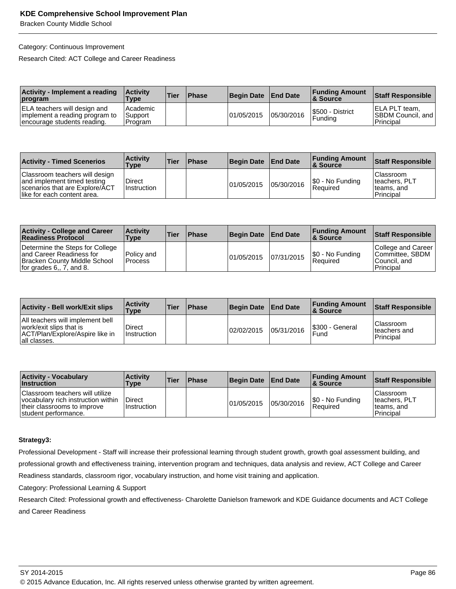Bracken County Middle School

#### Category: Continuous Improvement

Research Cited: ACT College and Career Readiness

| Activity - Implement a reading<br>program                                                     | <b>Activity</b><br><b>Type</b>          | 'Tier | <b>Phase</b> | <b>Begin Date</b> | <b>End Date</b> | <b>Funding Amount</b><br>∣& Source | Staff Responsible                                           |
|-----------------------------------------------------------------------------------------------|-----------------------------------------|-------|--------------|-------------------|-----------------|------------------------------------|-------------------------------------------------------------|
| ELA teachers will design and<br>implement a reading program to<br>encourage students reading. | l Academic<br><b>Support</b><br>Program |       |              | 101/05/2015       | 05/30/2016      | I\$500 - District<br>Funding       | IELA PLT team.<br><b>SBDM Council, and  </b><br>l Principal |

| <b>Activity - Timed Scenerios</b>                                                                                              | <b>Activity</b><br>Type | 'Tier | <b>Phase</b> | Begin Date End Date |            | <b>Funding Amount</b><br>8 Source | Staff Responsible                                              |
|--------------------------------------------------------------------------------------------------------------------------------|-------------------------|-------|--------------|---------------------|------------|-----------------------------------|----------------------------------------------------------------|
| Classroom teachers will design<br>and implement timed testing<br>scenarios that are Explore/ACT<br>like for each content area. | Direct<br>Instruction   |       |              | 101/05/2015         | 05/30/2016 | \$0 - No Funding<br>Reauired      | IClassroom<br>Iteachers, PLT<br>teams, and<br><b>Principal</b> |

| <b>Activity - College and Career</b><br><b>Readiness Protocol</b>                                                             | <b>Activity</b><br>Type        | <b>Tier</b> | <b>Phase</b> | Begin Date End Date |            | <b>Funding Amount</b><br><b>8 Source</b> | Staff Responsible                                                   |
|-------------------------------------------------------------------------------------------------------------------------------|--------------------------------|-------------|--------------|---------------------|------------|------------------------------------------|---------------------------------------------------------------------|
| Determine the Steps for College<br>and Career Readiness for<br>Bracken County Middle School<br>If or grades $6, 7$ , and $8.$ | l Policv and<br><b>Process</b> |             |              | 01/05/2015          | 07/31/2015 | \$0 - No Funding<br>Reauired             | College and Career<br>Committee, SBDM<br>lCouncil. and<br>Principal |

| <b>Activity - Bell work/Exit slips</b>                                                                         | <b>Activity</b><br><b>Type</b> | <b>Tier</b> | <b>Phase</b> | <b>Begin Date</b> | <b>End Date</b> | <b>Funding Amount</b><br><b>8 Source</b> | <b>Staff Responsible</b>                       |
|----------------------------------------------------------------------------------------------------------------|--------------------------------|-------------|--------------|-------------------|-----------------|------------------------------------------|------------------------------------------------|
| All teachers will implement bell<br>work/exit slips that is<br>ACT/Plan/Explore/Aspire like in<br>all classes. | Direct<br><b>Instruction</b>   |             |              | 02/02/2015        | 05/31/2016      | S300 - General<br>Fund                   | <b>Classroom</b><br>Iteachers and<br>Principal |

| <b>Activity - Vocabulary</b><br><b>Instruction</b>                                                                           | <b>Activity</b><br>Type | 'Tier | <b>Phase</b> | <b>Begin Date</b> | <b>End Date</b> | <b>Funding Amount</b><br>8 Source | Staff Responsible                                       |
|------------------------------------------------------------------------------------------------------------------------------|-------------------------|-------|--------------|-------------------|-----------------|-----------------------------------|---------------------------------------------------------|
| Classroom teachers will utilize<br>vocabulary rich instruction within<br>their classrooms to improve<br>student performance. | Direct<br>Instruction   |       |              | 01/05/2015        | 05/30/2016      | \$0 - No Funding<br>Reauired      | l Classroom<br>teachers, PLT<br>teams, and<br>Principal |

## **Strategy3:**

Professional Development - Staff will increase their professional learning through student growth, growth goal assessment building, and professional growth and effectiveness training, intervention program and techniques, data analysis and review, ACT College and Career Readiness standards, classroom rigor, vocabulary instruction, and home visit training and application.

Category: Professional Learning & Support

Research Cited: Professional growth and effectiveness- Charolette Danielson framework and KDE Guidance documents and ACT College and Career Readiness

<sup>© 2015</sup> Advance Education, Inc. All rights reserved unless otherwise granted by written agreement.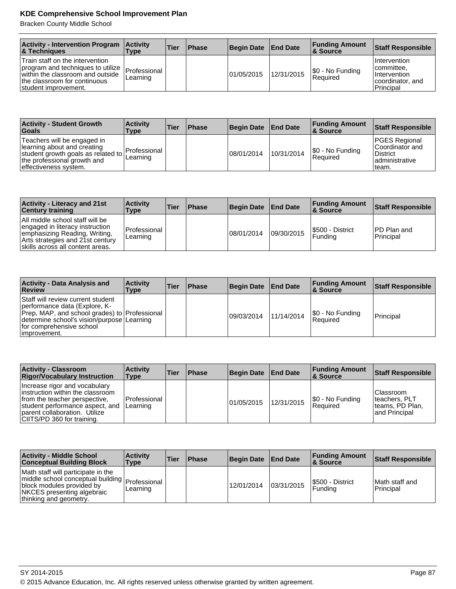Bracken County Middle School

| <b>Activity - Intervention Program</b><br><b>&amp; Techniques</b>                                                                                                                 | <b>Activity</b><br>Type | Tier | <b>Phase</b> | <b>Begin Date</b> | <b>End Date</b> | <b>Funding Amount</b><br>8. Source | Staff Responsible                                                                       |
|-----------------------------------------------------------------------------------------------------------------------------------------------------------------------------------|-------------------------|------|--------------|-------------------|-----------------|------------------------------------|-----------------------------------------------------------------------------------------|
| Train staff on the intervention<br>program and techniques to utilize   Professional  <br>within the classroom and outside<br>the classroom for continuous<br>student improvement. | Learning                |      |              | 101/05/2015       | 12/31/2015      | \$0 - No Funding<br>Required       | <b>Intervention</b><br>lcommittee.<br>I Intervention<br>coordinator, and<br>l Principal |

| <b>Activity - Student Growth</b><br><b>Goals</b>                                                                                                         | <b>Activity</b><br>Type  | <b>Tier</b> | <b>Phase</b> | Begin Date End Date |            | <b>Funding Amount</b><br><b>8 Source</b> | <b>Staff Responsible</b>                                                                |
|----------------------------------------------------------------------------------------------------------------------------------------------------------|--------------------------|-------------|--------------|---------------------|------------|------------------------------------------|-----------------------------------------------------------------------------------------|
| Teachers will be engaged in<br>learning about and creating<br>student growth goals as related to<br>the professional growth and<br>effectiveness system. | Professional<br>Learning |             |              | 108/01/2014         | 10/31/2014 | S0 - No Funding<br>Reauired              | <b>PGES Regional</b><br>Coordinator and<br><b>District</b><br>ladministrative<br>Iteam. |

| <b>Activity - Literacy and 21st</b><br><b>Century training</b>                                                                                                              | <b>Activity</b><br>Type  | Tier | <b>IPhase</b> | <b>Begin Date</b> | <b>End Date</b> | <b>Funding Amount</b><br>8 Source   | <b>Staff Responsible</b>         |
|-----------------------------------------------------------------------------------------------------------------------------------------------------------------------------|--------------------------|------|---------------|-------------------|-----------------|-------------------------------------|----------------------------------|
| All middle school staff will be<br>engaged in literacy instruction<br>emphasizing Reading, Writing,<br>Arts strategies and 21st century<br>skills across all content areas. | Professional<br>Learning |      |               | 08/01/2014        | 09/30/2015      | I\$500 - District<br><b>Funding</b> | <b>IPD Plan and</b><br>Principal |

| <b>Activity - Data Analysis and</b><br>Review                                                                                                                                                                  | <b>Activity</b><br>Type | <b>Tier</b> | <b>Phase</b> | <b>Begin Date</b> | <b>End Date</b> | <b>Funding Amount</b><br>8 Source | <b>Staff Responsible</b> |
|----------------------------------------------------------------------------------------------------------------------------------------------------------------------------------------------------------------|-------------------------|-------------|--------------|-------------------|-----------------|-----------------------------------|--------------------------|
| Staff will review current student<br>performance data (Explore, K-<br>Prep, MAP, and school grades) to Professional<br>determine school's vision/purpose Learning<br>for comprehensive school<br>limprovement. |                         |             |              | 09/03/2014        | 11/14/2014      | S0 - No Funding<br>Required       | Principal                |

| <b>Activity - Classroom</b><br><b>Rigor/Vocabulary Instruction</b>                                                                                                                                    | <b>Activity</b><br><b>Type</b> | <b>Tier</b> | <b>Phase</b> | <b>Begin Date</b> | <b>End Date</b> | <b>Funding Amount</b><br>∣& Source | <b>Staff Responsible</b>                                                 |
|-------------------------------------------------------------------------------------------------------------------------------------------------------------------------------------------------------|--------------------------------|-------------|--------------|-------------------|-----------------|------------------------------------|--------------------------------------------------------------------------|
| Increase rigor and vocabulary<br>linstruction within the classroom<br>from the teacher perspective.<br>student performance aspect, and<br>parent collaboration. Utilize<br>CIITS/PD 360 for training. | l Professional<br>ILearning    |             |              | 01/05/2015        | 12/31/2015      | S0 - No Funding<br>Required        | <b>Classroom</b><br>Iteachers, PLT<br>Iteams, PD Plan,<br>land Principal |

| <b>Activity - Middle School</b><br><b>Conceptual Building Block</b>                                                                                                           | <b>Activity</b><br><b>Type</b> | Tier | <b>Phase</b> | <b>Begin Date</b> | <b>End Date</b> | <b>Funding Amount</b><br>∣& Source | <b>Staff Responsible</b>     |
|-------------------------------------------------------------------------------------------------------------------------------------------------------------------------------|--------------------------------|------|--------------|-------------------|-----------------|------------------------------------|------------------------------|
| Math staff will participate in the<br>middle school conceptual building   Professional  <br>block modules provided by<br>NKCES presenting algebraic<br>thinking and geometry. | Learning                       |      |              | 12/01/2014        | 03/31/2015      | S500 - District<br>l Fundina       | IMath staff and<br>Principal |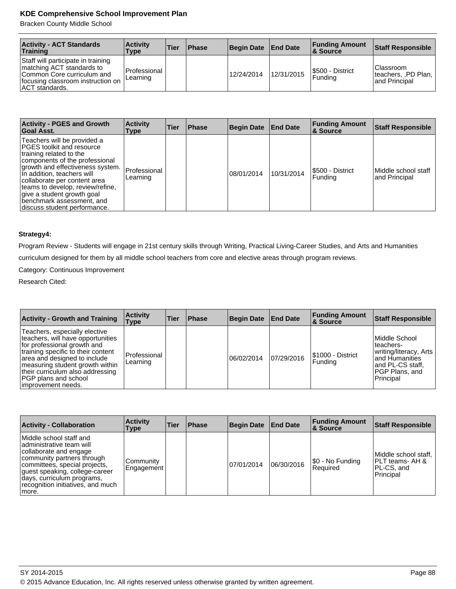Bracken County Middle School

| <b>Activity - ACT Standards</b><br>Training                                                                                                                 | <b>Activity</b><br>Type    | <b>Tier</b> | <b>Phase</b> | Begin Date End Date |            | <b>Funding Amount</b><br>8. Source | Staff Responsible                                  |
|-------------------------------------------------------------------------------------------------------------------------------------------------------------|----------------------------|-------------|--------------|---------------------|------------|------------------------------------|----------------------------------------------------|
| Staff will participate in training<br>matching ACT standards to<br>Common Core curriculum and<br>focusing classroom instruction on<br><b>ACT</b> standards. | l Professional<br>Learning |             |              | 12/24/2014          | 12/31/2015 | S500 - District<br><b>Funding</b>  | Classroom<br>Iteachers, PD Plan,<br>land Principal |

| <b>Activity - PGES and Growth</b><br>Goal Asst.                                                                                                                                                                                                                                                                                                         | <b>Activity</b><br>Type  | Tier | <b>Phase</b> | <b>Begin Date</b> | <b>End Date</b> | <b>Funding Amount</b><br>∣& Source | <b>Staff Responsible</b>             |
|---------------------------------------------------------------------------------------------------------------------------------------------------------------------------------------------------------------------------------------------------------------------------------------------------------------------------------------------------------|--------------------------|------|--------------|-------------------|-----------------|------------------------------------|--------------------------------------|
| Teachers will be provided a<br>IPGES toolkit and resource<br>training related to the<br>components of the professional<br>growth and effectiveness system.<br>In addition, teachers will<br>collaborate per content area<br>teams to develop, review/refine,<br>give a student growth goal<br>benchmark assessment, and<br>discuss student performance. | Professional<br>Learning |      |              | 08/01/2014        | 10/31/2014      | I\$500 - District<br>Fundina       | Middle school staff<br>and Principal |

#### **Strategy4:**

Program Review - Students will engage in 21st century skills through Writing, Practical Living-Career Studies, and Arts and Humanities

curriculum designed for them by all middle school teachers from core and elective areas through program reviews.

Category: Continuous Improvement

Research Cited:

| <b>Activity - Growth and Training</b>                                                                                                                                                                                                                                                                | <b>Activity</b><br><b>Type</b> | Tier | <b>Phase</b> | <b>Begin Date</b> | <b>End Date</b> | <b>Funding Amount</b><br>∣& Source   | <b>Staff Responsible</b>                                                                                                           |
|------------------------------------------------------------------------------------------------------------------------------------------------------------------------------------------------------------------------------------------------------------------------------------------------------|--------------------------------|------|--------------|-------------------|-----------------|--------------------------------------|------------------------------------------------------------------------------------------------------------------------------------|
| Teachers, especially elective<br>teachers, will have opportunities<br>for professional growth and<br>training specific to their content<br>area and designed to include<br>measuring student growth within<br>their curriculum also addressing<br><b>PGP</b> plans and school<br>limprovement needs. | Professional<br>Learning       |      |              | 06/02/2014        | 07/29/2016      | I\$1000 - District<br><b>Funding</b> | Middle School<br>teachers-<br>writing/literacy, Arts<br>land Humanities<br>land PL-CS staff.<br><b>PGP Plans, and</b><br>Principal |

| <b>Activity - Collaboration</b>                                                                                                                                                                                                                            | <b>Activity</b><br>Type | Tier | <b>Phase</b> | <b>Begin Date</b> | <b>End Date</b> | <b>Funding Amount</b><br><b>&amp; Source</b> | <b>Staff Responsible</b>                                            |
|------------------------------------------------------------------------------------------------------------------------------------------------------------------------------------------------------------------------------------------------------------|-------------------------|------|--------------|-------------------|-----------------|----------------------------------------------|---------------------------------------------------------------------|
| Middle school staff and<br>administrative team will<br>collaborate and engage<br>community partners through<br>committees, special projects,<br>guest speaking, college-career<br>days, curriculum programs,<br>recognition initiatives, and much<br>more. | Community<br>Engagement |      |              | 07/01/2014        | 06/30/2016      | \$0 - No Funding<br>Required                 | Middle school staff.<br>IPLT teams- AH &<br>PL-CS, and<br>Principal |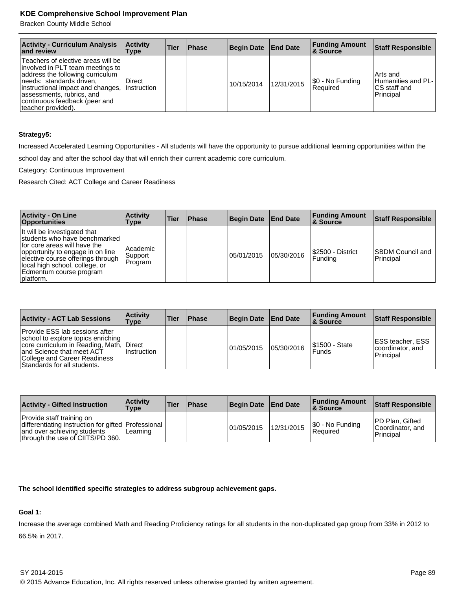Bracken County Middle School

| <b>Activity - Curriculum Analysis</b><br>and review                                                                                                                                                                                                                  | <b>Activity</b><br>Type      | Tier | <b>IPhase</b> | Begin Date End Date |            | <b>Funding Amount</b><br>∣& Source | <b>Staff Responsible</b>                                    |
|----------------------------------------------------------------------------------------------------------------------------------------------------------------------------------------------------------------------------------------------------------------------|------------------------------|------|---------------|---------------------|------------|------------------------------------|-------------------------------------------------------------|
| Teachers of elective areas will be I<br> involved in PLT team meetings to  <br>address the following curriculum<br>needs: standards driven,<br>instructional impact and changes,<br>assessments, rubrics, and<br>continuous feedback (peer and<br>teacher provided). | Direct<br><b>Instruction</b> |      |               | 10/15/2014          | 12/31/2015 | \$0 - No Funding<br>l Reauired     | Arts and<br>Humanities and PL-<br>CS staff and<br>Principal |

#### **Strategy5:**

Increased Accelerated Learning Opportunities - All students will have the opportunity to pursue additional learning opportunities within the school day and after the school day that will enrich their current academic core curriculum.

Category: Continuous Improvement

Research Cited: ACT College and Career Readiness

| <b>Activity - On Line</b><br><b>Opportunities</b>                                                                                                                                                                                                 | <b>Activity</b><br>Type        | <b>Tier</b> | <b>Phase</b> | Begin Date   End Date |            | <b>Funding Amount</b><br>∣& Source | <b>Staff Responsible</b>              |
|---------------------------------------------------------------------------------------------------------------------------------------------------------------------------------------------------------------------------------------------------|--------------------------------|-------------|--------------|-----------------------|------------|------------------------------------|---------------------------------------|
| It will be investigated that<br>students who have benchmarked<br>for core areas will have the<br>opportunity to engage in on line<br>elective course offerings through<br>local high school, college, or<br>Edmentum course program<br> platform. | Academic<br>Support<br>Program |             |              | 05/01/2015            | 05/30/2016 | S2500 - District<br>l Fundina      | <b>ISBDM Council and</b><br>Principal |

| <b>Activity - ACT Lab Sessions</b>                                                                                                                                                                           | <b>Activity</b><br>Type | Tier | <b>Phase</b> | Begin Date   End Date |            | <b>Funding Amount</b><br><b>&amp; Source</b> | Staff Responsible                                         |
|--------------------------------------------------------------------------------------------------------------------------------------------------------------------------------------------------------------|-------------------------|------|--------------|-----------------------|------------|----------------------------------------------|-----------------------------------------------------------|
| Provide ESS lab sessions after<br>school to explore topics enriching<br>core curriculum in Reading, Math, Direct<br>and Science that meet ACT<br>College and Career Readiness<br>Standards for all students. | Instruction             |      |              | 01/05/2015            | 05/30/2016 | \$1500 - State<br><b>Funds</b>               | <b>IESS teacher, ESS</b><br>coordinator, and<br>Principal |

| <b>Activity - Gifted Instruction</b>                                                                                                                | <b>Activity</b><br>Type | <b>Tier</b> | <b>Phase</b> | Begin Date End Date |            | <b>Funding Amount</b><br><b>8 Source</b> | Staff Responsible                                       |
|-----------------------------------------------------------------------------------------------------------------------------------------------------|-------------------------|-------------|--------------|---------------------|------------|------------------------------------------|---------------------------------------------------------|
| Provide staff training on<br>differentiating instruction for gifted Professional<br>and over achieving students<br>through the use of CIITS/PD 360. | Learning                |             |              | 101/05/2015         | 12/31/2015 | $ \$0 - No Funding$<br>Reauired          | <b>PD Plan, Gifted</b><br>Coordinator, and<br>Principal |

## **The school identified specific strategies to address subgroup achievement gaps.**

# **Goal 1:**

Increase the average combined Math and Reading Proficiency ratings for all students in the non-duplicated gap group from 33% in 2012 to 66.5% in 2017.

SY 2014-2015 Page 89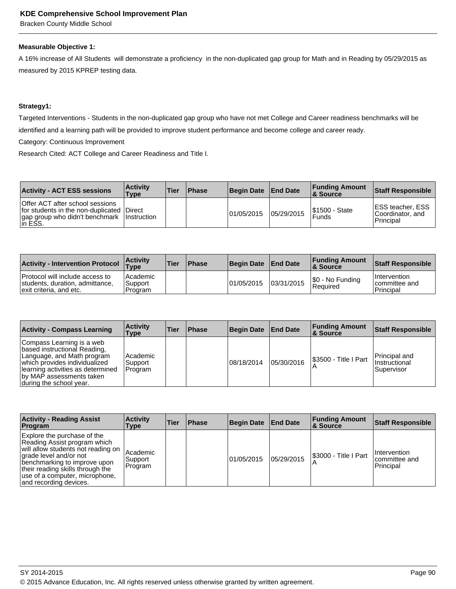Bracken County Middle School

#### **Measurable Objective 1:**

A 16% increase of All Students will demonstrate a proficiency in the non-duplicated gap group for Math and in Reading by 05/29/2015 as measured by 2015 KPREP testing data.

#### **Strategy1:**

Targeted Interventions - Students in the non-duplicated gap group who have not met College and Career readiness benchmarks will be identified and a learning path will be provided to improve student performance and become college and career ready.

Category: Continuous Improvement

Research Cited: ACT College and Career Readiness and Title I.

| <b>Activity - ACT ESS sessions</b>                                                                                                       | <b>Activity</b><br>Type | Tier | <b>Phase</b> | Begin Date End Date |            | <b>Funding Amount</b><br><b>8 Source</b> | Staff Responsible                                           |
|------------------------------------------------------------------------------------------------------------------------------------------|-------------------------|------|--------------|---------------------|------------|------------------------------------------|-------------------------------------------------------------|
| Offer ACT after school sessions<br>for students in the non-duplicated Direct<br>gap group who didn't benchmark   Instruction<br>lin ESS. |                         |      |              | 101/05/2015         | 05/29/2015 | <b>S1500 - State</b><br>Funds            | <b>IESS teacher, ESS</b><br>Coordinator, and<br>l Principal |

| <b>Activity - Intervention Protocol</b>                                                        | <b>Activity</b><br>$T$ ype       | 'Tier | <b>Phase</b> | Begin Date | <b>End Date</b> | <b>Funding Amount</b><br><b>&amp; Source</b> | <b>Staff Responsible</b>                          |
|------------------------------------------------------------------------------------------------|----------------------------------|-------|--------------|------------|-----------------|----------------------------------------------|---------------------------------------------------|
| Protocol will include access to<br>students, duration, admittance,<br>lexit criteria, and etc. | l Academic<br>Support<br>Program |       |              | 01/05/2015 | 03/31/2015      | S0 - No Funding<br>Required                  | <i>Intervention</i><br>committee and<br>Principal |

| <b>Activity - Compass Learning</b>                                                                                                                                                                                    | <b>Activity</b><br>Type          | Tier | <b>Phase</b> | <b>Begin Date</b> | <b>End Date</b> | <b>Funding Amount</b><br>8 Source | <b>Staff Responsible</b>                              |
|-----------------------------------------------------------------------------------------------------------------------------------------------------------------------------------------------------------------------|----------------------------------|------|--------------|-------------------|-----------------|-----------------------------------|-------------------------------------------------------|
| Compass Learning is a web<br>based instructional Reading,<br>Language, and Math program<br>which provides individualized<br>Ilearning activities as determined<br>by MAP assessments taken<br>during the school year. | l Academic<br>Support<br>Program |      |              | 08/18/2014        | 05/30/2016      | S3500 - Title I Part              | Principal and<br><b>Instructional</b><br>l Supervisor |

| <b>Activity - Reading Assist</b><br>Program                                                                                                                                                                                                                 | <b>Activity</b><br>Type        | <b>Tier</b> | <b>Phase</b> | Begin Date  | <b>End Date</b> | <b>Funding Amount</b><br>∣& Source | <b>Staff Responsible</b>                                  |
|-------------------------------------------------------------------------------------------------------------------------------------------------------------------------------------------------------------------------------------------------------------|--------------------------------|-------------|--------------|-------------|-----------------|------------------------------------|-----------------------------------------------------------|
| Explore the purchase of the<br>Reading Assist program which<br>will allow students not reading on<br>grade level and/or not<br>benchmarking to improve upon<br>their reading skills through the<br>use of a computer, microphone,<br>and recording devices. | Academic<br>Support<br>Program |             |              | 101/05/2015 | 105/29/2015     | S3000 - Title I Part               | <b>Intervention</b><br>Icommittee and<br><b>Principal</b> |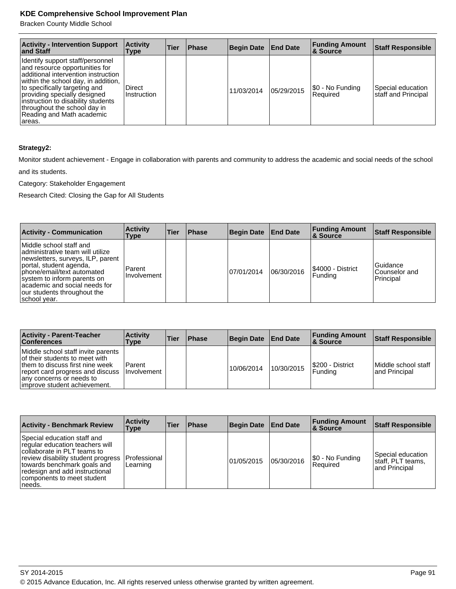Bracken County Middle School

| <b>Activity - Intervention Support</b><br>∣and Staff                                                                                                                                                                                                                                                                            | <b>Activity</b><br><b>Type</b> | <b>Tier</b> | <b>IPhase</b> | <b>Begin Date</b> | <b>End Date</b> | <b>Funding Amount</b><br>∣& Source | <b>Staff Responsible</b>                 |
|---------------------------------------------------------------------------------------------------------------------------------------------------------------------------------------------------------------------------------------------------------------------------------------------------------------------------------|--------------------------------|-------------|---------------|-------------------|-----------------|------------------------------------|------------------------------------------|
| Identify support staff/personnel<br>and resource opportunities for<br>additional intervention instruction<br>within the school day, in addition,<br>to specifically targeting and<br>providing specially designed<br>instruction to disability students<br>throughout the school day in<br>Reading and Math academic<br>lareas. | Direct<br><b>Instruction</b>   |             |               | 11/03/2014        | 05/29/2015      | [\$0 - No Funding<br>Required      | Special education<br>staff and Principal |

# **Strategy2:**

Monitor student achievement - Engage in collaboration with parents and community to address the academic and social needs of the school

and its students.

Category: Stakeholder Engagement

Research Cited: Closing the Gap for All Students

| <b>Activity - Communication</b>                                                                                                                                                                                                                                           | <b>Activity</b><br>Type      | <b>Tier</b> | <b>Phase</b> | <b>Begin Date</b> | <b>End Date</b> | <b>Funding Amount</b><br><b>&amp; Source</b> | <b>Staff Responsible</b>               |
|---------------------------------------------------------------------------------------------------------------------------------------------------------------------------------------------------------------------------------------------------------------------------|------------------------------|-------------|--------------|-------------------|-----------------|----------------------------------------------|----------------------------------------|
| Middle school staff and<br>administrative team will utilize<br>newsletters, surveys, ILP, parent<br>portal, student agenda,<br>phone/email/text automated<br>system to inform parents on<br>academic and social needs for<br>our students throughout the<br> school year. | Parent<br><b>Involvement</b> |             |              | 07/01/2014        | 06/30/2016      | S4000 - District<br>Funding                  | Guidance<br>Counselor and<br>Principal |

| <b>Activity - Parent-Teacher</b><br><b>Conferences</b>                                                                                                                                                   | <b>Activity</b><br><b>Type</b> | <b>Tier</b> | <b>Phase</b> | <b>Begin Date</b> | <b>End Date</b> | <b>Funding Amount</b><br>∣& Source | <b>Staff Responsible</b>             |
|----------------------------------------------------------------------------------------------------------------------------------------------------------------------------------------------------------|--------------------------------|-------------|--------------|-------------------|-----------------|------------------------------------|--------------------------------------|
| Middle school staff invite parents<br>of their students to meet with<br>them to discuss first nine week<br>report card progress and discuss<br>any concerns or needs to<br>limprove student achievement. | Parent<br>IInvolvement         |             |              | 10/06/2014        | 10/30/2015      | S200 - District<br> Fundina        | Middle school staff<br>and Principal |

| <b>Activity - Benchmark Review</b>                                                                                                                                                                                                           | <b>Activity</b><br><b>Type</b> | <b>Tier</b> | <b>Phase</b> | <b>Begin Date</b> | <b>End Date</b> | <b>Funding Amount</b><br>∣& Source | <b>Staff Responsible</b>                                |
|----------------------------------------------------------------------------------------------------------------------------------------------------------------------------------------------------------------------------------------------|--------------------------------|-------------|--------------|-------------------|-----------------|------------------------------------|---------------------------------------------------------|
| Special education staff and<br>regular education teachers will<br>collaborate in PLT teams to<br>review disability student progress<br>towards benchmark goals and<br>redesign and add instructional<br>components to meet student<br>needs. | Professional<br>Learning       |             |              | 01/05/2015        | 05/30/2016      | \$0 - No Funding<br>l Reauired     | Special education<br>staff, PLT teams,<br>and Principal |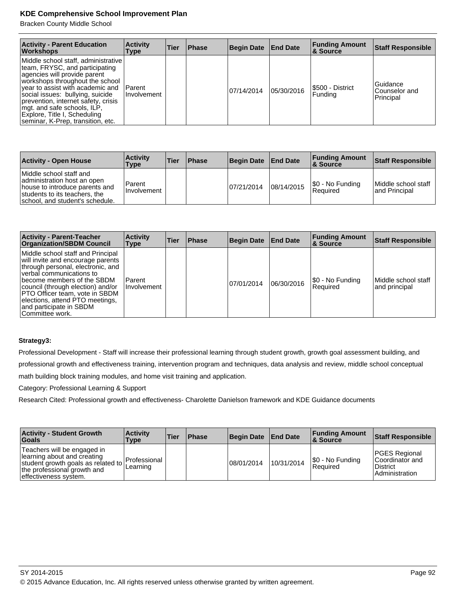Bracken County Middle School

| <b>Activity - Parent Education</b><br><b>Workshops</b>                                                                                                                                                                                                                                                                                                      | <b>Activity</b><br>Type         | Tier | <b>Phase</b> | <b>Begin Date</b> | <b>End Date</b> | <b>Funding Amount</b><br><b>&amp; Source</b> | <b>Staff Responsible</b>               |
|-------------------------------------------------------------------------------------------------------------------------------------------------------------------------------------------------------------------------------------------------------------------------------------------------------------------------------------------------------------|---------------------------------|------|--------------|-------------------|-----------------|----------------------------------------------|----------------------------------------|
| Middle school staff, administrative<br>team, FRYSC, and participating<br>agencies will provide parent<br>workshops throughout the school<br>vear to assist with academic and<br>social issues: bullying, suicide<br>prevention, internet safety, crisis<br>mgt. and safe schools, ILP,<br>Explore, Title I, Scheduling<br>seminar, K-Prep, transition, etc. | <b>IParent</b><br>I Involvement |      |              | 07/14/2014        | 05/30/2016      | S500 - District<br>Funding                   | Guidance<br>Counselor and<br>Principal |

| <b>Activity - Open House</b>                                                                                                                                 | <b>Activity</b><br>Type      | <b>Tier</b> | <b>Phase</b> | <b>Begin Date</b> | <b>End Date</b> | <b>Funding Amount</b><br><b>8 Source</b> | Staff Responsible                     |
|--------------------------------------------------------------------------------------------------------------------------------------------------------------|------------------------------|-------------|--------------|-------------------|-----------------|------------------------------------------|---------------------------------------|
| Middle school staff and<br>administration host an open<br>house to introduce parents and<br>students to its teachers, the<br>school, and student's schedule. | Parent<br><b>Involvement</b> |             |              | 07/21/2014        | 08/14/2015      | \$0 - No Funding<br><b>Required</b>      | Middle school staff<br>land Principal |

| <b>Activity - Parent-Teacher</b><br><b>Organization/SBDM Council</b>                                                                                                                                                                                                                                                          | <b>Activity</b><br><b>Type</b> | Tier | <b>Phase</b> | Begin Date | <b>End Date</b> | <b>Funding Amount</b><br>∣& Source | <b>Staff Responsible</b>              |
|-------------------------------------------------------------------------------------------------------------------------------------------------------------------------------------------------------------------------------------------------------------------------------------------------------------------------------|--------------------------------|------|--------------|------------|-----------------|------------------------------------|---------------------------------------|
| Middle school staff and Principal<br>will invite and encourage parents<br>through personal, electronic, and<br>verbal communications to<br>become members of the SBDM<br>council (through election) and/or<br>PTO Officer team, vote in SBDM<br>elections, attend PTO meetings,<br>and participate in SBDM<br>Committee work. | l Parent<br>I Involvement      |      |              | 07/01/2014 | 06/30/2016      | \$0 - No Funding<br>Required       | lMiddle school staff<br>and principal |

# **Strategy3:**

Professional Development - Staff will increase their professional learning through student growth, growth goal assessment building, and professional growth and effectiveness training, intervention program and techniques, data analysis and review, middle school conceptual math building block training modules, and home visit training and application.

Category: Professional Learning & Support

Research Cited: Professional growth and effectiveness- Charolette Danielson framework and KDE Guidance documents

| <b>Activity - Student Growth</b><br><b>Goals</b>                                                                                                                      | <b>Activity</b><br>Type | <b>Tier</b> | <b>Phase</b> | <b>Begin Date</b> | <b>End Date</b> | <b>Funding Amount</b><br>8. Source | Staff Responsible                                                            |
|-----------------------------------------------------------------------------------------------------------------------------------------------------------------------|-------------------------|-------------|--------------|-------------------|-----------------|------------------------------------|------------------------------------------------------------------------------|
| Teachers will be engaged in<br>learning about and creating<br>student growth goals as related to Professional<br>the professional growth and<br>effectiveness system. | Learning                |             |              | 08/01/2014        | 10/31/2014      | \$0 - No Funding<br>Reauired       | <b>PGES Regional</b><br>Coordinator and<br>District<br><b>Administration</b> |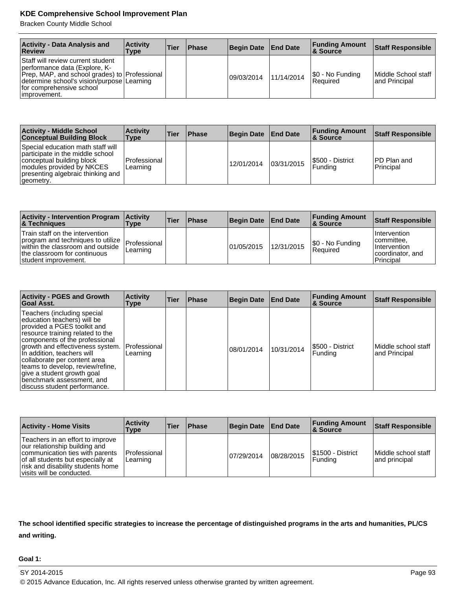Bracken County Middle School

| <b>Activity - Data Analysis and</b><br>Review                                                                                                                                                                    | <b>Activity</b><br>Type | Tier | <b>Phase</b> | <b>Begin Date</b> | <b>End Date</b> | <b>Funding Amount</b><br><b>8 Source</b> | <b>Staff Responsible</b>              |
|------------------------------------------------------------------------------------------------------------------------------------------------------------------------------------------------------------------|-------------------------|------|--------------|-------------------|-----------------|------------------------------------------|---------------------------------------|
| Staff will review current student<br>performance data (Explore, K-<br>Prep, MAP, and school grades) to Professional<br>determine school's vision/purpose   Learning<br>for comprehensive school<br> improvement. |                         |      |              | 09/03/2014        | 11/14/2014      | \$0 - No Funding<br>Reauired             | Middle School staff<br>land Principal |

| <b>Activity - Middle School</b><br><b>Conceptual Building Block</b>                                                                                                               | <b>Activity</b><br><b>Type</b> | Tier | <b>Phase</b> | <b>Begin Date</b> | <b>End Date</b> | <b>Funding Amount</b><br><b>&amp; Source</b> | <b>Staff Responsible</b>  |
|-----------------------------------------------------------------------------------------------------------------------------------------------------------------------------------|--------------------------------|------|--------------|-------------------|-----------------|----------------------------------------------|---------------------------|
| Special education math staff will<br>participate in the middle school<br>conceptual building block<br>modules provided by NKCES<br>presenting algebraic thinking and<br>geometry. | Professional<br>Learning       |      |              | 12/01/2014        | 03/31/2015      | S500 - District<br>l Fundina                 | IPD Plan and<br>Principal |

| <b>Activity - Intervention Program</b><br><b>&amp; Techniques</b>                                                                                                                 | <b>Activity</b><br>Type | <b>Tier</b> | <b>Phase</b> | <b>Begin Date</b> | <b>End Date</b> | <b>Funding Amount</b><br><b>8 Source</b> | <b>Staff Responsible</b>                                                                    |
|-----------------------------------------------------------------------------------------------------------------------------------------------------------------------------------|-------------------------|-------------|--------------|-------------------|-----------------|------------------------------------------|---------------------------------------------------------------------------------------------|
| Train staff on the intervention<br>program and techniques to utilize   Professional  <br>within the classroom and outside<br>the classroom for continuous<br>student improvement. | Learning                |             |              | 101/05/2015       | 12/31/2015      | \$0 - No Funding<br>Reauired             | <i>I</i> Intervention<br>committee.<br><b>Intervention</b><br>coordinator, and<br>Principal |

| <b>Activity - PGES and Growth</b><br>Goal Asst.                                                                                                                                                                                                                                                                                                                                                  | <b>Activity</b><br><b>Type</b> | <b>Tier</b> | <b>Phase</b> | Begin Date | <b>End Date</b> | <b>Funding Amount</b><br>∣& Source | <b>Staff Responsible</b>              |
|--------------------------------------------------------------------------------------------------------------------------------------------------------------------------------------------------------------------------------------------------------------------------------------------------------------------------------------------------------------------------------------------------|--------------------------------|-------------|--------------|------------|-----------------|------------------------------------|---------------------------------------|
| Teachers (including special<br>education teachers) will be<br>provided a PGES toolkit and<br>resource training related to the<br>components of the professional<br>growth and effectiveness system.<br>In addition, teachers will<br>collaborate per content area<br>teams to develop, review/refine,<br>give a student growth goal<br>benchmark assessment, and<br>discuss student performance. | Professional<br>Learning       |             |              | 08/01/2014 | 10/31/2014      | I\$500 - District<br>Fundina       | lMiddle school staff<br>and Principal |

| <b>Activity - Home Visits</b>                                                                                                                                                                               | <b>Activity</b><br>Type    | <b>Tier</b> | <b>Phase</b> | Begin Date End Date |            | <b>Funding Amount</b><br><b>8 Source</b> | <b>Staff Responsible</b>              |
|-------------------------------------------------------------------------------------------------------------------------------------------------------------------------------------------------------------|----------------------------|-------------|--------------|---------------------|------------|------------------------------------------|---------------------------------------|
| Teachers in an effort to improve<br>our relationship building and<br>communication ties with parents<br>of all students but especially at<br>risk and disability students home<br>visits will be conducted. | l Professional<br>Learning |             |              | 07/29/2014          | 08/28/2015 | S1500 - District<br>Funding              | lMiddle school staff<br>and principal |

**The school identified specific strategies to increase the percentage of distinguished programs in the arts and humanities, PL/CS and writing.**

#### **Goal 1:**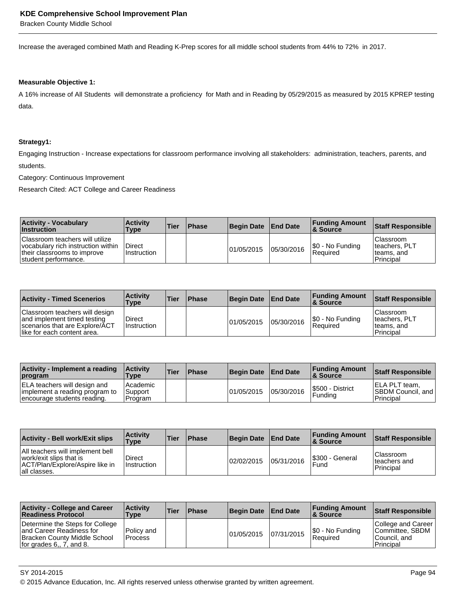Bracken County Middle School

Increase the averaged combined Math and Reading K-Prep scores for all middle school students from 44% to 72% in 2017.

#### **Measurable Objective 1:**

A 16% increase of All Students will demonstrate a proficiency for Math and in Reading by 05/29/2015 as measured by 2015 KPREP testing data.

#### **Strategy1:**

Engaging Instruction - Increase expectations for classroom performance involving all stakeholders: administration, teachers, parents, and students.

Category: Continuous Improvement

Research Cited: ACT College and Career Readiness

| <b>Activity - Vocabulary</b><br><b>Instruction</b>                                                                           | <b>Activity</b><br><b>Type</b> | <b>Tier</b> | <b>Phase</b> | Begin Date End Date |            | <b>Funding Amount</b><br><b>8 Source</b> | Staff Responsible                                       |
|------------------------------------------------------------------------------------------------------------------------------|--------------------------------|-------------|--------------|---------------------|------------|------------------------------------------|---------------------------------------------------------|
| Classroom teachers will utilize<br>vocabulary rich instruction within<br>their classrooms to improve<br>student performance. | Direct<br><b>Instruction</b>   |             |              | 01/05/2015          | 05/30/2016 | \$0 - No Funding<br>Required             | Classroom<br>Iteachers, PLT<br>lteams. and<br>Principal |

| <b>Activity - Timed Scenerios</b>                                                                                              | <b>Activity</b><br>Type      | ∣Tier | <b>Phase</b> | <b>Begin Date</b> | <b>End Date</b> | <b>Funding Amount</b><br>∣& Source | Staff Responsible                                            |
|--------------------------------------------------------------------------------------------------------------------------------|------------------------------|-------|--------------|-------------------|-----------------|------------------------------------|--------------------------------------------------------------|
| Classroom teachers will design<br>and implement timed testing<br>scenarios that are Explore/ACT<br>like for each content area. | Direct<br><b>Instruction</b> |       |              | 101/05/2015       | 05/30/2016      | S0 - No Funding<br>Required        | <b>Classroom</b><br>teachers, PLT<br>teams, and<br>Principal |

| Activity - Implement a reading<br><b>program</b>                                                     | <b>Activity</b><br><b>Type</b>            | <b>Tier</b> | <b>IPhase</b> | Begin Date | <b>End Date</b> | <b>Funding Amount</b><br><b>8 Source</b> | Staff Responsible                                         |
|------------------------------------------------------------------------------------------------------|-------------------------------------------|-------------|---------------|------------|-----------------|------------------------------------------|-----------------------------------------------------------|
| <b>ELA teachers will design and</b><br>implement a reading program to<br>encourage students reading. | l Academic<br><b>Support</b><br>l Program |             |               | 01/05/2015 | 05/30/2016      | I\$500 - District<br>Fundina             | IELA PLT team.<br><b>SBDM Council, and</b><br>l Principal |

| <b>Activity - Bell work/Exit slips</b>                                                                         | <b>Activity</b><br><b>Type</b> | <b>Tier</b> | <b>Phase</b> | <b>Begin Date</b> | <b>End Date</b> | <b>Funding Amount</b><br>∣& Source | <b>Staff Responsible</b>                              |
|----------------------------------------------------------------------------------------------------------------|--------------------------------|-------------|--------------|-------------------|-----------------|------------------------------------|-------------------------------------------------------|
| All teachers will implement bell<br>work/exit slips that is<br>ACT/Plan/Explore/Aspire like in<br>all classes. | Direct<br><b>Instruction</b>   |             |              | 02/02/2015        | 05/31/2016      | I\$300 - General<br>Fund           | <b>Classroom</b><br>Iteachers and<br><b>Principal</b> |

| <b>Activity - College and Career</b><br><b>Readiness Protocol</b>                                                                 | <b>Activity</b><br>Type      | <b>Tier</b> | <b>Phase</b> | <b>Begin Date</b> | <b>End Date</b> | <b>Funding Amount</b><br>∣& Source | <b>Staff Responsible</b>                                            |
|-----------------------------------------------------------------------------------------------------------------------------------|------------------------------|-------------|--------------|-------------------|-----------------|------------------------------------|---------------------------------------------------------------------|
| Determine the Steps for College<br>and Career Readiness for<br><b>Bracken County Middle School</b><br>for grades $6, 7,$ and $8.$ | Policy and<br><b>Process</b> |             |              | 01/05/2015        | 07/31/2015      | \$0 - No Funding<br>Reauired       | College and Career<br>Committee, SBDM<br>lCouncil. and<br>Principal |

SY 2014-2015 Page 94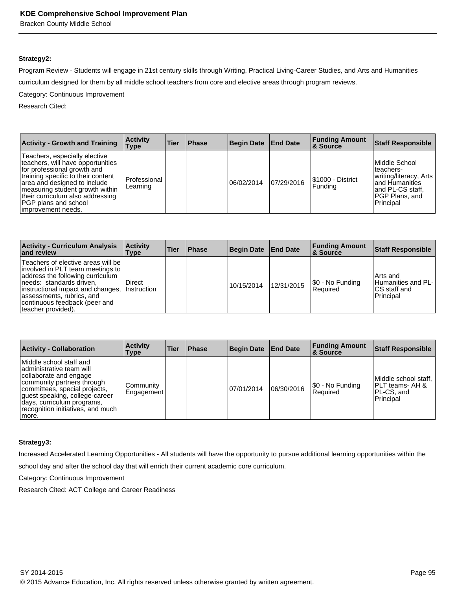Bracken County Middle School

#### **Strategy2:**

Program Review - Students will engage in 21st century skills through Writing, Practical Living-Career Studies, and Arts and Humanities curriculum designed for them by all middle school teachers from core and elective areas through program reviews.

Category: Continuous Improvement

Research Cited:

| <b>Activity - Growth and Training</b>                                                                                                                                                                                                                                                               | <b>Activity</b><br>Type  | Tier | <b>Phase</b> | <b>Begin Date</b> | <b>End Date</b> | <b>Funding Amount</b><br><b>&amp; Source</b> | <b>Staff Responsible</b>                                                                                                      |
|-----------------------------------------------------------------------------------------------------------------------------------------------------------------------------------------------------------------------------------------------------------------------------------------------------|--------------------------|------|--------------|-------------------|-----------------|----------------------------------------------|-------------------------------------------------------------------------------------------------------------------------------|
| Teachers, especially elective<br>teachers, will have opportunities<br>for professional growth and<br>training specific to their content<br>area and designed to include<br>measuring student growth within<br>their curriculum also addressing<br><b>PGP</b> plans and school<br>improvement needs. | Professional<br>Learning |      |              | 06/02/2014        | 07/29/2016      | I\$1000 - District<br><b>Funding</b>         | Middle School<br>lteachers-<br>writing/literacy, Arts<br>land Humanities<br>land PL-CS staff.<br>IPGP Plans, and<br>Principal |

| <b>Activity - Curriculum Analysis</b><br>and review                                                                                                                                                                                                             | <b>Activity</b><br>Type      | Tier | <b>Phase</b> | <b>Begin Date</b> | <b>End Date</b> | <b>Funding Amount</b><br>8 Source | <b>Staff Responsible</b>                                              |
|-----------------------------------------------------------------------------------------------------------------------------------------------------------------------------------------------------------------------------------------------------------------|------------------------------|------|--------------|-------------------|-----------------|-----------------------------------|-----------------------------------------------------------------------|
| Teachers of elective areas will be<br>involved in PLT team meetings to<br>address the following curriculum<br>needs: standards driven,<br>instructional impact and changes,<br>assessments, rubrics, and<br>continuous feedback (peer and<br>teacher provided). | Direct<br><b>Instruction</b> |      |              | 10/15/2014        | 12/31/2015      | \$0 - No Funding<br> Reauired     | l Arts and<br><b>Humanities and PL-</b><br>ICS staff and<br>Principal |

| <b>Activity - Collaboration</b>                                                                                                                                                                                                                             | <b>Activity</b><br>Type        | <b>Tier</b> | <b>Phase</b> | <b>Begin Date</b> | <b>End Date</b> | <b>Funding Amount</b><br>∣& Source | <b>Staff Responsible</b>                                            |
|-------------------------------------------------------------------------------------------------------------------------------------------------------------------------------------------------------------------------------------------------------------|--------------------------------|-------------|--------------|-------------------|-----------------|------------------------------------|---------------------------------------------------------------------|
| Middle school staff and<br>ladministrative team will<br>collaborate and engage<br>community partners through<br>committees, special projects,<br>guest speaking, college-career<br>days, curriculum programs,<br>recognition initiatives, and much<br>more. | <b>Community</b><br>Engagement |             |              | 07/01/2014        | 06/30/2016      | S0 - No Funding<br>Required        | Middle school staff,<br>IPLT teams- AH &<br>PL-CS, and<br>Principal |

#### **Strategy3:**

Increased Accelerated Learning Opportunities - All students will have the opportunity to pursue additional learning opportunities within the

school day and after the school day that will enrich their current academic core curriculum.

Category: Continuous Improvement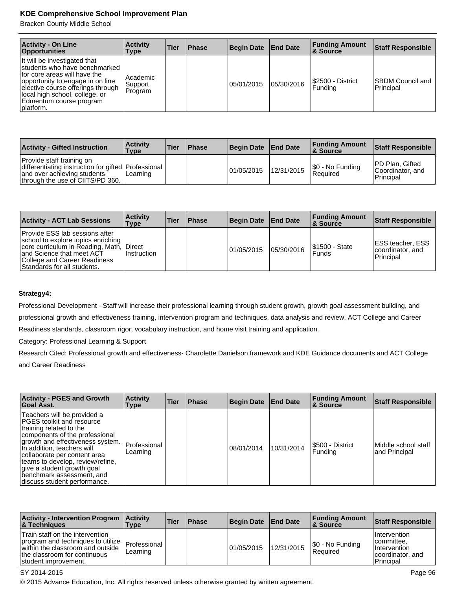Bracken County Middle School

| <b>Activity - On Line</b><br><b>Opportunities</b>                                                                                                                                                                                                 | <b>Activity</b><br>Type          | Tier | <b>Phase</b> | Begin Date | <b>End Date</b> | <b>Funding Amount</b><br><b>8 Source</b> | <b>Staff Responsible</b>             |
|---------------------------------------------------------------------------------------------------------------------------------------------------------------------------------------------------------------------------------------------------|----------------------------------|------|--------------|------------|-----------------|------------------------------------------|--------------------------------------|
| It will be investigated that<br>students who have benchmarked<br>for core areas will have the<br>opportunity to engage in on line<br>elective course offerings through<br>local high school, college, or<br>Edmentum course program<br> platform. | l Academic<br>Support<br>Program |      |              | 05/01/2015 | 05/30/2016      | I\$2500 - District<br>Funding            | <b>SBDM Council and</b><br>Principal |

| <b>Activity - Gifted Instruction</b>                                                                                                                | <b>Activity</b><br>Type | <b>Tier</b> | <b>Phase</b> | Begin Date End Date |            | <b>Funding Amount</b><br>8 Source | <b>Staff Responsible</b>                                 |
|-----------------------------------------------------------------------------------------------------------------------------------------------------|-------------------------|-------------|--------------|---------------------|------------|-----------------------------------|----------------------------------------------------------|
| Provide staff training on<br>differentiating instruction for gifted Professional<br>and over achieving students<br>through the use of CIITS/PD 360. | Learning                |             |              | 01/05/2015          | 12/31/2015 | $ \$0 - No$ Funding<br>Required   | <b>IPD Plan, Gifted</b><br>Coordinator, and<br>Principal |

| <b>Activity - ACT Lab Sessions</b>                                                                                                                                                                    | <b>Activity</b><br>Type          | Tier | <b>Phase</b> | <b>Begin Date</b> | <b>End Date</b> | <b>Funding Amount</b><br>∣& Source | Staff Responsible                                                |
|-------------------------------------------------------------------------------------------------------------------------------------------------------------------------------------------------------|----------------------------------|------|--------------|-------------------|-----------------|------------------------------------|------------------------------------------------------------------|
| Provide ESS lab sessions after<br>school to explore topics enriching<br>core curriculum in Reading, Math,<br>and Science that meet ACT<br>College and Career Readiness<br>Standards for all students. | <b>I</b> Direct<br>l Instruction |      |              | 01/05/2015        | 05/30/2016      | <b>S1500 - State</b><br>l Funds    | <b>IESS teacher, ESS</b><br>coordinator, and<br><b>Principal</b> |

#### **Strategy4:**

Professional Development - Staff will increase their professional learning through student growth, growth goal assessment building, and professional growth and effectiveness training, intervention program and techniques, data analysis and review, ACT College and Career Readiness standards, classroom rigor, vocabulary instruction, and home visit training and application.

Category: Professional Learning & Support

Research Cited: Professional growth and effectiveness- Charolette Danielson framework and KDE Guidance documents and ACT College and Career Readiness

| <b>Activity - PGES and Growth</b><br><b>Goal Asst.</b>                                                                                                                                                                                                                                                                                                        | <b>Activity</b><br><b>Type</b> | <b>Tier</b> | <b>Phase</b> | Begin Date | <b>End Date</b> | <b>Funding Amount</b><br>∣& Source | <b>Staff Responsible</b>             |
|---------------------------------------------------------------------------------------------------------------------------------------------------------------------------------------------------------------------------------------------------------------------------------------------------------------------------------------------------------------|--------------------------------|-------------|--------------|------------|-----------------|------------------------------------|--------------------------------------|
| Teachers will be provided a<br><b>PGES</b> toolkit and resource<br>training related to the<br>components of the professional<br>growth and effectiveness system.<br>In addition, teachers will<br>collaborate per content area<br>teams to develop, review/refine,<br>give a student growth goal<br>benchmark assessment, and<br>discuss student performance. | Professional<br>Learning       |             |              | 08/01/2014 | 10/31/2014      | I\$500 - District<br>Fundina       | Middle school staff<br>and Principal |

| <b>Activity - Intervention Program</b><br><b>8 Techniques</b>                                                                                                    | <b>Activity</b><br><b>Type</b> | <b>Tier</b> | <b>Phase</b> | Begin Date | <b>End Date</b> | <b>Funding Amount</b><br>∣& Source | <b>Staff Responsible</b>                                                              |
|------------------------------------------------------------------------------------------------------------------------------------------------------------------|--------------------------------|-------------|--------------|------------|-----------------|------------------------------------|---------------------------------------------------------------------------------------|
| Train staff on the intervention<br>program and techniques to utilize<br>within the classroom and outside<br>the classroom for continuous<br>student improvement. | Professional<br>Learning       |             |              | 01/05/2015 | 12/31/2015      | \$0 - No Funding<br>Reauired       | I Intervention<br>Icommittee.<br><b>Intervention</b><br>coordinator, and<br>Principal |

#### SY 2014-2015 Page 96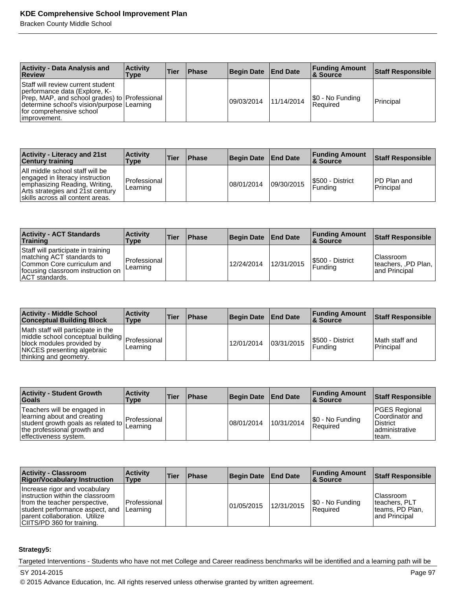Bracken County Middle School

| <b>Activity - Data Analysis and</b><br>Review                                                                                                                                                                  | <b>Activity</b><br>Type | ∣Tier | 'Phase' | <b>Begin Date</b> | <b>End Date</b> | <b>Funding Amount</b><br>8 Source | <b>Staff Responsible</b> |
|----------------------------------------------------------------------------------------------------------------------------------------------------------------------------------------------------------------|-------------------------|-------|---------|-------------------|-----------------|-----------------------------------|--------------------------|
| Staff will review current student<br>performance data (Explore, K-<br>Prep, MAP, and school grades) to Professional<br>determine school's vision/purpose Learning<br>for comprehensive school<br>limprovement. |                         |       |         | 109/03/2014       | 11/14/2014      | S0 - No Funding<br>Required       | Principal                |

| Activity - Literacy and 21st<br><b>Century training</b>                                                                                                                     | <b>Activity</b><br>Type    | <b>Tier</b> | <b>IPhase</b> | <b>Begin Date</b> | <b>End Date</b> | <b>Funding Amount</b><br>∣& Source | <b>Staff Responsible</b>                |
|-----------------------------------------------------------------------------------------------------------------------------------------------------------------------------|----------------------------|-------------|---------------|-------------------|-----------------|------------------------------------|-----------------------------------------|
| All middle school staff will be<br>engaged in literacy instruction<br>emphasizing Reading, Writing,<br>Arts strategies and 21st century<br>skills across all content areas. | l Professional<br>Learning |             |               | 08/01/2014        | 09/30/2015      | S500 - District<br>Funding         | <b>IPD Plan and</b><br><b>Principal</b> |

| <b>Activity - ACT Standards</b><br>Training                                                                                                                 | <b>Activity</b><br>Type     | Tier | <b>Phase</b> | <b>Begin Date</b> | <b>End Date</b> | <b>Funding Amount</b><br>∣& Source | Staff Responsible                                        |
|-------------------------------------------------------------------------------------------------------------------------------------------------------------|-----------------------------|------|--------------|-------------------|-----------------|------------------------------------|----------------------------------------------------------|
| Staff will participate in training<br>matching ACT standards to<br>Common Core curriculum and<br>focusing classroom instruction on<br><b>ACT</b> standards. | l Professional<br>ILearning |      |              | 12/24/2014        | 12/31/2015      | S500 - District<br>l Fundina       | l Classroom<br>  teachers, ,PD Plan,  <br>land Principal |

| <b>Activity - Middle School</b><br><b>Conceptual Building Block</b>                                                                                                           | <b>Activity</b><br><b>Type</b> | 'Tier | <b>Phase</b> | <b>Begin Date</b> | <b>End Date</b> | <b>Funding Amount</b><br>∣& Source | <b>Staff Responsible</b>    |
|-------------------------------------------------------------------------------------------------------------------------------------------------------------------------------|--------------------------------|-------|--------------|-------------------|-----------------|------------------------------------|-----------------------------|
| Math staff will participate in the<br>middle school conceptual building   Professional  <br>block modules provided by<br>NKCES presenting algebraic<br>thinking and geometry. | Learning                       |       |              | 12/01/2014        | 03/31/2015      | I\$500 - District<br>l Fundina     | Math staff and<br>Principal |

| <b>Activity - Student Growth</b><br><b>Goals</b>                                                                                                           | <b>Activity</b><br>Type    | <b>Tier</b> | <b>Phase</b> | <b>Begin Date</b> | <b>End Date</b> | <b>Funding Amount</b><br>∣& Source | <b>Staff Responsible</b>                                                         |
|------------------------------------------------------------------------------------------------------------------------------------------------------------|----------------------------|-------------|--------------|-------------------|-----------------|------------------------------------|----------------------------------------------------------------------------------|
| Teachers will be engaged in<br>learning about and creating<br>student growth goals as related to  <br>the professional growth and<br>effectiveness system. | l Professional<br>Learning |             |              | 08/01/2014        | 10/31/2014      | S0 - No Funding<br>Reauired        | PGES Regional<br>Coordinator and<br><b>District</b><br>ladministrative<br>'team. |

| <b>Activity - Classroom</b><br><b>Rigor/Vocabulary Instruction</b>                                                                                                                                    | <b>Activity</b><br><b>Type</b> | Tier | <b>Phase</b> | <b>Begin Date</b> | <b>End Date</b> | <b>Funding Amount</b><br><b>8 Source</b> | <b>Staff Responsible</b>                                          |
|-------------------------------------------------------------------------------------------------------------------------------------------------------------------------------------------------------|--------------------------------|------|--------------|-------------------|-----------------|------------------------------------------|-------------------------------------------------------------------|
| Increase rigor and vocabulary<br>linstruction within the classroom<br>from the teacher perspective.<br>student performance aspect, and<br>Darent collaboration. Utilize<br>CIITS/PD 360 for training. | Professional<br>Learning       |      |              | 01/05/2015        | 12/31/2015      | \$0 - No Funding<br>Required             | lClassroom<br>teachers, PLT<br>Iteams, PD Plan,<br>land Principal |

#### **Strategy5:**

Targeted Interventions - Students who have not met College and Career readiness benchmarks will be identified and a learning path will be

SY 2014-2015 Page 97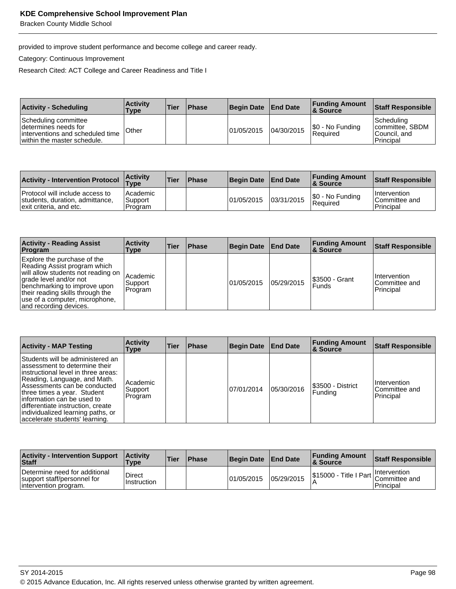Bracken County Middle School

provided to improve student performance and become college and career ready.

Category: Continuous Improvement

Research Cited: ACT College and Career Readiness and Title I

| <b>Activity - Scheduling</b>                                                                                     | <b>Activity</b><br>Type | <b>Tier</b> | <b>Phase</b> | Begin Date End Date |            | <b>Funding Amount</b><br>8 Source | <b>Staff Responsible</b>                                    |
|------------------------------------------------------------------------------------------------------------------|-------------------------|-------------|--------------|---------------------|------------|-----------------------------------|-------------------------------------------------------------|
| Scheduling committee<br>Idetermines needs for<br>interventions and scheduled time<br>within the master schedule. | <b>Other</b>            |             |              | 01/05/2015          | 04/30/2015 | \$0 - No Funding<br>Reauired      | Scheduling<br>committee, SBDM<br>lCouncil. and<br>Principal |

| <b>Activity - Intervention Protocol</b>                                                       | <b>Activity</b><br><b>Type</b>   | Tier | <b>Phase</b> | Begin Date | <b>End Date</b> | <b>Funding Amount</b><br><b>&amp; Source</b> | Staff Responsible                                 |
|-----------------------------------------------------------------------------------------------|----------------------------------|------|--------------|------------|-----------------|----------------------------------------------|---------------------------------------------------|
| Protocol will include access to<br>students, duration, admittance,<br>exit criteria, and etc. | l Academic<br>Support<br>Program |      |              | 01/05/2015 | 03/31/2015      | \$0 - No Funding<br>Required                 | <b>Intervention</b><br>Committee and<br>Principal |

| <b>Activity - Reading Assist</b><br>Program                                                                                                                                                                                                                 | <b>Activity</b><br>Type        | Tier | <b>Phase</b> | <b>Begin Date</b> | <b>End Date</b> | <b>Funding Amount</b><br><b>8 Source</b> | <b>Staff Responsible</b>                           |
|-------------------------------------------------------------------------------------------------------------------------------------------------------------------------------------------------------------------------------------------------------------|--------------------------------|------|--------------|-------------------|-----------------|------------------------------------------|----------------------------------------------------|
| Explore the purchase of the<br>Reading Assist program which<br>will allow students not reading on<br>grade level and/or not<br>benchmarking to improve upon<br>their reading skills through the<br>use of a computer, microphone,<br>and recording devices. | Academic<br>Support<br>Program |      |              | 101/05/2015       | 05/29/2015      | I\$3500 - Grant<br><b>Funds</b>          | <b>Intervention</b><br>lCommittee and<br>Principal |

| <b>Activity - MAP Testing</b>                                                                                                                                                                                                                                                                                                                        | <b>Activity</b><br>Type        | Tier | <b>Phase</b> | <b>Begin Date</b> | <b>End Date</b> | <b>Funding Amount</b><br>∣& Source | <b>Staff Responsible</b>                    |
|------------------------------------------------------------------------------------------------------------------------------------------------------------------------------------------------------------------------------------------------------------------------------------------------------------------------------------------------------|--------------------------------|------|--------------|-------------------|-----------------|------------------------------------|---------------------------------------------|
| Students will be administered an<br>lassessment to determine their<br>linstructional level in three areas:<br>Reading, Language, and Math.<br>Assessments can be conducted<br>three times a year. Student<br>linformation can be used to<br>differentiate instruction, create<br>individualized learning paths, or<br>accelerate students' learning. | Academic<br>Support<br>Program |      |              | 07/01/2014        | 05/30/2016      | I\$3500 - District<br>Funding      | Intervention<br>lCommittee and<br>Principal |

| <b>Activity - Intervention Support</b><br>Staff                                       | <b>Activity</b><br>Type      | <b>Tier</b> | <b>Phase</b> | Begin Date | <b>End Date</b> | <b>Funding Amount</b><br>∣& Source                     | Staff Responsible |
|---------------------------------------------------------------------------------------|------------------------------|-------------|--------------|------------|-----------------|--------------------------------------------------------|-------------------|
| Determine need for additional<br>support staff/personnel for<br>intervention program. | <b>Direct</b><br>Instruction |             |              | 01/05/2015 | 05/29/2015      | \$15000 - Title I Part   Intervention<br>Committee and | Principal         |